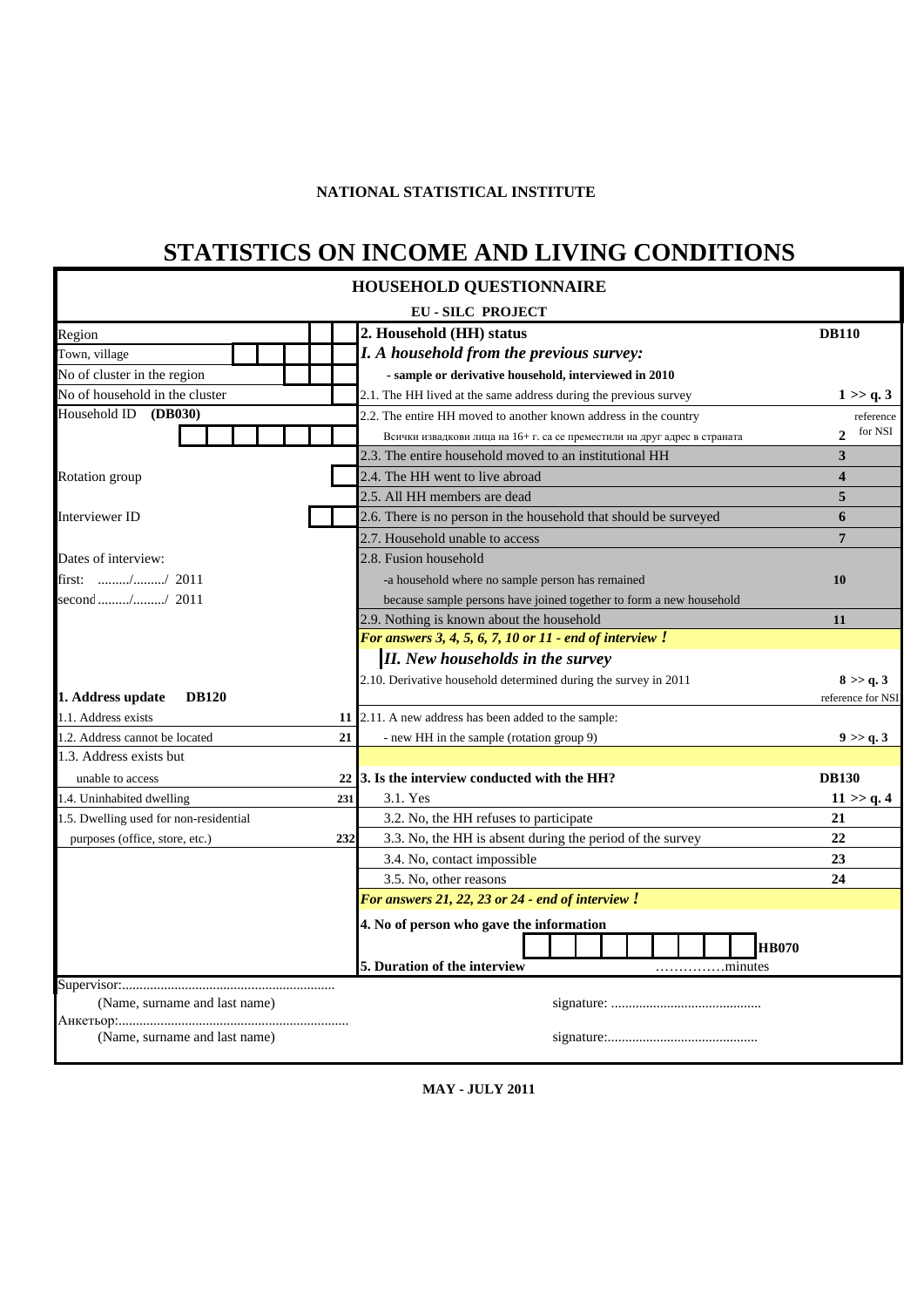#### **NATIONAL STATISTICAL INSTITUTE**

## **STATISTICS ON INCOME AND LIVING CONDITIONS**

|                                        |     | <b>HOUSEHOLD QUESTIONNAIRE</b>                                            |                                |
|----------------------------------------|-----|---------------------------------------------------------------------------|--------------------------------|
|                                        |     | <b>EU-SILC PROJECT</b>                                                    |                                |
| Region                                 |     | 2. Household (HH) status                                                  | <b>DB110</b>                   |
| Town, village                          |     | I. A household from the previous survey:                                  |                                |
| No of cluster in the region            |     | - sample or derivative household, interviewed in 2010                     |                                |
| No of household in the cluster         |     | 2.1. The HH lived at the same address during the previous survey          | 1 > a.3                        |
| Household ID<br>(DB030)                |     | 2.2. The entire HH moved to another known address in the country          | reference                      |
|                                        |     | Всички извадкови лица на 16+ г. са се преместили на друг адрес в страната | for NSI<br>$\mathcal{D}$       |
|                                        |     | 2.3. The entire household moved to an institutional HH                    | 3                              |
| Rotation group                         |     | 2.4. The HH went to live abroad                                           | 4                              |
|                                        |     | 2.5. All HH members are dead                                              | 5                              |
| Interviewer ID                         |     | 2.6. There is no person in the household that should be surveyed          | 6                              |
|                                        |     | 2.7. Household unable to access                                           | 7                              |
| Dates of interview:                    |     | 2.8. Fusion household                                                     |                                |
| first: // 2011                         |     | -a household where no sample person has remained                          | 10                             |
| second // 2011                         |     | because sample persons have joined together to form a new household       |                                |
|                                        |     | 2.9. Nothing is known about the household                                 | 11                             |
|                                        |     | For answers 3, 4, 5, 6, 7, 10 or 11 - end of interview $!$                |                                |
|                                        |     | <b>II.</b> New households in the survey                                   |                                |
| 1. Address update<br><b>DB120</b>      |     | 2.10. Derivative household determined during the survey in 2011           | 8 > > q.3<br>reference for NSI |
| 1.1. Address exists                    | 11  | 2.11. A new address has been added to the sample:                         |                                |
| 1.2. Address cannot be located         | 21  | - new HH in the sample (rotation group 9)                                 | 9 > q.3                        |
| 1.3. Address exists but                |     |                                                                           |                                |
| unable to access                       |     | 22 3. Is the interview conducted with the HH?                             | <b>DB130</b>                   |
| 1.4. Uninhabited dwelling              | 231 | 3.1. Yes                                                                  | 11 > q.4                       |
| 1.5. Dwelling used for non-residential |     | 3.2. No, the HH refuses to participate                                    | 21                             |
| purposes (office, store, etc.)         | 232 | 3.3. No, the HH is absent during the period of the survey                 | 22                             |
|                                        |     | 3.4. No, contact impossible                                               | 23                             |
|                                        |     | 3.5. No, other reasons                                                    | 24                             |
|                                        |     | For answers 21, 22, 23 or 24 - end of interview!                          |                                |
|                                        |     | 4. No of person who gave the information                                  |                                |
|                                        |     | <b>HB070</b>                                                              |                                |
|                                        |     | 5. Duration of the interview<br>minutes                                   |                                |
|                                        |     |                                                                           |                                |
| (Name, surname and last name)          |     |                                                                           |                                |
|                                        |     |                                                                           |                                |
| (Name, surname and last name)          |     |                                                                           |                                |

**MAY - JULY 2011**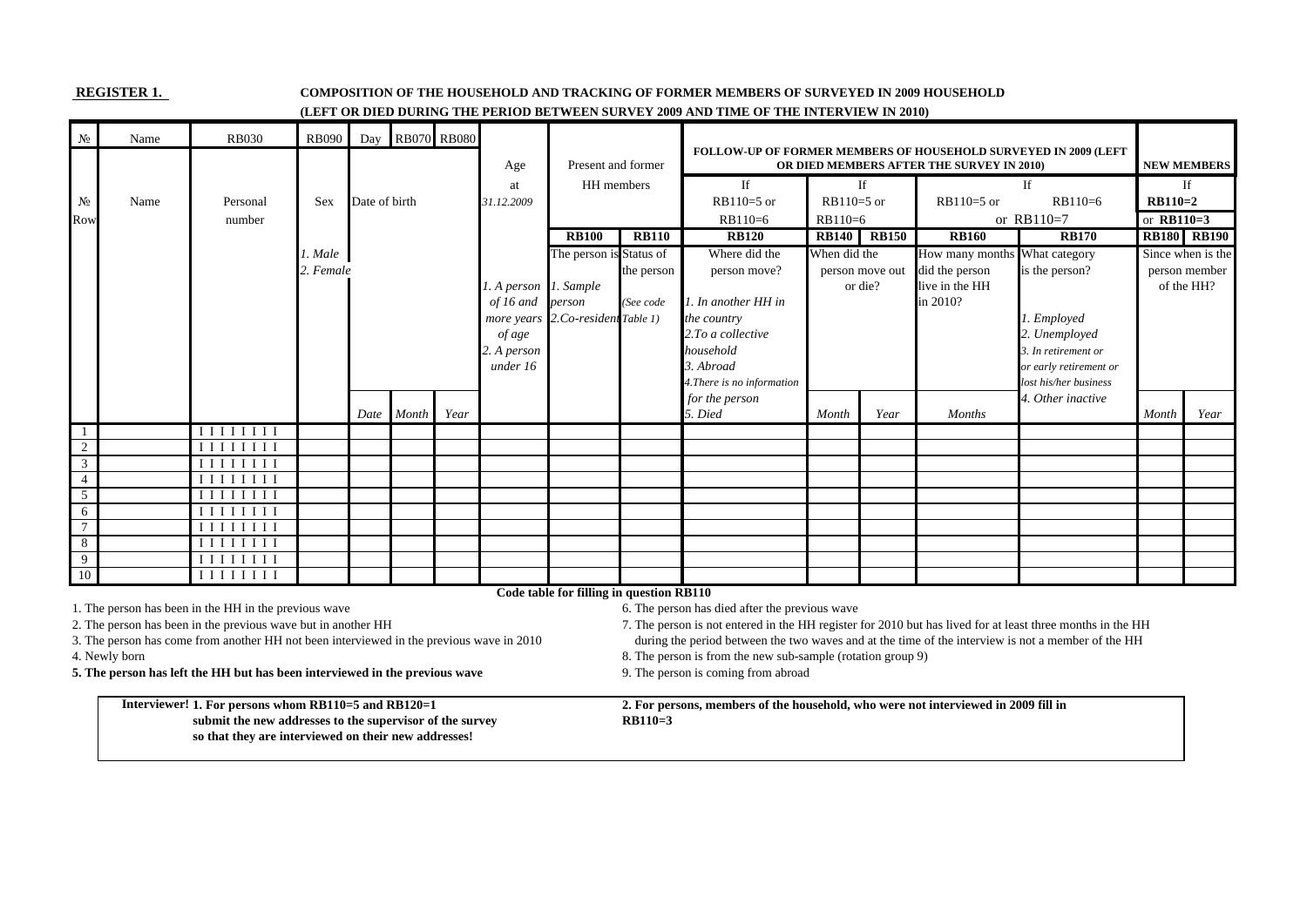#### **REGISTER 1. COMPOSITION OF THE HOUSEHOLD AND TRACKING OF FORMER MEMBERS OF SURVEYED IN 2009 HOUSEHOLD (LEFT OR DIED DURING THE PERIOD BETWEEN SURVEY 2009 AND TIME OF THE INTERVIEW IN 2010)**

| $N_2$          | Name          | <b>RB030</b>                                                                                                                  | <b>RB090</b> |               | Day RB070 RB080 |      |                       |                                          |                                                          | <b>FOLLOW-UP OF FORMER MEMBERS OF HOUSEHOLD SURVEYED IN 2009 (LEFT</b>                                     |              |              |                                           |                        |              |                    |
|----------------|---------------|-------------------------------------------------------------------------------------------------------------------------------|--------------|---------------|-----------------|------|-----------------------|------------------------------------------|----------------------------------------------------------|------------------------------------------------------------------------------------------------------------|--------------|--------------|-------------------------------------------|------------------------|--------------|--------------------|
|                |               |                                                                                                                               |              |               |                 |      | Age                   | Present and former                       |                                                          |                                                                                                            |              |              | OR DIED MEMBERS AFTER THE SURVEY IN 2010) |                        |              | <b>NEW MEMBERS</b> |
|                |               |                                                                                                                               |              |               |                 |      | at                    | HH members                               |                                                          | If                                                                                                         |              | If           |                                           | If                     |              | If                 |
| N <sub>2</sub> | Name          | Personal                                                                                                                      | <b>Sex</b>   | Date of birth |                 |      | 31.12.2009            |                                          |                                                          | $RB110=5$ or                                                                                               | $RB110=5$ or |              | $RB110=5$ or                              | $RB110=6$              | $RB110=2$    |                    |
| Row            |               | number                                                                                                                        |              |               |                 |      |                       |                                          |                                                          | $RB110=6$                                                                                                  | RB110=6      |              |                                           | or $RB110=7$           | or $RB110=3$ |                    |
|                |               |                                                                                                                               |              |               |                 |      |                       | <b>RB100</b>                             | <b>RB110</b>                                             | <b>RB120</b>                                                                                               | <b>RB140</b> | <b>RB150</b> | <b>RB160</b>                              | <b>RB170</b>           |              | <b>RB180 RB190</b> |
|                |               |                                                                                                                               | 1. Male      |               |                 |      |                       | The person is Status of                  |                                                          | Where did the                                                                                              | When did the |              | How many months What category             |                        |              | Since when is the  |
|                |               |                                                                                                                               | 2. Female    |               |                 |      |                       |                                          | person move?<br>the person<br>person move out<br>or die? |                                                                                                            |              |              | did the person<br>live in the HH          | is the person?         |              | person member      |
|                |               |                                                                                                                               |              |               |                 |      | 1. A person 1. Sample |                                          |                                                          |                                                                                                            |              |              | of the HH?                                |                        |              |                    |
|                |               |                                                                                                                               |              |               |                 |      | of 16 and             | person                                   | (See code                                                | 1. In another HH in                                                                                        |              |              | in 2010?                                  |                        |              |                    |
|                |               |                                                                                                                               |              |               |                 |      |                       | more years 2.Co-resident Table 1)        |                                                          | the country                                                                                                |              |              |                                           | 1. Employed            |              |                    |
|                |               |                                                                                                                               |              |               |                 |      | of age                |                                          |                                                          | 2.To a collective                                                                                          |              |              |                                           | 2. Unemployed          |              |                    |
|                |               |                                                                                                                               |              |               |                 |      | 2. A person           |                                          |                                                          | household                                                                                                  |              |              |                                           | 3. In retirement or    |              |                    |
|                |               |                                                                                                                               |              |               |                 |      | under 16              |                                          |                                                          | 3. Abroad                                                                                                  |              |              |                                           | or early retirement or |              |                    |
|                |               |                                                                                                                               |              |               |                 |      |                       |                                          |                                                          | 4. There is no information                                                                                 |              |              |                                           | lost his/her business  |              |                    |
|                |               |                                                                                                                               |              |               | Month           | Year |                       |                                          |                                                          | for the person<br>5. Died                                                                                  | Month        | Year         | <b>Months</b>                             | 4. Other inactive      | Month        | Year               |
|                |               | IIIIIII                                                                                                                       |              | Date          |                 |      |                       |                                          |                                                          |                                                                                                            |              |              |                                           |                        |              |                    |
| -1<br>2        |               | $\begin{array}{c} \textbf{I}\ \textbf{I}\ \textbf{I}\ \textbf{I}\ \textbf{I}\ \textbf{I}\ \textbf{I}\ \textbf{I} \end{array}$ |              |               |                 |      |                       |                                          |                                                          |                                                                                                            |              |              |                                           |                        |              |                    |
| 3              |               | <b>IIIIIIII</b>                                                                                                               |              |               |                 |      |                       |                                          |                                                          |                                                                                                            |              |              |                                           |                        |              |                    |
| $\overline{4}$ |               | $\overline{I\,I\,I\,I\,I\,I\,I}$                                                                                              |              |               |                 |      |                       |                                          |                                                          |                                                                                                            |              |              |                                           |                        |              |                    |
| $\overline{5}$ |               | IIIIIII                                                                                                                       |              |               |                 |      |                       |                                          |                                                          |                                                                                                            |              |              |                                           |                        |              |                    |
| 6              |               | IIIIIII                                                                                                                       |              |               |                 |      |                       |                                          |                                                          |                                                                                                            |              |              |                                           |                        |              |                    |
| $\overline{7}$ |               | IIIIIII                                                                                                                       |              |               |                 |      |                       |                                          |                                                          |                                                                                                            |              |              |                                           |                        |              |                    |
| 8              |               | $I$ $I$ $I$ $I$ $I$ $I$ $I$ $I$                                                                                               |              |               |                 |      |                       |                                          |                                                          |                                                                                                            |              |              |                                           |                        |              |                    |
| 9              |               | $I$ $I$ $I$ $I$ $I$ $I$ $I$ $I$                                                                                               |              |               |                 |      |                       |                                          |                                                          |                                                                                                            |              |              |                                           |                        |              |                    |
| 10             |               | I I I I I I I I                                                                                                               |              |               |                 |      |                       |                                          |                                                          |                                                                                                            |              |              |                                           |                        |              |                    |
|                |               |                                                                                                                               |              |               |                 |      |                       | Code table for filling in question RB110 |                                                          |                                                                                                            |              |              |                                           |                        |              |                    |
|                |               | 1. The person has been in the HH in the previous wave                                                                         |              |               |                 |      |                       |                                          |                                                          | 6. The person has died after the previous wave                                                             |              |              |                                           |                        |              |                    |
|                |               | 2. The person has been in the previous wave but in another HH                                                                 |              |               |                 |      |                       |                                          |                                                          | 7. The person is not entered in the HH register for 2010 but has lived for at least three months in the HH |              |              |                                           |                        |              |                    |
|                |               | 3. The person has come from another HH not been interviewed in the previous wave in 2010                                      |              |               |                 |      |                       |                                          |                                                          | during the period between the two waves and at the time of the interview is not a member of the HH         |              |              |                                           |                        |              |                    |
|                | 4. Newly born |                                                                                                                               |              |               |                 |      |                       |                                          |                                                          | 8. The person is from the new sub-sample (rotation group 9)                                                |              |              |                                           |                        |              |                    |
|                |               | 5. The person has left the HH but has been interviewed in the previous wave                                                   |              |               |                 |      |                       |                                          |                                                          | 9. The person is coming from abroad                                                                        |              |              |                                           |                        |              |                    |
|                |               |                                                                                                                               |              |               |                 |      |                       |                                          |                                                          |                                                                                                            |              |              |                                           |                        |              |                    |
|                |               | Interviewer! 1. For persons whom RB110=5 and RB120=1                                                                          |              |               |                 |      |                       |                                          |                                                          | 2. For persons, members of the household, who were not interviewed in 2009 fill in                         |              |              |                                           |                        |              |                    |
|                |               | submit the new addresses to the supervisor of the survey                                                                      |              |               |                 |      |                       |                                          | $RB110=3$                                                |                                                                                                            |              |              |                                           |                        |              |                    |
|                |               | so that they are interviewed on their new addresses!                                                                          |              |               |                 |      |                       |                                          |                                                          |                                                                                                            |              |              |                                           |                        |              |                    |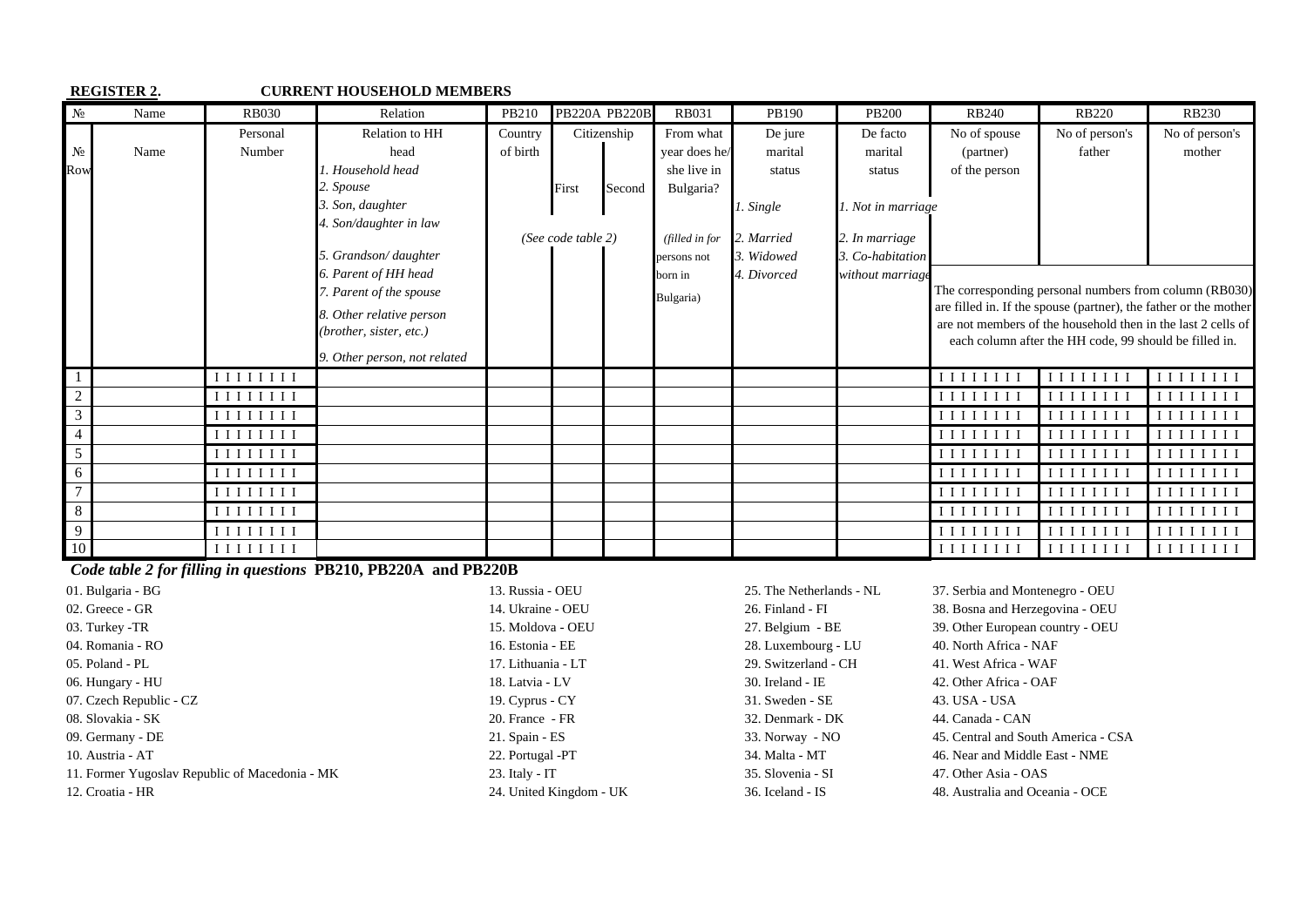|                | <b>REGISTER 2.</b> |                                                                                                                                                                                                                                                                                                                                                                                                                           | <b>CURRENT HOUSEHOLD MEMBERS</b> |          |                    |                      |                |             |                    |                                                                                                                                                                                                                                                                                                         |                                                                                                                            |                                                                                                                               |
|----------------|--------------------|---------------------------------------------------------------------------------------------------------------------------------------------------------------------------------------------------------------------------------------------------------------------------------------------------------------------------------------------------------------------------------------------------------------------------|----------------------------------|----------|--------------------|----------------------|----------------|-------------|--------------------|---------------------------------------------------------------------------------------------------------------------------------------------------------------------------------------------------------------------------------------------------------------------------------------------------------|----------------------------------------------------------------------------------------------------------------------------|-------------------------------------------------------------------------------------------------------------------------------|
| N <sub>2</sub> | Name               | <b>RB030</b>                                                                                                                                                                                                                                                                                                                                                                                                              | Relation                         | PB210    |                    | <b>PB220A PB220B</b> | <b>RB031</b>   | PB190       | <b>PB200</b>       | <b>RB240</b>                                                                                                                                                                                                                                                                                            | <b>RB220</b>                                                                                                               | <b>RB230</b>                                                                                                                  |
|                |                    | Personal                                                                                                                                                                                                                                                                                                                                                                                                                  | Relation to HH                   | Country  |                    | Citizenship          | From what      | De jure     | De facto           | No of spouse                                                                                                                                                                                                                                                                                            | No of person's                                                                                                             | No of person's                                                                                                                |
| $N_2$          | Name               | Number                                                                                                                                                                                                                                                                                                                                                                                                                    | head                             | of birth |                    |                      | year does he/  | marital     | marital            | (partner)                                                                                                                                                                                                                                                                                               | father                                                                                                                     | mother                                                                                                                        |
| Row            |                    |                                                                                                                                                                                                                                                                                                                                                                                                                           | 1. Household head                |          |                    |                      | she live in    | status      | status             | of the person                                                                                                                                                                                                                                                                                           |                                                                                                                            |                                                                                                                               |
|                |                    |                                                                                                                                                                                                                                                                                                                                                                                                                           | 2. Spouse                        |          | First              | Second               | Bulgaria?      |             |                    |                                                                                                                                                                                                                                                                                                         |                                                                                                                            |                                                                                                                               |
|                |                    |                                                                                                                                                                                                                                                                                                                                                                                                                           | 3. Son, daughter                 |          |                    |                      |                | 1. Single   | 1. Not in marriage |                                                                                                                                                                                                                                                                                                         |                                                                                                                            |                                                                                                                               |
|                |                    |                                                                                                                                                                                                                                                                                                                                                                                                                           | 4. Son/daughter in law           |          |                    |                      |                |             |                    |                                                                                                                                                                                                                                                                                                         |                                                                                                                            |                                                                                                                               |
|                |                    |                                                                                                                                                                                                                                                                                                                                                                                                                           |                                  |          | (See code table 2) |                      | (filled in for | 2. Married  | 2. In marriage     |                                                                                                                                                                                                                                                                                                         |                                                                                                                            |                                                                                                                               |
|                |                    |                                                                                                                                                                                                                                                                                                                                                                                                                           | 5. Grandson/daughter             |          |                    |                      | persons not    | 3. Widowed  | 3. Co-habitation   |                                                                                                                                                                                                                                                                                                         |                                                                                                                            |                                                                                                                               |
|                |                    |                                                                                                                                                                                                                                                                                                                                                                                                                           | 6. Parent of HH head             |          |                    |                      | born in        | 4. Divorced | without marriage   |                                                                                                                                                                                                                                                                                                         |                                                                                                                            |                                                                                                                               |
|                |                    |                                                                                                                                                                                                                                                                                                                                                                                                                           | 7. Parent of the spouse          |          |                    |                      | Bulgaria)      |             |                    |                                                                                                                                                                                                                                                                                                         | The corresponding personal numbers from column (RB030)<br>are filled in. If the spouse (partner), the father or the mother |                                                                                                                               |
|                |                    |                                                                                                                                                                                                                                                                                                                                                                                                                           | 8. Other relative person         |          |                    |                      |                |             |                    |                                                                                                                                                                                                                                                                                                         | are not members of the household then in the last 2 cells of                                                               |                                                                                                                               |
|                |                    |                                                                                                                                                                                                                                                                                                                                                                                                                           | (brother, sister, etc.)          |          |                    |                      |                |             |                    |                                                                                                                                                                                                                                                                                                         | each column after the HH code, 99 should be filled in.                                                                     |                                                                                                                               |
|                |                    |                                                                                                                                                                                                                                                                                                                                                                                                                           | 9. Other person, not related     |          |                    |                      |                |             |                    |                                                                                                                                                                                                                                                                                                         |                                                                                                                            |                                                                                                                               |
|                |                    | $\begin{array}{c c c c c} \textbf{I} & \textbf{I} & \textbf{I} & \textbf{I} & \textbf{I} & \textbf{I} & \textbf{I} & \textbf{I} & \textbf{I} & \textbf{I} & \textbf{I} & \textbf{I} & \textbf{I} & \textbf{I} & \textbf{I} & \textbf{I} & \textbf{I} & \textbf{I} & \textbf{I} & \textbf{I} & \textbf{I} & \textbf{I} & \textbf{I} & \textbf{I} & \textbf{I} & \textbf{I} & \textbf{I} & \textbf{I} & \textbf{I} & \text$ |                                  |          |                    |                      |                |             |                    | IIIIIIII                                                                                                                                                                                                                                                                                                | IIIIIIII                                                                                                                   | IIIIIIII                                                                                                                      |
| $\overline{2}$ |                    | IIIIIIII                                                                                                                                                                                                                                                                                                                                                                                                                  |                                  |          |                    |                      |                |             |                    | IIIIIIII                                                                                                                                                                                                                                                                                                | IIIIIIII                                                                                                                   | $\begin{array}{c} \textbf{I}\ \textbf{I}\ \textbf{I}\ \textbf{I}\ \textbf{I}\ \textbf{I}\ \textbf{I}\ \textbf{I} \end{array}$ |
| 3              |                    | IIIIIIII                                                                                                                                                                                                                                                                                                                                                                                                                  |                                  |          |                    |                      |                |             |                    | IIIIIIII                                                                                                                                                                                                                                                                                                | $I$ $I$ $I$ $I$ $I$ $I$ $I$ $I$                                                                                            | IIIIIIII                                                                                                                      |
| $\overline{4}$ |                    | IIIIIII                                                                                                                                                                                                                                                                                                                                                                                                                   |                                  |          |                    |                      |                |             |                    | IIIIIII                                                                                                                                                                                                                                                                                                 | <b>IIIIIIII</b>                                                                                                            | I I I I I I I I                                                                                                               |
| $\mathfrak{S}$ |                    | $\begin{array}{c c} \textbf{I} & \textbf{I} & \textbf{I} & \textbf{I} & \textbf{I} & \textbf{I} & \textbf{I} \end{array}$                                                                                                                                                                                                                                                                                                 |                                  |          |                    |                      |                |             |                    | $[$ [[ $[$ [ $[$ [ $[$ $]$ ]]]]                                                                                                                                                                                                                                                                         |                                                                                                                            | I I I I I I I I                                                                                                               |
| 6              |                    | $\begin{array}{c} \textbf{I}\ \textbf{I}\ \textbf{I}\ \textbf{I}\ \textbf{I}\ \textbf{I}\ \textbf{I}\ \textbf{I} \end{array}$                                                                                                                                                                                                                                                                                             |                                  |          |                    |                      |                |             |                    | $[$ [ $[$ [ $[$ $]$ $[$ $[$ $]$ $[$ $[$ $]$ $[$ $]$ $[$ $[$ $]$ $[$ $]$ $[$ $]$ $[$ $]$ $[$ $]$ $[$ $]$ $[$ $]$ $[$ $]$ $[$ $]$ $[$ $]$ $[$ $]$ $[$ $]$ $[$ $]$ $[$ $]$ $[$ $]$ $[$ $]$ $[$ $]$ $[$ $]$ $[$ $]$ $[$ $]$ $[$ $]$ $[$ $]$ $[$ $]$ $[$ $]$ $[$ $]$ $[$ $]$ $[$ $]$ $[$ $]$ $[$ $]$ $[$ $]$ |                                                                                                                            | $I$ $I$ $I$ $I$ $I$ $I$ $I$ $I$                                                                                               |
| $\overline{7}$ |                    | I I I I I I I I                                                                                                                                                                                                                                                                                                                                                                                                           |                                  |          |                    |                      |                |             |                    | $[$ [[ $[$ [ $[$ [ $[$ $]$ ]]]]                                                                                                                                                                                                                                                                         | $[$ [[ $[$ [ $[$ [ $]$ ]]]]]                                                                                               | I I I I I I I I                                                                                                               |
| 8              |                    | $\begin{array}{c c c c c} \textbf{I} & \textbf{I} & \textbf{I} & \textbf{I} & \textbf{I} & \textbf{I} & \textbf{I} & \textbf{I} & \textbf{I} & \textbf{I} & \textbf{I} & \textbf{I} & \textbf{I} & \textbf{I} & \textbf{I} & \textbf{I} & \textbf{I} & \textbf{I} & \textbf{I} & \textbf{I} & \textbf{I} & \textbf{I} & \textbf{I} & \textbf{I} & \textbf{I} & \textbf{I} & \textbf{I} & \textbf{I} & \textbf{I} & \text$ |                                  |          |                    |                      |                |             |                    | $\begin{array}{c} \textbf{I}\ \textbf{I}\ \textbf{I}\ \textbf{I}\ \textbf{I}\ \textbf{I}\ \textbf{I}\ \textbf{I} \end{array}$                                                                                                                                                                           | IIIIIIII                                                                                                                   | $\begin{array}{c} \textbf{I}\ \textbf{I}\ \textbf{I}\ \textbf{I}\ \textbf{I}\ \textbf{I}\ \textbf{I}\ \textbf{I} \end{array}$ |
| 9              |                    | $\begin{array}{c c} \textbf{I} & \textbf{I} & \textbf{I} & \textbf{I} & \textbf{I} & \textbf{I} & \textbf{I} \end{array}$                                                                                                                                                                                                                                                                                                 |                                  |          |                    |                      |                |             |                    | $I$ $I$ $I$ $I$ $I$ $I$ $I$                                                                                                                                                                                                                                                                             | I I I I I I I                                                                                                              | I I I I                                                                                                                       |
| 10             |                    | $\begin{array}{c c c c c} \textbf{I} & \textbf{I} & \textbf{I} & \textbf{I} & \textbf{I} & \textbf{I} & \textbf{I} & \textbf{I} & \textbf{I} & \textbf{I} & \textbf{I} & \textbf{I} & \textbf{I} & \textbf{I} & \textbf{I} & \textbf{I} & \textbf{I} & \textbf{I} & \textbf{I} & \textbf{I} & \textbf{I} & \textbf{I} & \textbf{I} & \textbf{I} & \textbf{I} & \textbf{I} & \textbf{I} & \textbf{I} & \textbf{I} & \text$ |                                  |          |                    |                      |                |             |                    | $\begin{array}{c c c c c} \hline \textbf{I} & \textbf{I} & \textbf{I} & \textbf{I} & \textbf{I} & \textbf{I} & \textbf{I} & \textbf{I} & \textbf{I} & \textbf{I} \end{array}$                                                                                                                           | IIIIIIII                                                                                                                   | $I$ $I$ $I$ $I$ $I$ $I$ $I$ $I$                                                                                               |

 *Code table 2 for filling in questions* **PB210, PB220A and PB220B** 

| 01. Bulgaria - BG                              | 13. Russia - OEU        | 25. The Netherlands - NL | 37. Serbia and Montenegro - OEU     |
|------------------------------------------------|-------------------------|--------------------------|-------------------------------------|
| 02. Greece - GR                                | 14. Ukraine - OEU       | 26. Finland - FI         | 38. Bosna and Herzegovina - OEU     |
| 03. Turkey -TR                                 | 15. Moldova - OEU       | 27. Belgium - BE         | 39. Other European country - OEU    |
| 04. Romania - RO                               | 16. Estonia - EE        | 28. Luxembourg - LU      | 40. North Africa - NAF              |
| 05. Poland - PL                                | 17. Lithuania - LT      | 29. Switzerland - CH     | 41. West Africa - WAF               |
| 06. Hungary - HU                               | 18. Latvia - LV         | $30.$ Ireland - IE       | 42. Other Africa - OAF              |
| 07. Czech Republic - CZ                        | 19. Cyprus - $CY$       | 31. Sweden - SE          | 43. USA - USA                       |
| 08. Slovakia - SK                              | 20. France - FR         | 32. Denmark - DK         | 44. Canada - CAN                    |
| 09. Germany - DE                               | $21.$ Spain - ES        | 33. Norway - NO          | 45. Central and South America - CSA |
| 10. Austria - AT                               | 22. Portugal -PT        | 34. Malta - MT           | 46. Near and Middle East - NME      |
| 11. Former Yugoslav Republic of Macedonia - MK | $23.$ Italy - IT        | 35. Slovenia - SI        | 47. Other Asia - OAS                |
| 12. Croatia - HR                               | 24. United Kingdom - UK | 36. Iceland - IS         | 48. Australia and Oceania - OCE     |
|                                                |                         |                          |                                     |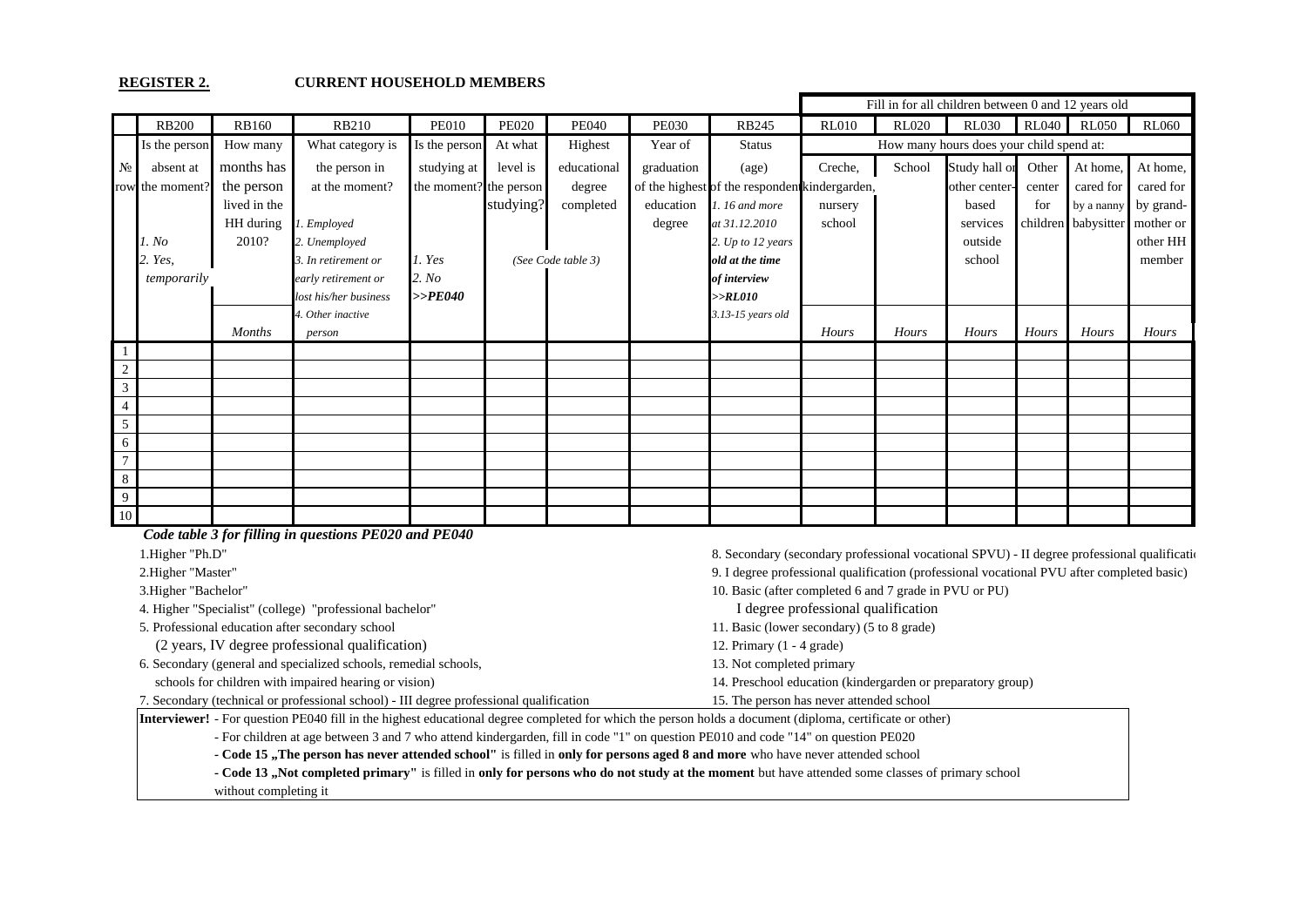#### **REGISTER 2. CURRENT HOUSEHOLD MEMBERS**

|                      |                 |               |                       |                        |              |                    |              |                                                | Fill in for all children between 0 and 12 years old |              |                                          |              |              |              |
|----------------------|-----------------|---------------|-----------------------|------------------------|--------------|--------------------|--------------|------------------------------------------------|-----------------------------------------------------|--------------|------------------------------------------|--------------|--------------|--------------|
|                      | <b>RB200</b>    | <b>RB160</b>  | <b>RB210</b>          | <b>PE010</b>           | <b>PE020</b> | <b>PE040</b>       | <b>PE030</b> | <b>RB245</b>                                   | <b>RL010</b>                                        | <b>RL020</b> | <b>RL030</b>                             | <b>RL040</b> | <b>RL050</b> | <b>RL060</b> |
|                      | Is the person   | How many      | What category is      | Is the person          | At what      | Highest            | Year of      | <b>Status</b>                                  |                                                     |              | How many hours does your child spend at: |              |              |              |
| $N_2$                | absent at       | months has    | the person in         | studying at            | level is     | educational        | graduation   | (age)                                          | Creche,                                             | School       | Study hall or                            | Other        | At home,     | At home,     |
|                      | row the moment? | the person    | at the moment?        | the moment? the person |              | degree             |              | of the highest of the respondent kindergarden, |                                                     |              | other center-                            | center       | cared for    | cared for    |
|                      |                 | lived in the  |                       |                        | studying?    | completed          | education    | 1.16 and more                                  | nursery                                             |              | based                                    | for          | by a nanny   | by grand-    |
|                      |                 | HH during     | 1. Employed           |                        |              |                    | degree       | at 31.12.2010                                  | school                                              |              | services                                 | children     | babysitter   | mother or    |
|                      | 1. No           | 2010?         | 2. Unemployed         |                        |              |                    |              | 2. Up to 12 years                              |                                                     |              | outside                                  |              |              | other HH     |
|                      | 2. Yes,         |               | 3. In retirement or   | l. Yes                 |              | (See Code table 3) |              | old at the time                                |                                                     |              | school                                   |              |              | member       |
|                      | temporarily     |               | early retirement or   | 2. No                  |              |                    |              | of interview                                   |                                                     |              |                                          |              |              |              |
|                      |                 |               | lost his/her business | $>>$ PE040             |              |                    |              | >>RL010                                        |                                                     |              |                                          |              |              |              |
|                      |                 |               | 4. Other inactive     |                        |              |                    |              | 3.13-15 years old                              |                                                     |              |                                          |              |              |              |
|                      |                 | <b>Months</b> | person                |                        |              |                    |              |                                                | Hours                                               | Hours        | Hours                                    | Hours        | Hours        | Hours        |
|                      |                 |               |                       |                        |              |                    |              |                                                |                                                     |              |                                          |              |              |              |
| 2                    |                 |               |                       |                        |              |                    |              |                                                |                                                     |              |                                          |              |              |              |
| $\mathfrak{Z}$       |                 |               |                       |                        |              |                    |              |                                                |                                                     |              |                                          |              |              |              |
| $\overline{4}$       |                 |               |                       |                        |              |                    |              |                                                |                                                     |              |                                          |              |              |              |
| $5\overline{)}$<br>6 |                 |               |                       |                        |              |                    |              |                                                |                                                     |              |                                          |              |              |              |
| $7\phantom{.0}$      |                 |               |                       |                        |              |                    |              |                                                |                                                     |              |                                          |              |              |              |
| $\,8\,$              |                 |               |                       |                        |              |                    |              |                                                |                                                     |              |                                          |              |              |              |
| 9                    |                 |               |                       |                        |              |                    |              |                                                |                                                     |              |                                          |              |              |              |
| 10                   |                 |               |                       |                        |              |                    |              |                                                |                                                     |              |                                          |              |              |              |

| Code table 3 for filling in questions PE020 and PE040                                                                                                           |                                                                                              |  |  |  |  |  |
|-----------------------------------------------------------------------------------------------------------------------------------------------------------------|----------------------------------------------------------------------------------------------|--|--|--|--|--|
| 1. Higher "Ph.D"                                                                                                                                                | 8. Secondary (secondary professional vocational SPVU) - II degree professional qualification |  |  |  |  |  |
| 2. Higher "Master"                                                                                                                                              | 9. I degree professional qualification (professional vocational PVU after completed basic)   |  |  |  |  |  |
| 3. Higher "Bachelor"                                                                                                                                            | 10. Basic (after completed 6 and 7 grade in PVU or PU)                                       |  |  |  |  |  |
| 4. Higher "Specialist" (college) "professional bachelor"                                                                                                        | I degree professional qualification                                                          |  |  |  |  |  |
| 5. Professional education after secondary school                                                                                                                | 11. Basic (lower secondary) (5 to 8 grade)                                                   |  |  |  |  |  |
| (2 years, IV degree professional qualification)                                                                                                                 | 12. Primary $(1 - 4$ grade)                                                                  |  |  |  |  |  |
| 6. Secondary (general and specialized schools, remedial schools,<br>13. Not completed primary                                                                   |                                                                                              |  |  |  |  |  |
| schools for children with impaired hearing or vision)                                                                                                           | 14. Preschool education (kindergarden or preparatory group)                                  |  |  |  |  |  |
| 7. Secondary (technical or professional school) - III degree professional qualification                                                                         | 15. The person has never attended school                                                     |  |  |  |  |  |
| <b>Interviewer!</b> - For question PE040 fill in the highest educational degree completed for which the person holds a document (diploma, certificate or other) |                                                                                              |  |  |  |  |  |
| - For children at age between 3 and 7 who attend kindergarden, fill in code "1" on question PE010 and code "14" on question PE020                               |                                                                                              |  |  |  |  |  |
| - Code 15, The person has never attended school" is filled in only for persons aged 8 and more who have never attended school                                   |                                                                                              |  |  |  |  |  |
| - Code 13, Not completed primary" is filled in only for persons who do not study at the moment but have attended some classes of primary school                 |                                                                                              |  |  |  |  |  |
| without completing it                                                                                                                                           |                                                                                              |  |  |  |  |  |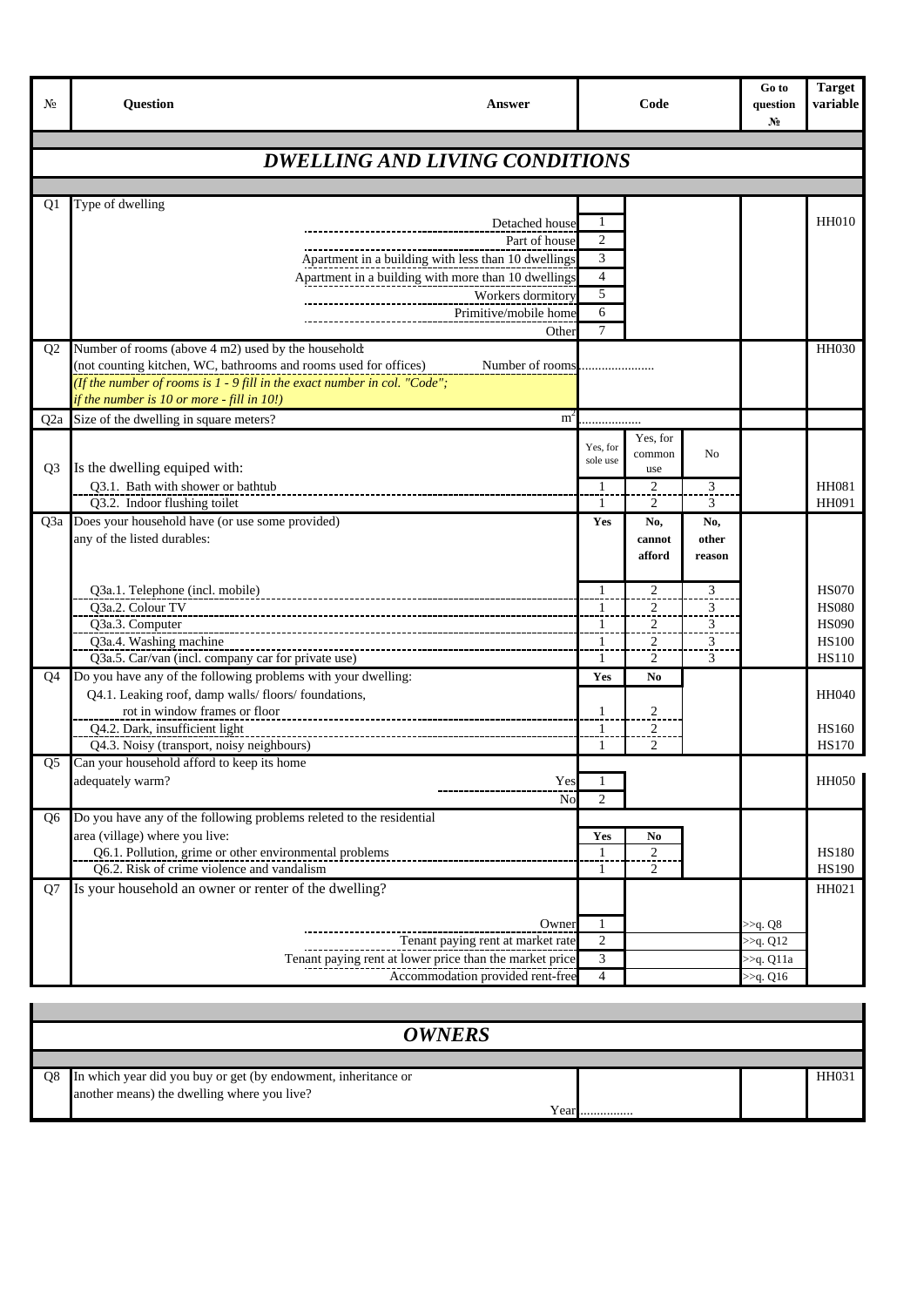| N <sub>2</sub> | <b>Question</b><br>Answer                                                               | Code           |                     |                         | Go to<br>question<br>N <sub>2</sub> | <b>Target</b><br>variable    |
|----------------|-----------------------------------------------------------------------------------------|----------------|---------------------|-------------------------|-------------------------------------|------------------------------|
|                | <b>DWELLING AND LIVING CONDITIONS</b>                                                   |                |                     |                         |                                     |                              |
|                |                                                                                         |                |                     |                         |                                     |                              |
| Q1             | Type of dwelling                                                                        |                |                     |                         |                                     |                              |
|                | Detached house                                                                          | 1              |                     |                         |                                     | <b>HH010</b>                 |
|                | Part of house                                                                           | $\overline{c}$ |                     |                         |                                     |                              |
|                | Apartment in a building with less than 10 dwellings                                     | 3              |                     |                         |                                     |                              |
|                | Apartment in a building with more than 10 dwellings                                     | 4              |                     |                         |                                     |                              |
|                | Workers dormitory                                                                       | 5              |                     |                         |                                     |                              |
|                | Primitive/mobile home                                                                   | 6              |                     |                         |                                     |                              |
|                | Other                                                                                   | $\tau$         |                     |                         |                                     |                              |
| Q <sub>2</sub> | Number of rooms (above 4 m2) used by the household:                                     |                |                     |                         |                                     | <b>HH030</b>                 |
|                | (not counting kitchen, WC, bathrooms and rooms used for offices)<br>Number of rooms     |                |                     |                         |                                     |                              |
|                | (If the number of rooms is $1$ - 9 fill in the exact number in col. "Code";             |                |                     |                         |                                     |                              |
|                | if the number is 10 or more - fill in 10!)                                              |                |                     |                         |                                     |                              |
| Q2a            | Size of the dwelling in square meters?<br>m <sup>2</sup>                                |                |                     |                         |                                     |                              |
|                |                                                                                         | Yes, for       | Yes, for            |                         |                                     |                              |
| Q <sub>3</sub> | Is the dwelling equiped with:                                                           | sole use       | common<br>use       | No                      |                                     |                              |
|                | Q3.1. Bath with shower or bathtub                                                       | $\overline{1}$ | $\overline{2}$      | 3                       |                                     | HH081                        |
|                | Q3.2. Indoor flushing toilet                                                            | 1              | 2                   | 3                       |                                     | HH091                        |
| Q3a            | Does your household have (or use some provided)                                         | Yes            | No.                 | No,                     |                                     |                              |
|                | any of the listed durables:                                                             |                | cannot              | other                   |                                     |                              |
|                |                                                                                         |                | afford              | reason                  |                                     |                              |
|                |                                                                                         |                |                     |                         |                                     |                              |
|                | Q3a.1. Telephone (incl. mobile)                                                         | $\mathbf{1}$   | $\overline{c}$      | 3                       |                                     | <b>HS070</b>                 |
|                | Q3a.2. Colour TV                                                                        | -1             | 2                   | 3                       |                                     | <b>HS080</b>                 |
|                | Q3a.3. Computer                                                                         | 1.             | $\overline{2}$      | $\overline{\mathbf{3}}$ |                                     | <b>HS090</b>                 |
|                | Q3a.4. Washing machine                                                                  | 1              | $\overline{c}$      | $\overline{\mathbf{3}}$ |                                     | <b>HS100</b>                 |
|                | Q3a.5. Car/van (incl. company car for private use)                                      | 1              | $\overline{c}$      | 3                       |                                     | <b>HS110</b>                 |
| Q4             | Do you have any of the following problems with your dwelling:                           | Yes            | N <sub>0</sub>      |                         |                                     |                              |
|                | Q4.1. Leaking roof, damp walls/floors/foundations,                                      |                |                     |                         |                                     | <b>HH040</b>                 |
|                | rot in window frames or floor                                                           | 1              | $\overline{c}$      |                         |                                     |                              |
|                | Q4.2. Dark, insufficient light                                                          | 1<br>1         | $\overline{2}$<br>2 |                         |                                     | <b>HS160</b><br><b>HS170</b> |
| O5             | Q4.3. Noisy (transport, noisy neighbours)<br>Can your household afford to keep its home |                |                     |                         |                                     |                              |
|                | adequately warm?<br>Yes                                                                 |                |                     |                         |                                     | <b>HH050</b>                 |
|                | No                                                                                      | $\overline{c}$ |                     |                         |                                     |                              |
| 06             | Do you have any of the following problems releted to the residential                    |                |                     |                         |                                     |                              |
|                | area (village) where you live:                                                          | Yes            | No                  |                         |                                     |                              |
|                | Q6.1. Pollution, grime or other environmental problems                                  | $\mathbf{1}$   | $\mathfrak{D}$      |                         |                                     | <b>HS180</b>                 |
|                | Q6.2. Risk of crime violence and vandalism                                              | $\mathbf{1}$   | $\overline{c}$      |                         |                                     | <b>HS190</b>                 |
| Q7             | Is your household an owner or renter of the dwelling?                                   |                |                     |                         |                                     | HH021                        |
|                |                                                                                         |                |                     |                         |                                     |                              |
|                | Owner                                                                                   | 1              |                     |                         | >> <sub>q</sub> . Q8                |                              |
|                | Tenant paying rent at market rate                                                       | $\overline{c}$ |                     |                         | $>>q$ . Q12                         |                              |
|                | Tenant paying rent at lower price than the market price                                 | 3              |                     |                         | >> <sub>q</sub> . Q11a              |                              |
|                | Accommodation provided rent-free                                                        | $\overline{4}$ |                     |                         | >>q. Q16                            |                              |

|    | <b>OWNERS</b>                                                                                                             |  |       |  |  |  |  |  |  |
|----|---------------------------------------------------------------------------------------------------------------------------|--|-------|--|--|--|--|--|--|
|    |                                                                                                                           |  |       |  |  |  |  |  |  |
| Q8 | In which year did you buy or get (by endowment, inheritance or<br>another means) the dwelling where you live?<br>Year<br> |  | HH031 |  |  |  |  |  |  |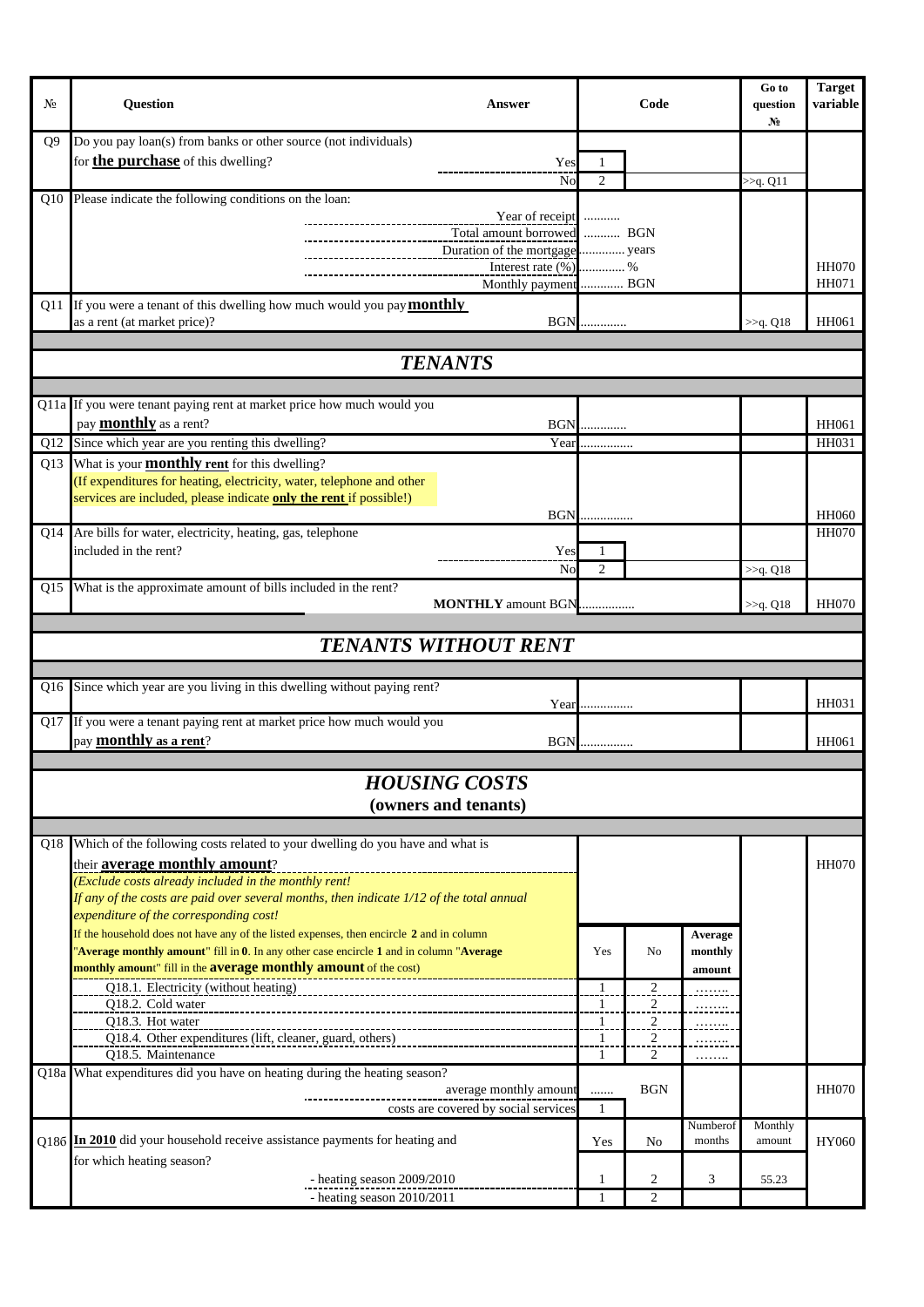| N <sub>2</sub> | <b>Question</b>                                                                                                                                                                     | Answer                                                         |                | Code           |                    | Go to<br>question<br>$N_2$ | <b>Target</b><br>variable |
|----------------|-------------------------------------------------------------------------------------------------------------------------------------------------------------------------------------|----------------------------------------------------------------|----------------|----------------|--------------------|----------------------------|---------------------------|
| O9             | Do you pay loan(s) from banks or other source (not individuals)                                                                                                                     |                                                                |                |                |                    |                            |                           |
|                | for <b>the purchase</b> of this dwelling?                                                                                                                                           | Yes                                                            |                |                |                    |                            |                           |
|                |                                                                                                                                                                                     | No                                                             | 2              |                |                    | >> <sub>q</sub> . Q11      |                           |
| Q10            | Please indicate the following conditions on the loan:                                                                                                                               |                                                                |                |                |                    |                            |                           |
|                |                                                                                                                                                                                     | Year of receipt                                                |                |                |                    |                            |                           |
|                |                                                                                                                                                                                     | Total amount borrowed  BGN                                     |                |                |                    |                            |                           |
|                |                                                                                                                                                                                     | Duration of the mortgage years<br>Interest rate $(\%)$ %       |                |                |                    |                            | <b>HH070</b>              |
|                |                                                                                                                                                                                     | Monthly payment  BGN                                           |                |                |                    |                            | <b>HH071</b>              |
| Q11            | If you were a tenant of this dwelling how much would you pay <b>monthly</b>                                                                                                         |                                                                |                |                |                    |                            |                           |
|                | as a rent (at market price)?                                                                                                                                                        | <b>BGN</b>                                                     |                |                |                    | >> <sub>q</sub> . Q18      | HH061                     |
|                |                                                                                                                                                                                     |                                                                |                |                |                    |                            |                           |
|                |                                                                                                                                                                                     | <b>TENANTS</b>                                                 |                |                |                    |                            |                           |
|                |                                                                                                                                                                                     |                                                                |                |                |                    |                            |                           |
|                | Q11a If you were tenant paying rent at market price how much would you                                                                                                              |                                                                |                |                |                    |                            |                           |
|                | pay <b>monthly</b> as a rent?                                                                                                                                                       |                                                                | <b>BGN</b>     |                |                    |                            | HH061                     |
| Q12            | Since which year are you renting this dwelling?                                                                                                                                     | Year                                                           | .              |                |                    |                            | HH031                     |
| Q13            | What is your <b>monthly rent</b> for this dwelling?                                                                                                                                 |                                                                |                |                |                    |                            |                           |
|                | (If expenditures for heating, electricity, water, telephone and other                                                                                                               |                                                                |                |                |                    |                            |                           |
|                | services are included, please indicate <b>only the rent</b> if possible!)                                                                                                           |                                                                |                |                |                    |                            |                           |
|                |                                                                                                                                                                                     |                                                                | <b>BGN</b>     |                |                    |                            | <b>HH060</b>              |
|                | Q14 Are bills for water, electricity, heating, gas, telephone                                                                                                                       |                                                                |                |                |                    |                            | <b>HH070</b>              |
|                | included in the rent?                                                                                                                                                               | Yes                                                            |                |                |                    |                            |                           |
|                |                                                                                                                                                                                     | No                                                             | $\mathfrak{D}$ |                |                    | >>q. Q18                   |                           |
|                | Q15 What is the approximate amount of bills included in the rent?                                                                                                                   | <b>MONTHLY</b> amount BGN                                      |                |                |                    | $>>q$ . Q18                | <b>HH070</b>              |
|                |                                                                                                                                                                                     |                                                                |                |                |                    |                            |                           |
|                |                                                                                                                                                                                     | <b>TENANTS WITHOUT RENT</b>                                    |                |                |                    |                            |                           |
|                |                                                                                                                                                                                     |                                                                |                |                |                    |                            |                           |
| Q16            | Since which year are you living in this dwelling without paying rent?                                                                                                               |                                                                |                |                |                    |                            |                           |
|                |                                                                                                                                                                                     | Year                                                           | .              |                |                    |                            | HH031                     |
| Q17            | If you were a tenant paying rent at market price how much would you                                                                                                                 |                                                                |                |                |                    |                            |                           |
|                | pay <b>monthly</b> as a rent?                                                                                                                                                       | <b>BGN</b>                                                     |                |                |                    |                            | HH061                     |
|                |                                                                                                                                                                                     |                                                                |                |                |                    |                            |                           |
|                |                                                                                                                                                                                     | <b>HOUSING COSTS</b>                                           |                |                |                    |                            |                           |
|                |                                                                                                                                                                                     | (owners and tenants)                                           |                |                |                    |                            |                           |
|                |                                                                                                                                                                                     |                                                                |                |                |                    |                            |                           |
| Q18            | Which of the following costs related to your dwelling do you have and what is                                                                                                       |                                                                |                |                |                    |                            |                           |
|                | their average monthly amount?                                                                                                                                                       |                                                                |                |                |                    |                            | <b>HH070</b>              |
|                | (Exclude costs already included in the monthly rent!                                                                                                                                |                                                                |                |                |                    |                            |                           |
|                | If any of the costs are paid over several months, then indicate $1/12$ of the total annual                                                                                          |                                                                |                |                |                    |                            |                           |
|                | expenditure of the corresponding cost!                                                                                                                                              |                                                                |                |                |                    |                            |                           |
|                | If the household does not have any of the listed expenses, then encircle 2 and in column<br>'Average monthly amount" fill in 0. In any other case encircle 1 and in column "Average |                                                                | Yes            | N <sub>o</sub> | Average<br>monthly |                            |                           |
|                | monthly amount" fill in the <b>average monthly amount</b> of the cost)                                                                                                              |                                                                |                |                | amount             |                            |                           |
|                | Q18.1. Electricity (without heating)                                                                                                                                                |                                                                | $\mathbf{1}$   | $\overline{c}$ |                    |                            |                           |
|                | Q18.2. Cold water                                                                                                                                                                   |                                                                | $\mathbf{1}$   | $\overline{2}$ | .                  |                            |                           |
|                | Q18.3. Hot water                                                                                                                                                                    |                                                                | 1              | $\overline{2}$ | .                  |                            |                           |
|                | Q18.4. Other expenditures (lift, cleaner, guard, others)                                                                                                                            |                                                                | $\mathbf{1}$   | $\overline{c}$ | $\cdots$           |                            |                           |
|                | O18.5. Maintenance                                                                                                                                                                  |                                                                | 1              | 2              | .                  |                            |                           |
|                | Q18a What expenditures did you have on heating during the heating season?                                                                                                           |                                                                |                | <b>BGN</b>     |                    |                            | <b>HH070</b>              |
|                |                                                                                                                                                                                     | average monthly amount<br>costs are covered by social services | <br>1          |                |                    |                            |                           |
|                |                                                                                                                                                                                     |                                                                |                |                | Numberof           | Monthly                    |                           |
|                | Q186 In 2010 did your household receive assistance payments for heating and                                                                                                         |                                                                | Yes            | No             | months             | amount                     | HY060                     |
|                | for which heating season?                                                                                                                                                           |                                                                |                |                |                    |                            |                           |
|                | - heating season 2009/2010                                                                                                                                                          |                                                                | 1              | 2              | 3                  | 55.23                      |                           |
|                | - heating season 2010/2011                                                                                                                                                          |                                                                | $\mathbf{1}$   | $\overline{c}$ |                    |                            |                           |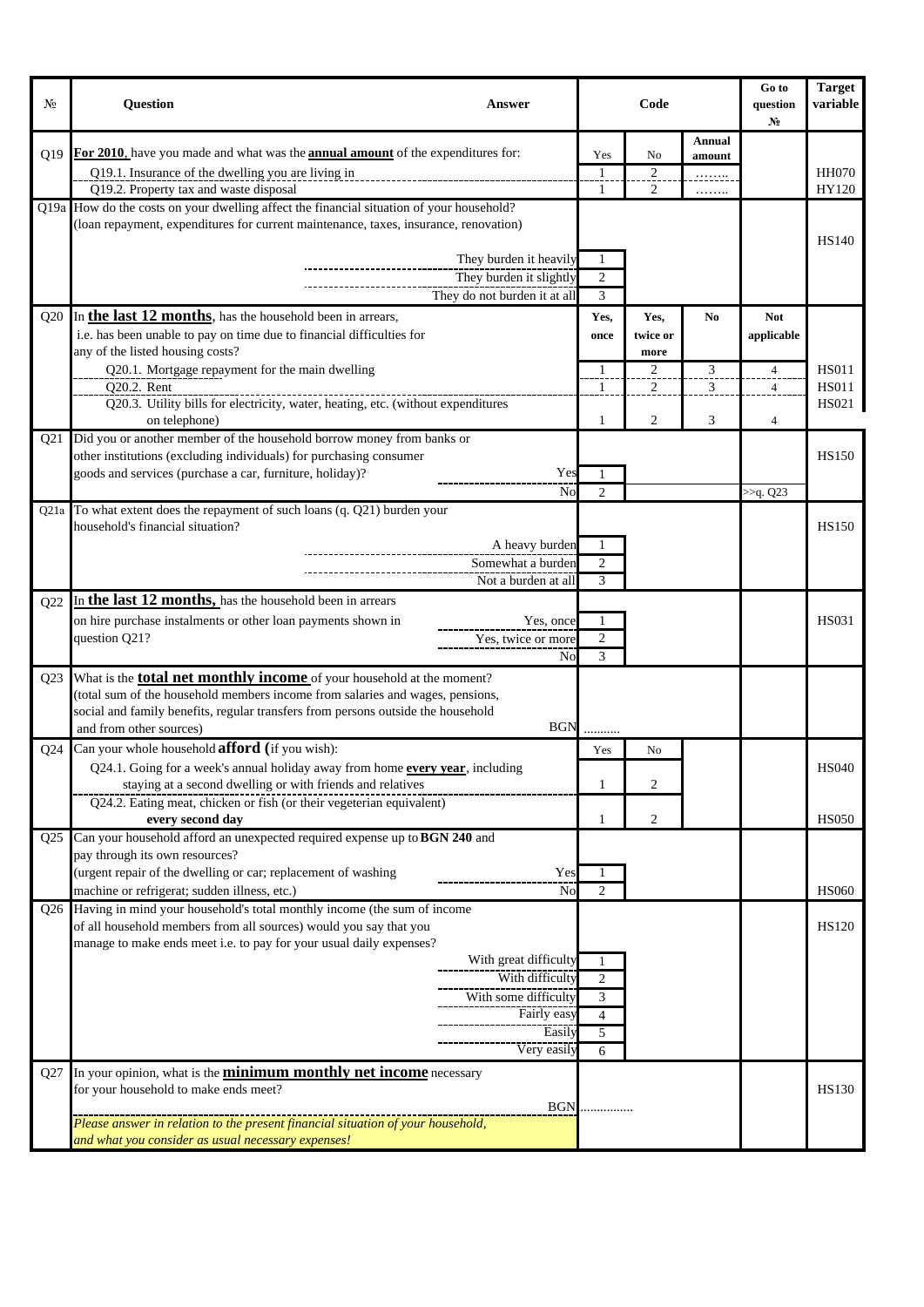| No.             | <b>Question</b><br>Answer                                                                                                          |                | Code           |                | Go to<br>question<br>$N_2$ | <b>Target</b><br>variable |
|-----------------|------------------------------------------------------------------------------------------------------------------------------------|----------------|----------------|----------------|----------------------------|---------------------------|
|                 |                                                                                                                                    |                |                | Annual         |                            |                           |
| O <sub>19</sub> | For 2010, have you made and what was the <b>annual amount</b> of the expenditures for:                                             | Yes            | No             | amount         |                            |                           |
|                 | Q19.1. Insurance of the dwelling you are living in                                                                                 | 1              | $\sqrt{2}$     |                |                            | <b>HH070</b><br>HY120     |
|                 | Q19.2. Property tax and waste disposal<br>Q19a How do the costs on your dwelling affect the financial situation of your household? | 1              | 2              | .              |                            |                           |
|                 | (loan repayment, expenditures for current maintenance, taxes, insurance, renovation)                                               |                |                |                |                            |                           |
|                 |                                                                                                                                    |                |                |                |                            | <b>HS140</b>              |
|                 | They burden it heavily                                                                                                             |                |                |                |                            |                           |
|                 | They burden it slightly                                                                                                            | $\overline{c}$ |                |                |                            |                           |
|                 | They do not burden it at all                                                                                                       | 3              |                |                |                            |                           |
| Q20             | In the last 12 months, has the household been in arrears,                                                                          | Yes,           | Yes,           | N <sub>0</sub> | <b>Not</b>                 |                           |
|                 | i.e. has been unable to pay on time due to financial difficulties for                                                              | once           | twice or       |                | applicable                 |                           |
|                 | any of the listed housing costs?                                                                                                   |                | more           |                |                            |                           |
|                 | Q20.1. Mortgage repayment for the main dwelling                                                                                    | 1              | $\overline{2}$ | 3              | $\overline{4}$             | <b>HS011</b>              |
|                 | Q20.2. Rent<br>Q20.3. Utility bills for electricity, water, heating, etc. (without expenditures                                    | -1             | 2              | 3              | $\overline{4}$             | <b>HS011</b><br>HS021     |
|                 | on telephone)                                                                                                                      | 1              | $\overline{2}$ | 3              | 4                          |                           |
| Q <sub>21</sub> | Did you or another member of the household borrow money from banks or                                                              |                |                |                |                            |                           |
|                 | other institutions (excluding individuals) for purchasing consumer                                                                 |                |                |                |                            | <b>HS150</b>              |
|                 | Yes<br>goods and services (purchase a car, furniture, holiday)?                                                                    |                |                |                |                            |                           |
|                 | No                                                                                                                                 | $\overline{c}$ |                |                | >>q. Q23                   |                           |
| Q21a            | To what extent does the repayment of such loans (q. Q21) burden your                                                               |                |                |                |                            |                           |
|                 | household's financial situation?                                                                                                   |                |                |                |                            | <b>HS150</b>              |
|                 | A heavy burden                                                                                                                     |                |                |                |                            |                           |
|                 | Somewhat a burden                                                                                                                  | 2<br>3         |                |                |                            |                           |
|                 | Not a burden at all                                                                                                                |                |                |                |                            |                           |
| Q22             | In the last 12 months, has the household been in arrears                                                                           |                |                |                |                            | <b>HS031</b>              |
|                 | on hire purchase instalments or other loan payments shown in<br>Yes, once<br>Yes, twice or more<br>question Q21?                   | $\overline{c}$ |                |                |                            |                           |
|                 | No                                                                                                                                 | 3              |                |                |                            |                           |
| Q23             | What is the <b>total net monthly income</b> of your household at the moment?                                                       |                |                |                |                            |                           |
|                 | (total sum of the household members income from salaries and wages, pensions,                                                      |                |                |                |                            |                           |
|                 | social and family benefits, regular transfers from persons outside the household                                                   |                |                |                |                            |                           |
|                 | <b>BGN</b><br>and from other sources)                                                                                              |                |                |                |                            |                           |
| Q <sub>24</sub> | Can your whole household <b>afford</b> (if you wish):                                                                              | Yes            | No             |                |                            |                           |
|                 | Q24.1. Going for a week's annual holiday away from home every year, including                                                      |                |                |                |                            | <b>HS040</b>              |
|                 | staying at a second dwelling or with friends and relatives                                                                         | 1              | $\overline{2}$ |                |                            |                           |
|                 | Q24.2. Eating meat, chicken or fish (or their vegeterian equivalent)                                                               |                |                |                |                            | <b>HS050</b>              |
| Q <sub>25</sub> | every second day<br>Can your household afford an unexpected required expense up to BGN 240 and                                     | 1              | 2              |                |                            |                           |
|                 | pay through its own resources?                                                                                                     |                |                |                |                            |                           |
|                 | (urgent repair of the dwelling or car; replacement of washing<br>Yes                                                               |                |                |                |                            |                           |
|                 | machine or refrigerat; sudden illness, etc.)<br>No                                                                                 | 2              |                |                |                            | <b>HS060</b>              |
| Q26             | Having in mind your household's total monthly income (the sum of income                                                            |                |                |                |                            |                           |
|                 | of all household members from all sources) would you say that you                                                                  |                |                |                |                            | <b>HS120</b>              |
|                 | manage to make ends meet i.e. to pay for your usual daily expenses?                                                                |                |                |                |                            |                           |
|                 | With great difficulty<br>With difficulty                                                                                           |                |                |                |                            |                           |
|                 | With some difficulty                                                                                                               | 2<br>3         |                |                |                            |                           |
|                 | Fairly easy                                                                                                                        | $\overline{4}$ |                |                |                            |                           |
|                 | Easily                                                                                                                             | 5              |                |                |                            |                           |
|                 | Very easily                                                                                                                        | 6              |                |                |                            |                           |
| Q27             | In your opinion, what is the <b>minimum monthly net income</b> necessary                                                           |                |                |                |                            |                           |
|                 | for your household to make ends meet?                                                                                              |                |                |                |                            | <b>HS130</b>              |
|                 | <b>BGN</b>                                                                                                                         |                |                |                |                            |                           |
|                 | Please answer in relation to the present financial situation of your household,                                                    |                |                |                |                            |                           |
|                 | and what you consider as usual necessary expenses!                                                                                 |                |                |                |                            |                           |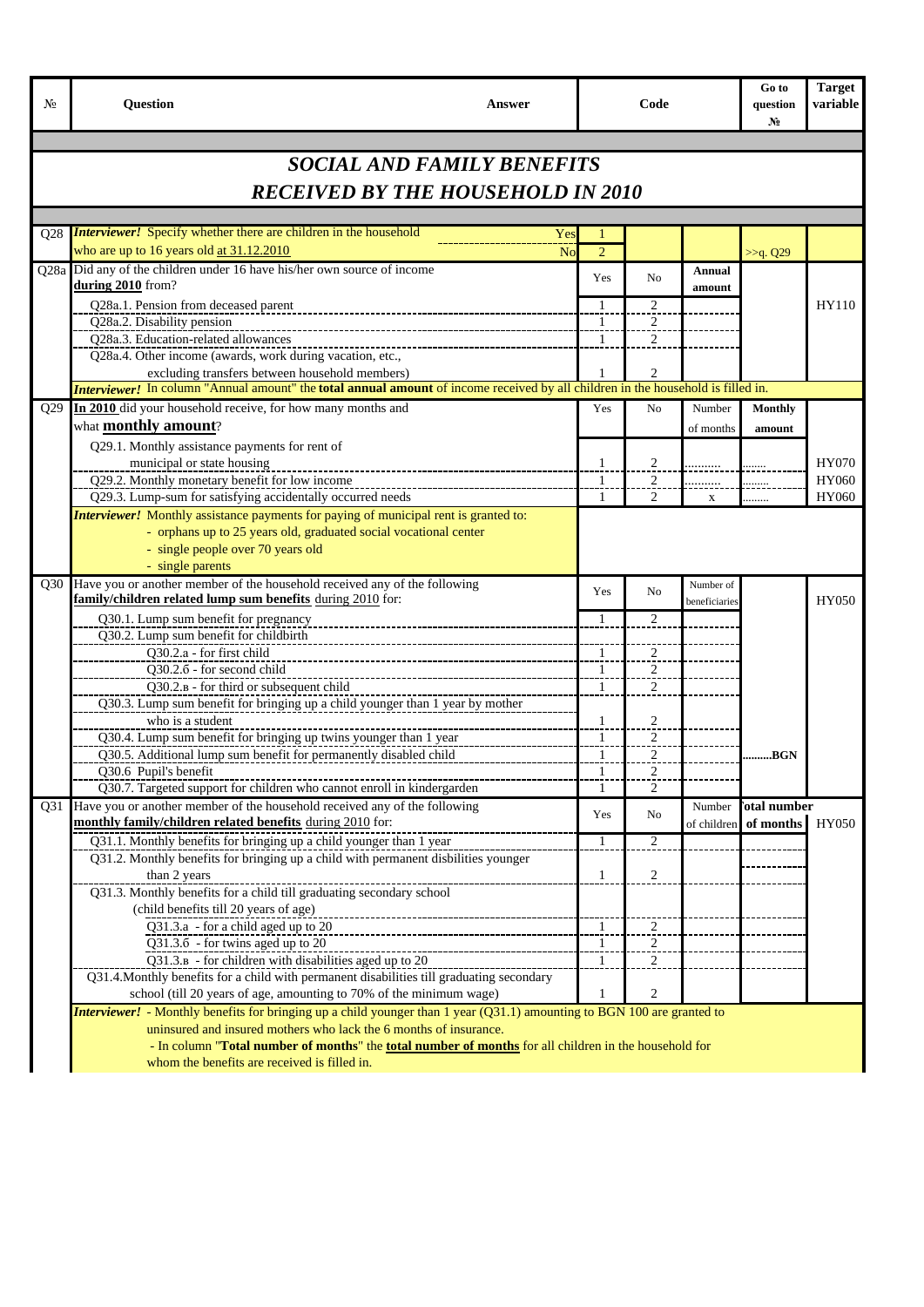| No  | <b>Question</b>                                                                                                                                     | Answer                            |                     | Code                |               | Go to<br>question<br>$N_2$ | <b>Target</b><br>variable |
|-----|-----------------------------------------------------------------------------------------------------------------------------------------------------|-----------------------------------|---------------------|---------------------|---------------|----------------------------|---------------------------|
|     |                                                                                                                                                     |                                   |                     |                     |               |                            |                           |
|     |                                                                                                                                                     | <b>SOCIAL AND FAMILY BENEFITS</b> |                     |                     |               |                            |                           |
|     | <b>RECEIVED BY THE HOUSEHOLD IN 2010</b>                                                                                                            |                                   |                     |                     |               |                            |                           |
|     |                                                                                                                                                     |                                   |                     |                     |               |                            |                           |
| O28 | <b>Interviewer!</b> Specify whether there are children in the household                                                                             | Yes                               |                     |                     |               |                            |                           |
|     | who are up to 16 years old at 31.12.2010                                                                                                            | No                                | $\overline{2}$      |                     |               | >>q. Q29                   |                           |
|     | Q28a Did any of the children under 16 have his/her own source of income                                                                             |                                   |                     |                     | Annual        |                            |                           |
|     | during 2010 from?                                                                                                                                   |                                   | Yes                 | N <sub>0</sub>      | amount        |                            |                           |
|     | Q28a.1. Pension from deceased parent                                                                                                                |                                   | 1                   | $\overline{2}$      |               |                            | HY110                     |
|     | Q28a.2. Disability pension                                                                                                                          |                                   | $\mathbf{1}$        | $\sqrt{2}$          |               |                            |                           |
|     | Q28a.3. Education-related allowances                                                                                                                |                                   | -1                  | $\overline{2}$      |               |                            |                           |
|     | Q28a.4. Other income (awards, work during vacation, etc.,                                                                                           |                                   |                     |                     |               |                            |                           |
|     | excluding transfers between household members)                                                                                                      |                                   |                     | $\overline{c}$      |               |                            |                           |
|     | <i>Interviewer!</i> In column "Annual amount" the <b>total annual amount</b> of income received by all children in the household is filled in.      |                                   |                     |                     |               |                            |                           |
| Q29 | In 2010 did your household receive, for how many months and                                                                                         |                                   | Yes                 | No                  | Number        | <b>Monthly</b>             |                           |
|     | what <b>monthly</b> amount?                                                                                                                         |                                   |                     |                     | of months     | amount                     |                           |
|     | Q29.1. Monthly assistance payments for rent of                                                                                                      |                                   |                     |                     |               |                            |                           |
|     | municipal or state housing<br>-------------                                                                                                         |                                   | $\mathbf{1}$        | $\overline{2}$      |               |                            | <b>HY070</b>              |
|     | Q29.2. Monthly monetary benefit for low income<br>Q29.3. Lump-sum for satisfying accidentally occurred needs                                        |                                   | $\mathbf{1}$<br>-1  | $\overline{2}$<br>2 |               |                            | HY060<br><b>HY060</b>     |
|     | <b>Interviewer!</b> Monthly assistance payments for paying of municipal rent is granted to:                                                         |                                   |                     |                     | $\mathbf X$   | .                          |                           |
|     | - orphans up to 25 years old, graduated social vocational center                                                                                    |                                   |                     |                     |               |                            |                           |
|     | - single people over 70 years old                                                                                                                   |                                   |                     |                     |               |                            |                           |
|     | - single parents                                                                                                                                    |                                   |                     |                     |               |                            |                           |
| O30 | Have you or another member of the household received any of the following                                                                           |                                   |                     |                     | Number of     |                            |                           |
|     | family/children related lump sum benefits during 2010 for:                                                                                          |                                   | Yes                 | No                  | beneficiaries |                            | <b>HY050</b>              |
|     | Q30.1. Lump sum benefit for pregnancy                                                                                                               |                                   | -1                  | 2                   |               |                            |                           |
|     | Q30.2. Lump sum benefit for childbirth                                                                                                              |                                   |                     |                     |               |                            |                           |
|     | Q30.2.a - for first child                                                                                                                           |                                   | -1                  | $\overline{2}$      |               |                            |                           |
|     | Q30.2.6 - for second child                                                                                                                          |                                   | 1                   | $\overline{2}$      |               |                            |                           |
|     | Q30.2.B - for third or subsequent child                                                                                                             |                                   | $\mathbf{1}$        | 2                   |               |                            |                           |
|     | Q30.3. Lump sum benefit for bringing up a child younger than 1 year by mother<br>who is a student                                                   |                                   |                     |                     |               |                            |                           |
|     |                                                                                                                                                     |                                   | $\overline{1}$<br>1 | $\overline{2}$<br>2 |               |                            |                           |
|     | Q30.4. Lump sum benefit for bringing up twins younger than 1 year<br>Q30.5. Additional lump sum benefit for permanently disabled child              |                                   | $\mathbf{1}$        | $\overline{2}$      |               | BGN                        |                           |
|     | Q30.6 Pupil's benefit                                                                                                                               |                                   | 1                   | $\mathcal{D}$       |               |                            |                           |
|     | Q30.7. Targeted support for children who cannot enroll in kindergarden                                                                              |                                   | 1                   | $\overline{2}$      |               |                            |                           |
| Q31 | Have you or another member of the household received any of the following                                                                           |                                   |                     |                     | Number        | <b>otal number</b>         |                           |
|     | monthly family/children related benefits during 2010 for:                                                                                           |                                   | Yes                 | No                  | of children   | of months                  | HY050                     |
|     | Q31.1. Monthly benefits for bringing up a child younger than 1 year                                                                                 |                                   | $\mathbf{1}$        | $\overline{2}$      |               |                            |                           |
|     | Q31.2. Monthly benefits for bringing up a child with permanent disbilities younger                                                                  |                                   |                     |                     |               |                            |                           |
|     | than 2 years                                                                                                                                        |                                   | $\mathbf{1}$        | $\overline{2}$      |               |                            |                           |
|     | Q31.3. Monthly benefits for a child till graduating secondary school                                                                                |                                   |                     |                     |               |                            |                           |
|     | (child benefits till 20 years of age)                                                                                                               |                                   |                     |                     |               |                            |                           |
|     | Q31.3.a - for a child aged up to 20                                                                                                                 |                                   | $\overline{1}$      | $\overline{2}$      |               |                            |                           |
|     | Q31.3.6 - for twins aged up to 20                                                                                                                   |                                   |                     | $\overline{2}$      |               |                            |                           |
|     | Q31.3.B - for children with disabilities aged up to 20<br>Q31.4. Monthly benefits for a child with permanent disabilities till graduating secondary |                                   | 1                   | 2                   |               |                            |                           |
|     | school (till 20 years of age, amounting to 70% of the minimum wage)                                                                                 |                                   | 1                   | $\overline{c}$      |               |                            |                           |
|     | <b>Interviewer!</b> - Monthly benefits for bringing up a child younger than 1 year (Q31.1) amounting to BGN 100 are granted to                      |                                   |                     |                     |               |                            |                           |
|     | uninsured and insured mothers who lack the 6 months of insurance.                                                                                   |                                   |                     |                     |               |                            |                           |
|     | - In column "Total number of months" the total number of months for all children in the household for                                               |                                   |                     |                     |               |                            |                           |
|     | whom the benefits are received is filled in.                                                                                                        |                                   |                     |                     |               |                            |                           |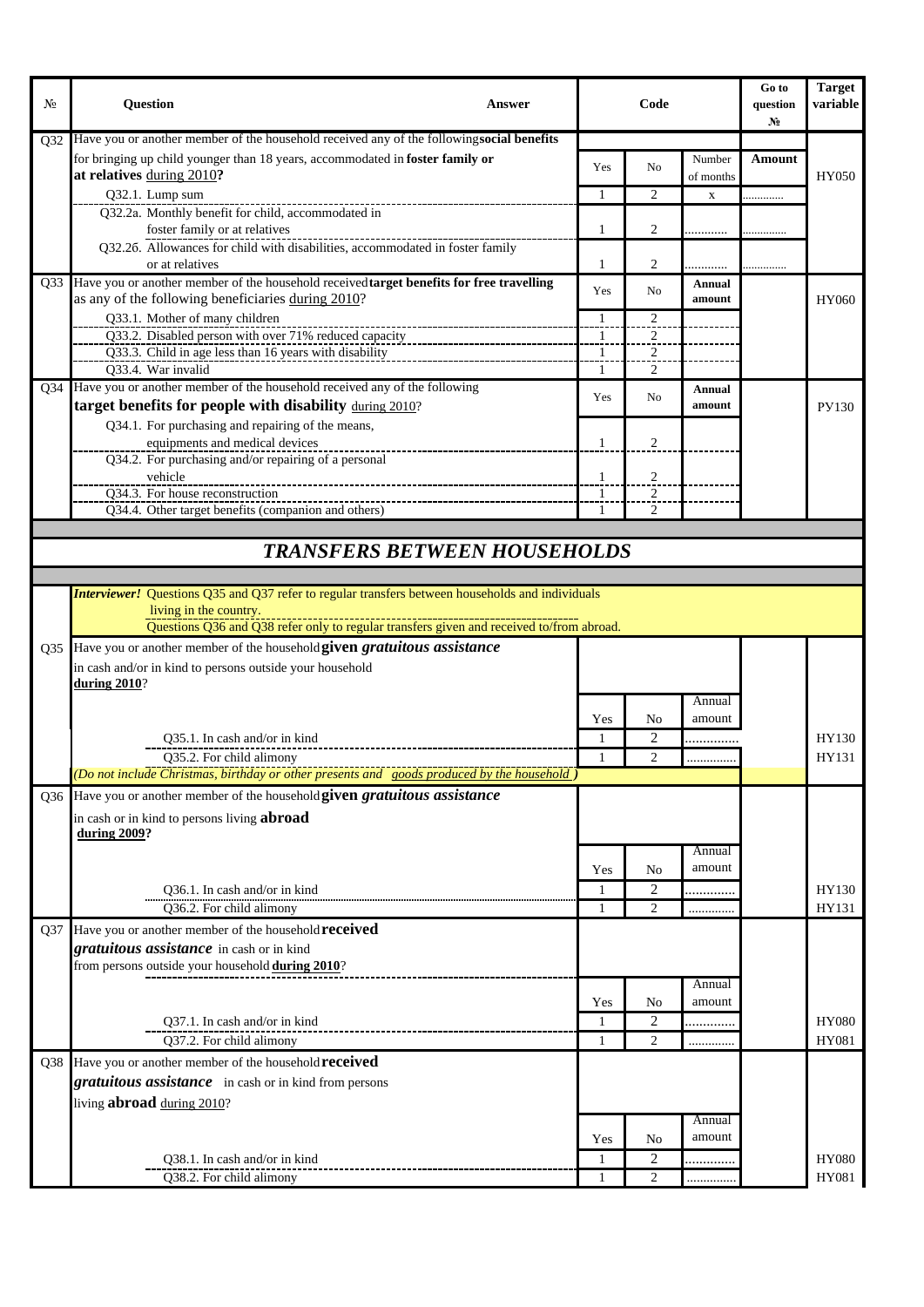| No               | <b>Question</b><br>Answer                                                                                                      |                   | Code                             |                     | Go to<br>question<br>No | <b>Target</b><br>variable |
|------------------|--------------------------------------------------------------------------------------------------------------------------------|-------------------|----------------------------------|---------------------|-------------------------|---------------------------|
| O32              | Have you or another member of the household received any of the followingsocial benefits                                       |                   |                                  |                     |                         |                           |
|                  | for bringing up child younger than 18 years, accommodated in foster family or<br>at relatives during 2010?                     | Yes               | N <sub>o</sub>                   | Number<br>of months | Amount                  | HY050                     |
|                  | Q32.1. Lump sum                                                                                                                | 1                 | $\overline{2}$                   | $\mathbf X$         | .                       |                           |
|                  | Q32.2a. Monthly benefit for child, accommodated in                                                                             |                   |                                  |                     |                         |                           |
|                  | foster family or at relatives                                                                                                  | 1                 | 2                                |                     |                         |                           |
|                  | Q32.26. Allowances for child with disabilities, accommodated in foster family<br>or at relatives                               | 1                 | 2                                |                     |                         |                           |
| Q <sub>3</sub> 3 | Have you or another member of the household received target benefits for free travelling                                       | Yes               | N <sub>o</sub>                   | Annual              |                         |                           |
|                  | as any of the following beneficiaries during 2010?                                                                             |                   |                                  | amount              |                         | HY060                     |
|                  | Q33.1. Mother of many children                                                                                                 | 1                 | $\mathcal{D}_{\mathcal{L}}$      |                     |                         |                           |
|                  | Q33.2. Disabled person with over 71% reduced capacity<br>Q33.3. Child in age less than 16 years with disability                | $\mathbf{1}$<br>1 | $\mathfrak{D}$<br>$\overline{2}$ |                     |                         |                           |
|                  | Q33.4. War invalid                                                                                                             | 1                 | 2                                |                     |                         |                           |
| Q <sub>34</sub>  | Have you or another member of the household received any of the following                                                      |                   |                                  | Annual              |                         |                           |
|                  | target benefits for people with disability during 2010?                                                                        | Yes               | No                               | amount              |                         | PY130                     |
|                  | Q34.1. For purchasing and repairing of the means,                                                                              |                   |                                  |                     |                         |                           |
|                  | equipments and medical devices                                                                                                 | 1                 | 2                                |                     |                         |                           |
|                  | Q34.2. For purchasing and/or repairing of a personal                                                                           |                   |                                  |                     |                         |                           |
|                  | vehicle                                                                                                                        | 1                 | $\overline{c}$                   |                     |                         |                           |
|                  | Q34.3. For house reconstruction                                                                                                | -1                | $\mathfrak{D}$                   |                     |                         |                           |
|                  | Q34.4. Other target benefits (companion and others)                                                                            |                   | 2                                |                     |                         |                           |
|                  |                                                                                                                                |                   |                                  |                     |                         |                           |
|                  | <b>TRANSFERS BETWEEN HOUSEHOLDS</b>                                                                                            |                   |                                  |                     |                         |                           |
|                  |                                                                                                                                |                   |                                  |                     |                         |                           |
|                  | <b>Interviewer!</b> Questions Q35 and Q37 refer to regular transfers between households and individuals                        |                   |                                  |                     |                         |                           |
|                  | living in the country.                                                                                                         |                   |                                  |                     |                         |                           |
|                  | Questions Q36 and Q38 refer only to regular transfers given and received to/from abroad.                                       |                   |                                  |                     |                         |                           |
| Q <sub>35</sub>  | Have you or another member of the household given gratuitous assistance                                                        |                   |                                  |                     |                         |                           |
|                  | in cash and/or in kind to persons outside your household                                                                       |                   |                                  |                     |                         |                           |
|                  | <b>during 2010?</b>                                                                                                            |                   |                                  |                     |                         |                           |
|                  |                                                                                                                                |                   |                                  | Annual              |                         |                           |
|                  |                                                                                                                                | Yes               | No<br>$\overline{2}$             | amount              |                         |                           |
|                  | Q35.1. In cash and/or in kind                                                                                                  |                   |                                  | .                   |                         | HY130                     |
|                  | Q35.2. For child alimony<br>(Do not include Christmas, birthday or other presents and <u>goods produced by the household</u> ) | 1                 | 2                                | .                   |                         | HY131                     |
|                  |                                                                                                                                |                   |                                  |                     |                         |                           |
| Q <sub>36</sub>  | Have you or another member of the household given gratuitous assistance                                                        |                   |                                  |                     |                         |                           |
|                  | in cash or in kind to persons living <b>abroad</b><br>during 2009?                                                             |                   |                                  |                     |                         |                           |
|                  |                                                                                                                                |                   |                                  | Annual              |                         |                           |
|                  |                                                                                                                                | Yes               | N <sub>0</sub>                   | amount              |                         |                           |
|                  | Q36.1. In cash and/or in kind                                                                                                  | 1                 | $\overline{2}$                   |                     |                         | HY130                     |
|                  | Q36.2. For child alimony                                                                                                       | 1                 | 2                                |                     |                         | HY131                     |
|                  | Have you or another member of the household <b>received</b>                                                                    |                   |                                  |                     |                         |                           |
| Q <sub>37</sub>  | gratuitous assistance in cash or in kind                                                                                       |                   |                                  |                     |                         |                           |
|                  | from persons outside your household during 2010?                                                                               |                   |                                  |                     |                         |                           |
|                  |                                                                                                                                |                   |                                  | Annual              |                         |                           |
|                  |                                                                                                                                | Yes               | No                               | amount              |                         |                           |
|                  | Q37.1. In cash and/or in kind                                                                                                  | $\mathbf{1}$      | $\overline{2}$                   |                     |                         | <b>HY080</b>              |
|                  | Q37.2. For child alimony                                                                                                       | 1                 | 2                                | .                   |                         | HY081                     |
| Q38              | Have you or another member of the household <b>received</b>                                                                    |                   |                                  |                     |                         |                           |
|                  |                                                                                                                                |                   |                                  |                     |                         |                           |
|                  | gratuitous assistance in cash or in kind from persons                                                                          |                   |                                  |                     |                         |                           |
|                  | living <b>abroad</b> during 2010?                                                                                              |                   |                                  |                     |                         |                           |
|                  |                                                                                                                                |                   |                                  | Annual              |                         |                           |
|                  |                                                                                                                                | Yes               | No                               | amount              |                         |                           |
|                  | Q38.1. In cash and/or in kind                                                                                                  | 1                 | 2                                |                     |                         | <b>HY080</b>              |
|                  | Q38.2. For child alimony                                                                                                       | 1                 | 2                                |                     |                         | HY081                     |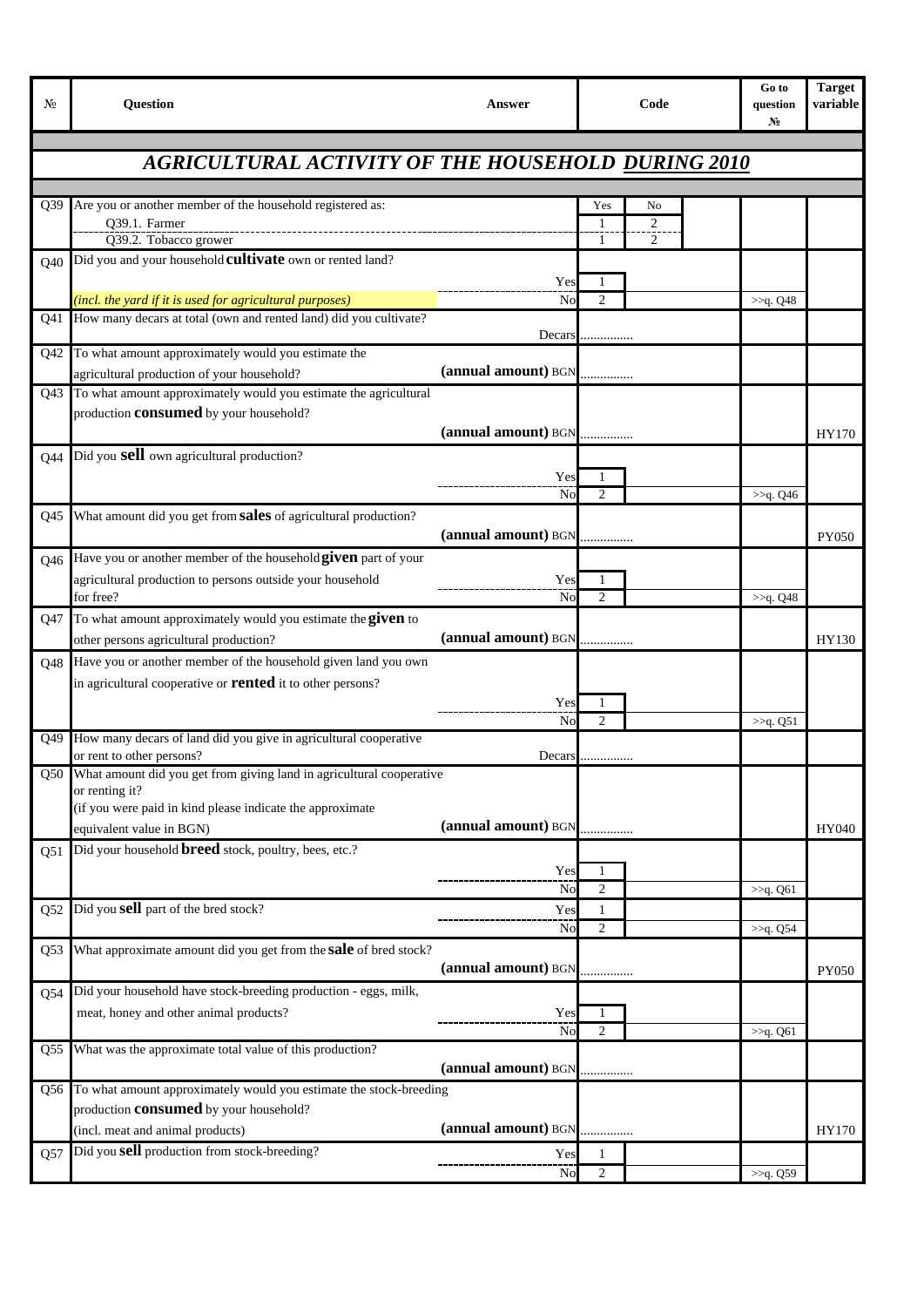| No              | <b>Question</b>                                                                                                                     | Answer              | Code           | Go to<br>question<br>N. | <b>Target</b><br>variable |
|-----------------|-------------------------------------------------------------------------------------------------------------------------------------|---------------------|----------------|-------------------------|---------------------------|
|                 | <b>AGRICULTURAL ACTIVITY OF THE HOUSEHOLD DURING 2010</b>                                                                           |                     |                |                         |                           |
|                 |                                                                                                                                     |                     |                |                         |                           |
| Q <sub>39</sub> | Are you or another member of the household registered as:                                                                           |                     | Yes<br>No      |                         |                           |
|                 | Q39.1. Farmer                                                                                                                       |                     | $\overline{c}$ |                         |                           |
|                 | Q39.2. Tobacco grower                                                                                                               |                     | 2              |                         |                           |
| Q40             | Did you and your household <b>cultivate</b> own or rented land?                                                                     |                     |                |                         |                           |
|                 |                                                                                                                                     | Yes                 | 1              |                         |                           |
|                 | (incl. the yard if it is used for agricultural purposes)<br>How many decars at total (own and rented land) did you cultivate?       | No                  | $\overline{c}$ | >>q. Q48                |                           |
| Q41             |                                                                                                                                     | Decars              | .              |                         |                           |
| Q <sub>42</sub> | To what amount approximately would you estimate the                                                                                 |                     |                |                         |                           |
|                 | agricultural production of your household?                                                                                          |                     |                |                         |                           |
| Q43             | To what amount approximately would you estimate the agricultural                                                                    |                     |                |                         |                           |
|                 | production <b>consumed</b> by your household?                                                                                       |                     |                |                         |                           |
|                 |                                                                                                                                     | (annual amount) BGN |                |                         | HY170                     |
| Q44             | Did you <b>sell</b> own agricultural production?                                                                                    |                     |                |                         |                           |
|                 |                                                                                                                                     | Yes                 | 1              |                         |                           |
|                 |                                                                                                                                     | No                  | 2              | >>q. Q46                |                           |
| Q <sub>45</sub> | What amount did you get from sales of agricultural production?                                                                      |                     |                |                         |                           |
|                 |                                                                                                                                     | (annual amount) BGN |                |                         | PY050                     |
| Q46             | Have you or another member of the household given part of your                                                                      |                     |                |                         |                           |
|                 | agricultural production to persons outside your household                                                                           | Yes                 | 1              |                         |                           |
| Q47             | for free?<br>To what amount approximately would you estimate the given to                                                           | No                  | $\overline{c}$ | >>q. Q48                |                           |
|                 | other persons agricultural production?                                                                                              | (annual amount) BGN |                |                         | HY130                     |
|                 |                                                                                                                                     |                     |                |                         |                           |
| <b>O48</b>      | Have you or another member of the household given land you own<br>in agricultural cooperative or <b>rented</b> it to other persons? |                     |                |                         |                           |
|                 |                                                                                                                                     | Yes                 | 1              |                         |                           |
|                 |                                                                                                                                     | No                  | $\overline{c}$ | >>q. Q51                |                           |
| Q49             | How many decars of land did you give in agricultural cooperative                                                                    |                     |                |                         |                           |
|                 | or rent to other persons?                                                                                                           | Decars              | .              |                         |                           |
| Q50             | What amount did you get from giving land in agricultural cooperative<br>or renting it?                                              |                     |                |                         |                           |
|                 | (if you were paid in kind please indicate the approximate                                                                           |                     |                |                         |                           |
|                 | equivalent value in BGN)                                                                                                            | (annual amount) BGN |                |                         | HY040                     |
| Q51             | Did your household <b>breed</b> stock, poultry, bees, etc.?                                                                         |                     |                |                         |                           |
|                 |                                                                                                                                     | Yes                 | 1              |                         |                           |
|                 |                                                                                                                                     | No                  | $\overline{c}$ | >>q. Q61                |                           |
| Q52             | Did you sell part of the bred stock?                                                                                                | Yes                 | $\mathbf{1}$   |                         |                           |
|                 |                                                                                                                                     | No                  | $\overline{c}$ | >>q. Q54                |                           |
| Q <sub>53</sub> | What approximate amount did you get from the <b>sale</b> of bred stock?                                                             |                     |                |                         |                           |
|                 |                                                                                                                                     | (annual amount) BGN |                |                         | PY050                     |
| Q54             | Did your household have stock-breeding production - eggs, milk,                                                                     |                     |                |                         |                           |
|                 | meat, honey and other animal products?                                                                                              | Yes                 | 1              |                         |                           |
| Q55             | What was the approximate total value of this production?                                                                            | No                  | $\mathfrak{2}$ | >>q. Q61                |                           |
|                 |                                                                                                                                     | (annual amount) BGN |                |                         |                           |
| Q56             | To what amount approximately would you estimate the stock-breeding                                                                  |                     |                |                         |                           |
|                 | production <b>consumed</b> by your household?                                                                                       |                     |                |                         |                           |
|                 | (incl. meat and animal products)                                                                                                    | (annual amount) BGN | .              |                         | HY170                     |
| Q57             | Did you sell production from stock-breeding?                                                                                        | Yes                 | 1              |                         |                           |
|                 |                                                                                                                                     | No                  | $\overline{2}$ | >>q. Q59                |                           |
|                 |                                                                                                                                     |                     |                |                         |                           |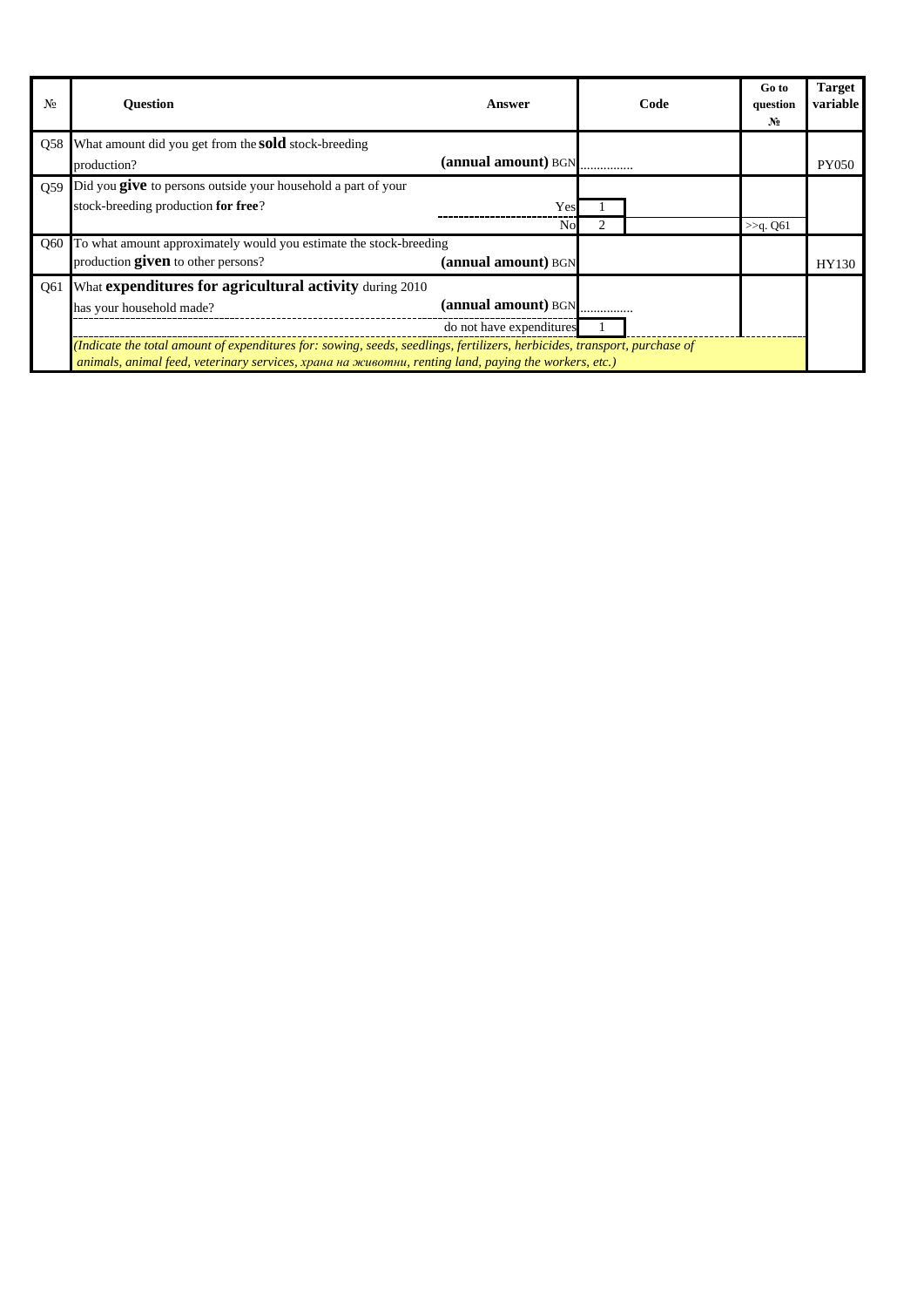| No  | <b>Ouestion</b>                                                                                                           | Answer                   | Code | Go to<br>question<br>N <sub>2</sub> | <b>Target</b><br>variable |  |  |
|-----|---------------------------------------------------------------------------------------------------------------------------|--------------------------|------|-------------------------------------|---------------------------|--|--|
|     | Q58 What amount did you get from the <b>sold</b> stock-breeding                                                           |                          |      |                                     |                           |  |  |
|     | production?                                                                                                               | (annual amount) BGN      |      |                                     | <b>PY050</b>              |  |  |
| Q59 | Did you <b>give</b> to persons outside your household a part of your                                                      |                          |      |                                     |                           |  |  |
|     | stock-breeding production for free?                                                                                       | Yes                      |      |                                     |                           |  |  |
|     |                                                                                                                           | Nο                       |      | $>>q$ Q61                           |                           |  |  |
|     | Q60 To what amount approximately would you estimate the stock-breeding                                                    |                          |      |                                     |                           |  |  |
|     | production given to other persons?                                                                                        | (annual amount) BGN      |      |                                     | HY130                     |  |  |
| Q61 | What expenditures for agricultural activity during 2010                                                                   |                          |      |                                     |                           |  |  |
|     | has your household made?                                                                                                  |                          |      |                                     |                           |  |  |
|     |                                                                                                                           | do not have expenditures |      |                                     |                           |  |  |
|     | (Indicate the total amount of expenditures for: sowing, seeds, seedlings, fertilizers, herbicides, transport, purchase of |                          |      |                                     |                           |  |  |
|     | animals, animal feed, veterinary services, храна на животни, renting land, paying the workers, etc.)                      |                          |      |                                     |                           |  |  |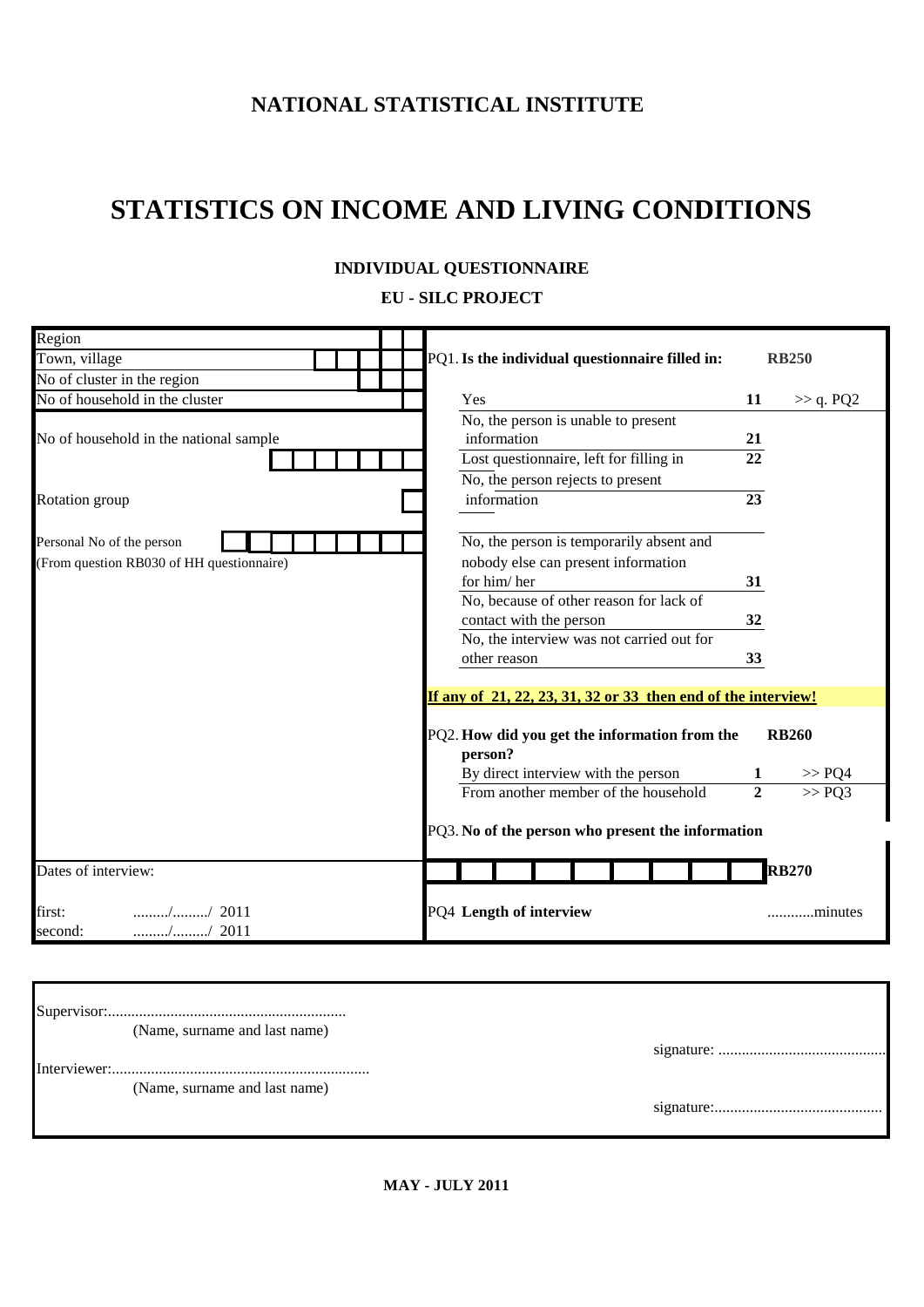### **NATIONAL STATISTICAL INSTITUTE**

# **STATISTICS ON INCOME AND LIVING CONDITIONS**

### **ЕU - SILC PROJECT**

| Region                                    |                                                               |                            |  |  |  |  |  |  |
|-------------------------------------------|---------------------------------------------------------------|----------------------------|--|--|--|--|--|--|
| Town, village                             | PQ1. Is the individual questionnaire filled in:               | <b>RB250</b>               |  |  |  |  |  |  |
| No of cluster in the region               |                                                               |                            |  |  |  |  |  |  |
| No of household in the cluster            | Yes                                                           | 11<br>$\gg$ q. PQ2         |  |  |  |  |  |  |
|                                           | No, the person is unable to present                           |                            |  |  |  |  |  |  |
| No of household in the national sample    | information                                                   | 21                         |  |  |  |  |  |  |
|                                           | Lost questionnaire, left for filling in                       | 22                         |  |  |  |  |  |  |
|                                           | No, the person rejects to present                             |                            |  |  |  |  |  |  |
| Rotation group                            | information                                                   | 23                         |  |  |  |  |  |  |
|                                           |                                                               |                            |  |  |  |  |  |  |
| Personal No of the person                 | No, the person is temporarily absent and                      |                            |  |  |  |  |  |  |
| (From question RB030 of HH questionnaire) | nobody else can present information<br>for him/her            |                            |  |  |  |  |  |  |
|                                           | No, because of other reason for lack of                       | 31                         |  |  |  |  |  |  |
|                                           | contact with the person                                       | 32                         |  |  |  |  |  |  |
|                                           | No, the interview was not carried out for                     |                            |  |  |  |  |  |  |
|                                           | other reason                                                  | 33                         |  |  |  |  |  |  |
|                                           |                                                               |                            |  |  |  |  |  |  |
|                                           | If any of 21, 22, 23, 31, 32 or 33 then end of the interview! |                            |  |  |  |  |  |  |
|                                           | PQ2. How did you get the information from the                 | <b>RB260</b>               |  |  |  |  |  |  |
|                                           | person?                                                       |                            |  |  |  |  |  |  |
|                                           | By direct interview with the person                           | >> PQ4                     |  |  |  |  |  |  |
|                                           | From another member of the household                          | $\overline{2}$<br>$>>$ PQ3 |  |  |  |  |  |  |
|                                           |                                                               |                            |  |  |  |  |  |  |
|                                           | PQ3. No of the person who present the information             |                            |  |  |  |  |  |  |
|                                           |                                                               |                            |  |  |  |  |  |  |
| Dates of interview:                       |                                                               | <b>RB270</b>               |  |  |  |  |  |  |
| first:<br>$\ldots$ / $\ldots$ / 2011      | PQ4 Length of interview                                       | minutes                    |  |  |  |  |  |  |
| // 2011<br>second:                        |                                                               |                            |  |  |  |  |  |  |
|                                           |                                                               |                            |  |  |  |  |  |  |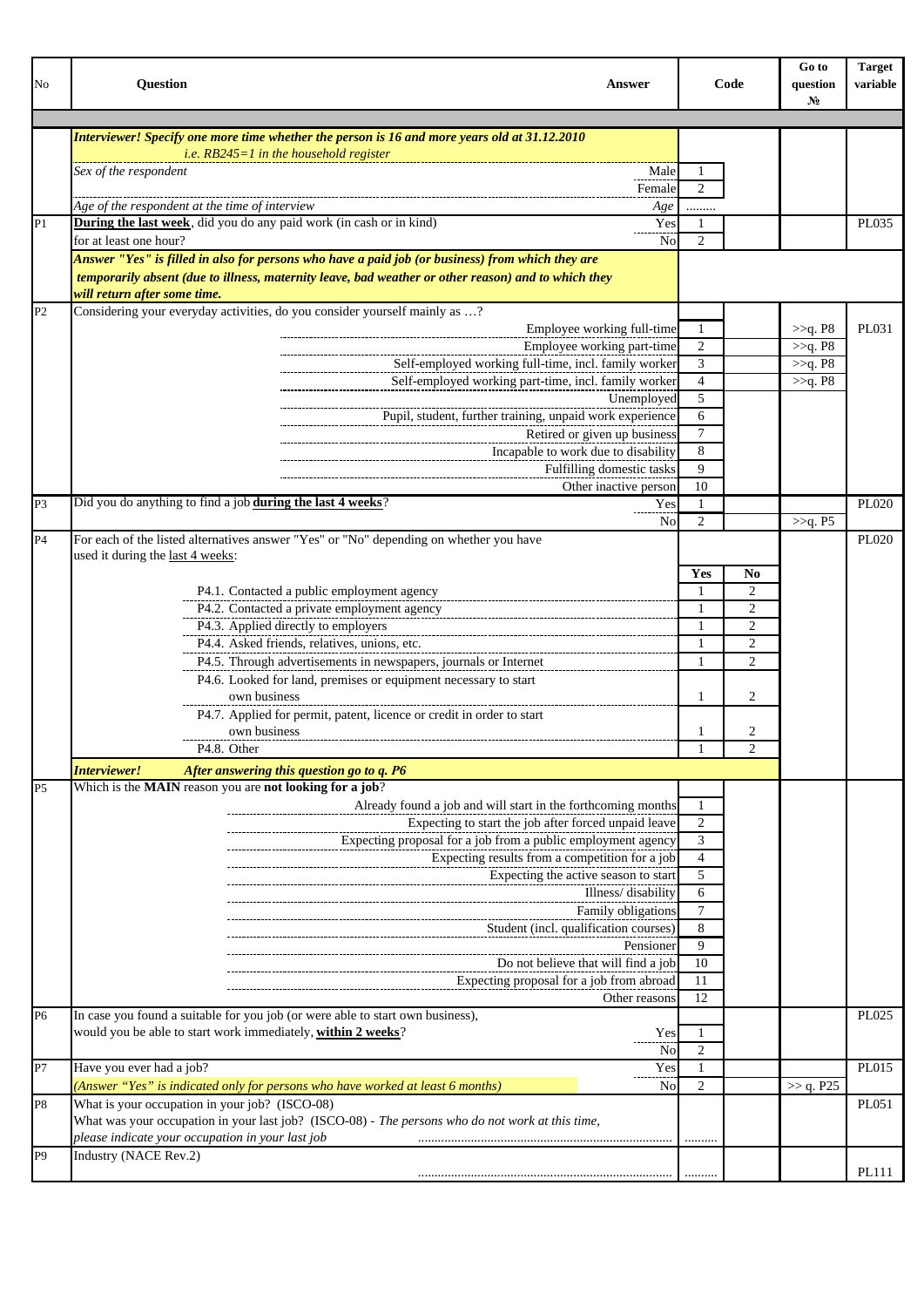| No             | <b>Question</b><br><b>Answer</b>                                                                                                                                                                        |                      | Code                | Go to<br>question<br>$N_2$ | <b>Target</b><br>variable |
|----------------|---------------------------------------------------------------------------------------------------------------------------------------------------------------------------------------------------------|----------------------|---------------------|----------------------------|---------------------------|
|                |                                                                                                                                                                                                         |                      |                     |                            |                           |
|                | Interviewer! Specify one more time whether the person is 16 and more years old at 31.12.2010                                                                                                            |                      |                     |                            |                           |
|                | <i>i.e.</i> $RB245=1$ in the household register                                                                                                                                                         |                      |                     |                            |                           |
|                | Sex of the respondent<br>Male<br>Female                                                                                                                                                                 | -1<br>$\overline{2}$ |                     |                            |                           |
|                | Age of the respondent at the time of interview<br>Age                                                                                                                                                   |                      |                     |                            |                           |
| P1             | <b>During the last week</b> , did you do any paid work (in cash or in kind)<br>Yes                                                                                                                      | 1                    |                     |                            | PL035                     |
|                | for at least one hour?<br>No                                                                                                                                                                            | $\overline{2}$       |                     |                            |                           |
|                | Answer "Yes" is filled in also for persons who have a paid job (or business) from which they are<br>temporarily absent (due to illness, maternity leave, bad weather or other reason) and to which they |                      |                     |                            |                           |
|                | will return after some time.                                                                                                                                                                            |                      |                     |                            |                           |
| P <sub>2</sub> | Considering your everyday activities, do you consider yourself mainly as ?                                                                                                                              |                      |                     |                            |                           |
|                | Employee working full-time                                                                                                                                                                              | -1                   |                     | >>q. P8                    | PL031                     |
|                | Employee working part-time                                                                                                                                                                              | $\overline{2}$       |                     | >>q. P8                    |                           |
|                | Self-employed working full-time, incl. family worker                                                                                                                                                    | 3                    |                     | >>q. P8                    |                           |
|                | Self-employed working part-time, incl. family worker                                                                                                                                                    | $\overline{4}$       |                     | >>q. P8                    |                           |
|                | Unemployed                                                                                                                                                                                              | 5                    |                     |                            |                           |
|                | Pupil, student, further training, unpaid work experience                                                                                                                                                | 6                    |                     |                            |                           |
|                | Retired or given up business                                                                                                                                                                            | 7                    |                     |                            |                           |
|                | Incapable to work due to disability                                                                                                                                                                     | 8                    |                     |                            |                           |
|                | Fulfilling domestic tasks                                                                                                                                                                               | 9                    |                     |                            |                           |
|                | Other inactive person                                                                                                                                                                                   | 10                   |                     |                            |                           |
| P <sub>3</sub> | Did you do anything to find a job during the last 4 weeks?<br>Yes                                                                                                                                       | -1                   |                     |                            | PL020                     |
|                | No                                                                                                                                                                                                      | $\overline{2}$       |                     | >>q. P5                    |                           |
| P <sub>4</sub> | For each of the listed alternatives answer "Yes" or "No" depending on whether you have                                                                                                                  |                      |                     |                            | <b>PL020</b>              |
|                | used it during the last 4 weeks:                                                                                                                                                                        |                      |                     |                            |                           |
|                |                                                                                                                                                                                                         | Yes                  | $\bf No$            |                            |                           |
|                | P4.1. Contacted a public employment agency                                                                                                                                                              | -1                   | $\overline{2}$      |                            |                           |
|                | P4.2. Contacted a private employment agency                                                                                                                                                             | $\mathbf{1}$         | 2                   |                            |                           |
|                | P4.3. Applied directly to employers                                                                                                                                                                     | 1                    | 2                   |                            |                           |
|                | P4.4. Asked friends, relatives, unions, etc.                                                                                                                                                            | $\mathbf{1}$         | 2                   |                            |                           |
|                | P4.5. Through advertisements in newspapers, journals or Internet                                                                                                                                        | 1                    | $\overline{2}$      |                            |                           |
|                | P4.6. Looked for land, premises or equipment necessary to start<br>own business                                                                                                                         |                      |                     |                            |                           |
|                |                                                                                                                                                                                                         | 1                    | 2                   |                            |                           |
|                | P4.7. Applied for permit, patent, licence or credit in order to start<br>own business                                                                                                                   |                      |                     |                            |                           |
|                | P4.8. Other                                                                                                                                                                                             | 1<br>-1              | 2<br>$\mathfrak{D}$ |                            |                           |
|                |                                                                                                                                                                                                         |                      |                     |                            |                           |
|                | Interviewer!<br>After answering this question go to q. P6                                                                                                                                               |                      |                     |                            |                           |
| P <sub>5</sub> | Which is the MAIN reason you are not looking for a job?                                                                                                                                                 |                      |                     |                            |                           |
|                | Already found a job and will start in the forthcoming months                                                                                                                                            | 1                    |                     |                            |                           |
|                | Expecting to start the job after forced unpaid leave                                                                                                                                                    | 2                    |                     |                            |                           |
|                | Expecting proposal for a job from a public employment agency                                                                                                                                            | 3                    |                     |                            |                           |
|                | Expecting results from a competition for a job                                                                                                                                                          | $\overline{4}$       |                     |                            |                           |
|                | Expecting the active season to start                                                                                                                                                                    | 5                    |                     |                            |                           |
|                | Illness/disability                                                                                                                                                                                      | 6<br>$\tau$          |                     |                            |                           |
|                | Family obligations                                                                                                                                                                                      |                      |                     |                            |                           |
|                | Student (incl. qualification courses)                                                                                                                                                                   | 8<br>9               |                     |                            |                           |
|                | Pensioner                                                                                                                                                                                               |                      |                     |                            |                           |
|                | Do not believe that will find a job                                                                                                                                                                     | 10                   |                     |                            |                           |
|                | Expecting proposal for a job from abroad                                                                                                                                                                | 11<br>12             |                     |                            |                           |
| P <sub>6</sub> | Other reasons<br>In case you found a suitable for you job (or were able to start own business),                                                                                                         |                      |                     |                            | PL025                     |
|                | would you be able to start work immediately, within 2 weeks?                                                                                                                                            | 1                    |                     |                            |                           |
|                | Yes                                                                                                                                                                                                     | $\overline{2}$       |                     |                            |                           |
| P7             | No<br>Have you ever had a job?<br>Yes                                                                                                                                                                   | $\mathbf{1}$         |                     |                            | PL015                     |
|                | (Answer "Yes" is indicated only for persons who have worked at least 6 months)                                                                                                                          | $\overline{2}$       |                     |                            |                           |
|                | No<br>What is your occupation in your job? (ISCO-08)                                                                                                                                                    |                      |                     | >> q. P25                  |                           |
| P <sub>8</sub> | What was your occupation in your last job? (ISCO-08) - The persons who do not work at this time,<br>please indicate your occupation in your last job                                                    |                      |                     |                            | PL051                     |
| P9             | Industry (NACE Rev.2)                                                                                                                                                                                   |                      |                     |                            |                           |
|                |                                                                                                                                                                                                         |                      |                     |                            | PL111                     |
|                |                                                                                                                                                                                                         |                      |                     |                            |                           |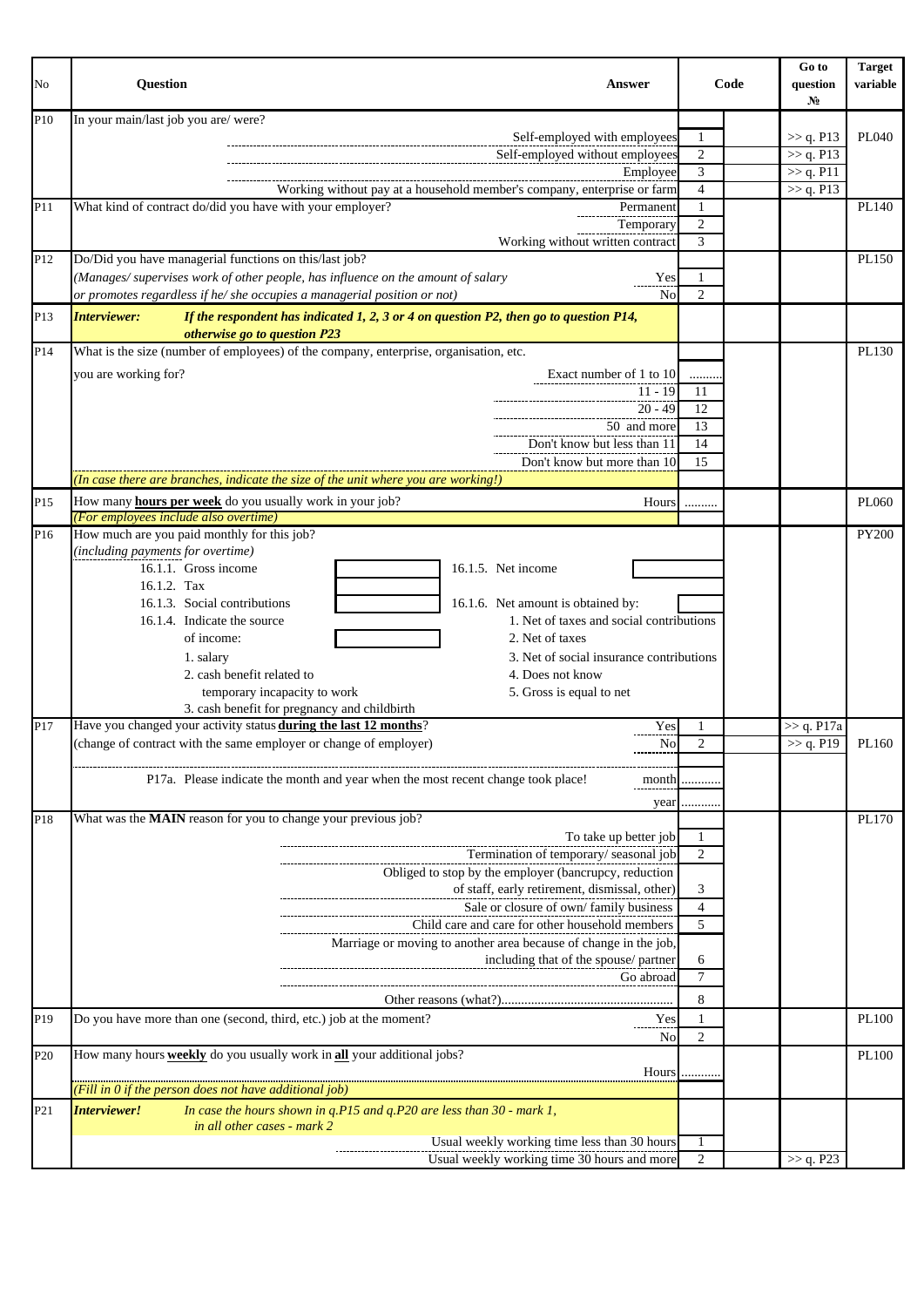| No              | <b>Question</b><br><b>Answer</b>                                                                                                                  |                     | Go to<br>Code<br>question<br>$N_2$ | <b>Target</b><br>variable |
|-----------------|---------------------------------------------------------------------------------------------------------------------------------------------------|---------------------|------------------------------------|---------------------------|
| P10             | In your main/last job you are/were?                                                                                                               |                     |                                    |                           |
|                 | Self-employed with employees                                                                                                                      | 1                   | >> q. P13                          | PL040                     |
|                 | Self-employed without employees                                                                                                                   | $\overline{2}$      | >> q. P13                          |                           |
|                 | Employee                                                                                                                                          | 3                   | $\gg$ q. P11                       |                           |
| P11             | Working without pay at a household member's company, enterprise or farm<br>What kind of contract do/did you have with your employer?<br>Permanent | $\overline{4}$<br>1 | >> q. P13                          | PL140                     |
|                 | Temporary                                                                                                                                         | $\overline{c}$      |                                    |                           |
|                 | Working without written contract                                                                                                                  | 3                   |                                    |                           |
| P <sub>12</sub> | Do/Did you have managerial functions on this/last job?                                                                                            |                     |                                    | PL150                     |
|                 | (Manages/supervises work of other people, has influence on the amount of salary<br>Yes                                                            | 1                   |                                    |                           |
|                 | or promotes regardless if he/ she occupies a managerial position or not)<br>No                                                                    | $\overline{2}$      |                                    |                           |
| P <sub>13</sub> | <b>Interviewer:</b><br>If the respondent has indicated 1, 2, 3 or 4 on question P2, then go to question P14,<br>otherwise go to question P23      |                     |                                    |                           |
| P14             | What is the size (number of employees) of the company, enterprise, organisation, etc.                                                             |                     |                                    | PL130                     |
|                 | you are working for?<br>Exact number of 1 to 10                                                                                                   |                     |                                    |                           |
|                 | $11 - 19$                                                                                                                                         | 11                  |                                    |                           |
|                 | $20 - 49$                                                                                                                                         | 12                  |                                    |                           |
|                 | 50 and more                                                                                                                                       | 13                  |                                    |                           |
|                 | Don't know but less than 11                                                                                                                       | 14                  |                                    |                           |
|                 | Don't know but more than 10                                                                                                                       | 15                  |                                    |                           |
|                 | (In case there are branches, indicate the size of the unit where you are working!)                                                                |                     |                                    |                           |
| P <sub>15</sub> | How many <b>hours per week</b> do you usually work in your job?<br>Hours<br>(For employees include also overtime)                                 | .                   |                                    | PL060                     |
| P <sub>16</sub> | How much are you paid monthly for this job?                                                                                                       |                     |                                    | <b>PY200</b>              |
|                 | (including payments for overtime)                                                                                                                 |                     |                                    |                           |
|                 | 16.1.1. Gross income<br>16.1.5. Net income                                                                                                        |                     |                                    |                           |
|                 | 16.1.2. Tax                                                                                                                                       |                     |                                    |                           |
|                 | 16.1.3. Social contributions<br>16.1.6. Net amount is obtained by:                                                                                |                     |                                    |                           |
|                 | 1. Net of taxes and social contributions<br>16.1.4. Indicate the source                                                                           |                     |                                    |                           |
|                 | 2. Net of taxes<br>of income:<br>3. Net of social insurance contributions                                                                         |                     |                                    |                           |
|                 | 1. salary<br>2. cash benefit related to<br>4. Does not know                                                                                       |                     |                                    |                           |
|                 | temporary incapacity to work<br>5. Gross is equal to net                                                                                          |                     |                                    |                           |
|                 | 3. cash benefit for pregnancy and childbirth                                                                                                      |                     |                                    |                           |
| P17             | Have you changed your activity status during the last 12 months?<br>Yes                                                                           |                     | $\gg$ q. P17a                      |                           |
|                 | (change of contract with the same employer or change of employer)<br><b>No</b>                                                                    | 2                   | >> q. P19                          | PL160                     |
|                 | P17a. Please indicate the month and year when the most recent change took place!                                                                  | month               |                                    |                           |
|                 | year                                                                                                                                              |                     |                                    |                           |
| P18             | What was the MAIN reason for you to change your previous job?                                                                                     |                     |                                    | PL170                     |
|                 | To take up better job                                                                                                                             | 1                   |                                    |                           |
|                 | Termination of temporary/seasonal job                                                                                                             | $\overline{2}$      |                                    |                           |
|                 | Obliged to stop by the employer (bancrupcy, reduction                                                                                             |                     |                                    |                           |
|                 | of staff, early retirement, dismissal, other)                                                                                                     | 3<br>$\overline{4}$ |                                    |                           |
|                 | Sale or closure of own/family business<br>Child care and care for other household members                                                         | 5                   |                                    |                           |
|                 | Marriage or moving to another area because of change in the job,                                                                                  |                     |                                    |                           |
|                 | including that of the spouse/partner                                                                                                              | 6                   |                                    |                           |
|                 | Go abroad                                                                                                                                         | 7                   |                                    |                           |
|                 |                                                                                                                                                   | 8                   |                                    |                           |
| P19             | Do you have more than one (second, third, etc.) job at the moment?<br>Yes                                                                         | 1                   |                                    | <b>PL100</b>              |
|                 | No                                                                                                                                                | $\mathfrak{2}$      |                                    |                           |
| P <sub>20</sub> | How many hours <b>weekly</b> do you usually work in all your additional jobs?                                                                     |                     |                                    | PL100                     |
|                 | Hours                                                                                                                                             |                     |                                    |                           |
|                 | (Fill in 0 if the person does not have additional job)                                                                                            |                     |                                    |                           |
| P <sub>21</sub> | Interviewer!<br>In case the hours shown in $q.P15$ and $q.P20$ are less than $30$ - mark 1,<br>in all other cases - mark 2                        |                     |                                    |                           |
|                 | Usual weekly working time less than 30 hours                                                                                                      | -1                  |                                    |                           |
|                 | Usual weekly working time 30 hours and more                                                                                                       | $\overline{2}$      | >> q. P23                          |                           |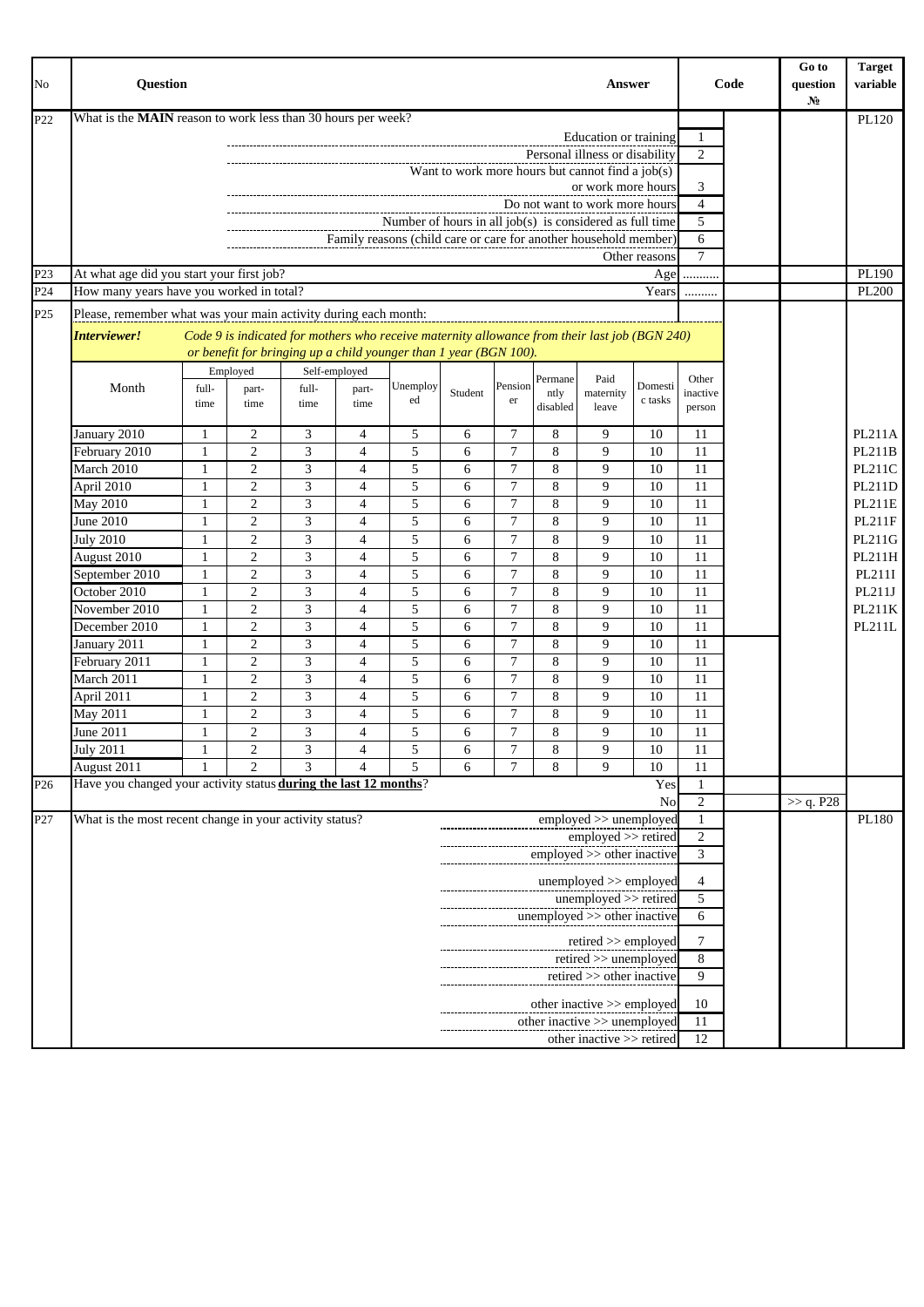| What is the MAIN reason to work less than 30 hours per week?<br>P <sub>22</sub><br>Education or training<br>$\mathbf{1}$<br>2<br>Personal illness or disability<br>Want to work more hours but cannot find a job(s)<br>3<br>or work more hours<br>$\overline{4}$<br>Do not want to work more hours<br>Number of hours in all job(s) is considered as full time<br>5<br>Family reasons (child care or care for another household member)<br>6<br>$\tau$<br>Other reasons<br>P <sub>23</sub><br>At what age did you start your first job?<br>Age<br>.<br>How many years have you worked in total?<br>Years<br>P24<br><br>P <sub>25</sub><br>Please, remember what was your main activity during each month:<br>Code 9 is indicated for mothers who receive maternity allowance from their last job (BGN 240)<br>Interviewer!<br>or benefit for bringing up a child younger than 1 year (BGN 100).<br>Self-employed<br>Employed<br>Permane<br>Paid<br>Other<br>Pension<br>Domesti<br>Unemploy<br>Month<br>full-<br>full-<br>part-<br>part-<br>maternity<br>Student<br>ntly<br>inactive<br>c tasks<br>ed<br>er<br>time<br>time<br>time<br>time<br>disabled<br>leave<br>person<br>January 2010<br>2<br>3<br>5<br>$\tau$<br>8<br>9<br>10<br>4<br>11<br>-1<br>6<br>February 2010<br>2<br>3<br>5<br>7<br>9<br>10<br>8<br>11<br>1<br>4<br>6<br>$\overline{2}$<br>3<br>5<br>$\overline{7}$<br>8<br>9<br>PL211C<br>March 2010<br>$\overline{4}$<br>6<br>10<br>11<br>1<br>3<br>$\overline{2}$<br>5<br>$\overline{7}$<br>8<br>9<br>$\overline{4}$<br>10<br>11<br>PL211D<br>April 2010<br>6<br>1<br>$\mathfrak{Z}$<br>$\overline{2}$<br>5<br>7<br>8<br>9<br>10<br>May 2010<br>$\overline{4}$<br>11<br><b>PL211E</b><br>$\mathbf{1}$<br>6<br>$\overline{2}$<br>3<br>5<br>7<br>June 2010<br>8<br>9<br>10<br>11<br>$\overline{4}$<br>1<br>6<br><b>July 2010</b><br>$\overline{2}$<br>3<br>5<br>$\overline{7}$<br>8<br>9<br>11<br>PL211G<br>$\overline{4}$<br>6<br>10<br>1<br>$\overline{c}$<br>3<br>5<br>7<br>8<br>9<br>10<br>11<br>August 2010<br>$\overline{4}$<br>PL211H<br>1<br>6<br>$\overline{2}$<br>3<br>5<br>$\overline{7}$<br>8<br>9<br>10<br>PL211I<br>September 2010<br>$\overline{4}$<br>11<br>1<br>6<br>October 2010<br>$\overline{2}$<br>3<br>5<br>$\overline{7}$<br>8<br>9<br>10<br>PL211J<br>11<br>1<br>4<br>6<br>$\overline{2}$<br>3<br>5<br>$\overline{7}$<br>8<br>9<br>November 2010<br>$\overline{4}$<br>6<br>10<br>11<br>PL211K<br>1<br>$\mathfrak{Z}$<br>8<br>$\overline{2}$<br>$\overline{4}$<br>5<br>$\overline{7}$<br>9<br>10<br>December 2010<br>6<br>11<br>PL211L<br>1<br>3<br>$\overline{7}$<br>2<br>5<br>8<br>9<br>10<br>January 2011<br>$\overline{4}$<br>11<br>1<br>6<br>$\overline{2}$<br>$\mathfrak{Z}$<br>5<br>$\overline{7}$<br>8<br>February 2011<br>9<br>10<br>11<br>$\overline{4}$<br>6<br>1<br>$\mathfrak{Z}$<br>$\overline{7}$<br>2<br>$\overline{4}$<br>5<br>8<br>9<br>10<br>11<br>6<br>March 2011<br>1<br>$\overline{c}$<br>$\mathfrak{Z}$<br>$\overline{7}$<br>8<br>5<br>9<br>10<br>April 2011<br>4<br>6<br>11<br>1<br>$\mathfrak{2}$<br>3<br>5<br>$\overline{7}$<br>8<br>9<br>10<br>May 2011<br>$\mathbf{1}$<br>$\overline{4}$<br>11<br>6<br>$\mathfrak{Z}$<br>$\overline{c}$<br>5<br>$\overline{7}$<br>8<br>9<br>10<br>June 2011<br>6<br>11<br>1<br>$\overline{4}$<br>$\overline{2}$<br>3<br>5<br>$\overline{7}$<br>8<br>$\mathbf{Q}$<br><b>July 2011</b><br>$\overline{4}$<br>6<br>10<br>11<br>1<br>August 2011<br>3<br>$\overline{2}$<br>5<br>6<br>8<br>9<br>10<br>$\overline{4}$<br>7<br>11<br>Have you changed your activity status during the last 12 months?<br>Yes<br>P <sub>26</sub><br>1<br>$\mathfrak{2}$<br>>> q. P28<br>No<br>What is the most recent change in your activity status?<br>employed >> unemployed<br>P27<br>1<br>2<br>employed >> retired<br>employed >> other inactive<br>3<br>unemployed >> employed<br>4<br>$unemployed \gg retired$<br>5<br>unemployed >> other inactive<br>6<br>retired $>$ employed<br>7<br>retired >> unemployed<br>8<br>retired >> other inactive<br>9<br>other inactive >> employed<br>10<br>other inactive >> unemployed<br>11<br>other inactive >> retired | No | <b>Ouestion</b><br>Answer |  |  |  |  |  |  |  |  | Code | Go to<br>question<br>N <sub>0</sub> | <b>Target</b><br>variable |  |  |               |
|---------------------------------------------------------------------------------------------------------------------------------------------------------------------------------------------------------------------------------------------------------------------------------------------------------------------------------------------------------------------------------------------------------------------------------------------------------------------------------------------------------------------------------------------------------------------------------------------------------------------------------------------------------------------------------------------------------------------------------------------------------------------------------------------------------------------------------------------------------------------------------------------------------------------------------------------------------------------------------------------------------------------------------------------------------------------------------------------------------------------------------------------------------------------------------------------------------------------------------------------------------------------------------------------------------------------------------------------------------------------------------------------------------------------------------------------------------------------------------------------------------------------------------------------------------------------------------------------------------------------------------------------------------------------------------------------------------------------------------------------------------------------------------------------------------------------------------------------------------------------------------------------------------------------------------------------------------------------------------------------------------------------------------------------------------------------------------------------------------------------------------------------------------------------------------------------------------------------------------------------------------------------------------------------------------------------------------------------------------------------------------------------------------------------------------------------------------------------------------------------------------------------------------------------------------------------------------------------------------------------------------------------------------------------------------------------------------------------------------------------------------------------------------------------------------------------------------------------------------------------------------------------------------------------------------------------------------------------------------------------------------------------------------------------------------------------------------------------------------------------------------------------------------------------------------------------------------------------------------------------------------------------------------------------------------------------------------------------------------------------------------------------------------------------------------------------------------------------------------------------------------------------------------------------------------------------------------------------------------------------------------------------------------------------------------------------------------------------------------------------------------------------------------------------------------------------------------------------------------------------------------------------------------------------------------------------------------------------------------------------------------------------------------------------------------------------------------------------------------------------------------------------|----|---------------------------|--|--|--|--|--|--|--|--|------|-------------------------------------|---------------------------|--|--|---------------|
|                                                                                                                                                                                                                                                                                                                                                                                                                                                                                                                                                                                                                                                                                                                                                                                                                                                                                                                                                                                                                                                                                                                                                                                                                                                                                                                                                                                                                                                                                                                                                                                                                                                                                                                                                                                                                                                                                                                                                                                                                                                                                                                                                                                                                                                                                                                                                                                                                                                                                                                                                                                                                                                                                                                                                                                                                                                                                                                                                                                                                                                                                                                                                                                                                                                                                                                                                                                                                                                                                                                                                                                                                                                                                                                                                                                                                                                                                                                                                                                                                                                                                                                                             |    |                           |  |  |  |  |  |  |  |  |      |                                     |                           |  |  | PL120         |
|                                                                                                                                                                                                                                                                                                                                                                                                                                                                                                                                                                                                                                                                                                                                                                                                                                                                                                                                                                                                                                                                                                                                                                                                                                                                                                                                                                                                                                                                                                                                                                                                                                                                                                                                                                                                                                                                                                                                                                                                                                                                                                                                                                                                                                                                                                                                                                                                                                                                                                                                                                                                                                                                                                                                                                                                                                                                                                                                                                                                                                                                                                                                                                                                                                                                                                                                                                                                                                                                                                                                                                                                                                                                                                                                                                                                                                                                                                                                                                                                                                                                                                                                             |    |                           |  |  |  |  |  |  |  |  |      |                                     |                           |  |  |               |
|                                                                                                                                                                                                                                                                                                                                                                                                                                                                                                                                                                                                                                                                                                                                                                                                                                                                                                                                                                                                                                                                                                                                                                                                                                                                                                                                                                                                                                                                                                                                                                                                                                                                                                                                                                                                                                                                                                                                                                                                                                                                                                                                                                                                                                                                                                                                                                                                                                                                                                                                                                                                                                                                                                                                                                                                                                                                                                                                                                                                                                                                                                                                                                                                                                                                                                                                                                                                                                                                                                                                                                                                                                                                                                                                                                                                                                                                                                                                                                                                                                                                                                                                             |    |                           |  |  |  |  |  |  |  |  |      |                                     |                           |  |  |               |
|                                                                                                                                                                                                                                                                                                                                                                                                                                                                                                                                                                                                                                                                                                                                                                                                                                                                                                                                                                                                                                                                                                                                                                                                                                                                                                                                                                                                                                                                                                                                                                                                                                                                                                                                                                                                                                                                                                                                                                                                                                                                                                                                                                                                                                                                                                                                                                                                                                                                                                                                                                                                                                                                                                                                                                                                                                                                                                                                                                                                                                                                                                                                                                                                                                                                                                                                                                                                                                                                                                                                                                                                                                                                                                                                                                                                                                                                                                                                                                                                                                                                                                                                             |    |                           |  |  |  |  |  |  |  |  |      |                                     |                           |  |  |               |
|                                                                                                                                                                                                                                                                                                                                                                                                                                                                                                                                                                                                                                                                                                                                                                                                                                                                                                                                                                                                                                                                                                                                                                                                                                                                                                                                                                                                                                                                                                                                                                                                                                                                                                                                                                                                                                                                                                                                                                                                                                                                                                                                                                                                                                                                                                                                                                                                                                                                                                                                                                                                                                                                                                                                                                                                                                                                                                                                                                                                                                                                                                                                                                                                                                                                                                                                                                                                                                                                                                                                                                                                                                                                                                                                                                                                                                                                                                                                                                                                                                                                                                                                             |    |                           |  |  |  |  |  |  |  |  |      |                                     |                           |  |  |               |
|                                                                                                                                                                                                                                                                                                                                                                                                                                                                                                                                                                                                                                                                                                                                                                                                                                                                                                                                                                                                                                                                                                                                                                                                                                                                                                                                                                                                                                                                                                                                                                                                                                                                                                                                                                                                                                                                                                                                                                                                                                                                                                                                                                                                                                                                                                                                                                                                                                                                                                                                                                                                                                                                                                                                                                                                                                                                                                                                                                                                                                                                                                                                                                                                                                                                                                                                                                                                                                                                                                                                                                                                                                                                                                                                                                                                                                                                                                                                                                                                                                                                                                                                             |    |                           |  |  |  |  |  |  |  |  |      |                                     |                           |  |  |               |
|                                                                                                                                                                                                                                                                                                                                                                                                                                                                                                                                                                                                                                                                                                                                                                                                                                                                                                                                                                                                                                                                                                                                                                                                                                                                                                                                                                                                                                                                                                                                                                                                                                                                                                                                                                                                                                                                                                                                                                                                                                                                                                                                                                                                                                                                                                                                                                                                                                                                                                                                                                                                                                                                                                                                                                                                                                                                                                                                                                                                                                                                                                                                                                                                                                                                                                                                                                                                                                                                                                                                                                                                                                                                                                                                                                                                                                                                                                                                                                                                                                                                                                                                             |    |                           |  |  |  |  |  |  |  |  |      |                                     |                           |  |  |               |
|                                                                                                                                                                                                                                                                                                                                                                                                                                                                                                                                                                                                                                                                                                                                                                                                                                                                                                                                                                                                                                                                                                                                                                                                                                                                                                                                                                                                                                                                                                                                                                                                                                                                                                                                                                                                                                                                                                                                                                                                                                                                                                                                                                                                                                                                                                                                                                                                                                                                                                                                                                                                                                                                                                                                                                                                                                                                                                                                                                                                                                                                                                                                                                                                                                                                                                                                                                                                                                                                                                                                                                                                                                                                                                                                                                                                                                                                                                                                                                                                                                                                                                                                             |    |                           |  |  |  |  |  |  |  |  |      |                                     |                           |  |  |               |
|                                                                                                                                                                                                                                                                                                                                                                                                                                                                                                                                                                                                                                                                                                                                                                                                                                                                                                                                                                                                                                                                                                                                                                                                                                                                                                                                                                                                                                                                                                                                                                                                                                                                                                                                                                                                                                                                                                                                                                                                                                                                                                                                                                                                                                                                                                                                                                                                                                                                                                                                                                                                                                                                                                                                                                                                                                                                                                                                                                                                                                                                                                                                                                                                                                                                                                                                                                                                                                                                                                                                                                                                                                                                                                                                                                                                                                                                                                                                                                                                                                                                                                                                             |    |                           |  |  |  |  |  |  |  |  |      |                                     |                           |  |  | PL190         |
|                                                                                                                                                                                                                                                                                                                                                                                                                                                                                                                                                                                                                                                                                                                                                                                                                                                                                                                                                                                                                                                                                                                                                                                                                                                                                                                                                                                                                                                                                                                                                                                                                                                                                                                                                                                                                                                                                                                                                                                                                                                                                                                                                                                                                                                                                                                                                                                                                                                                                                                                                                                                                                                                                                                                                                                                                                                                                                                                                                                                                                                                                                                                                                                                                                                                                                                                                                                                                                                                                                                                                                                                                                                                                                                                                                                                                                                                                                                                                                                                                                                                                                                                             |    |                           |  |  |  |  |  |  |  |  |      |                                     |                           |  |  | PL200         |
|                                                                                                                                                                                                                                                                                                                                                                                                                                                                                                                                                                                                                                                                                                                                                                                                                                                                                                                                                                                                                                                                                                                                                                                                                                                                                                                                                                                                                                                                                                                                                                                                                                                                                                                                                                                                                                                                                                                                                                                                                                                                                                                                                                                                                                                                                                                                                                                                                                                                                                                                                                                                                                                                                                                                                                                                                                                                                                                                                                                                                                                                                                                                                                                                                                                                                                                                                                                                                                                                                                                                                                                                                                                                                                                                                                                                                                                                                                                                                                                                                                                                                                                                             |    |                           |  |  |  |  |  |  |  |  |      |                                     |                           |  |  |               |
|                                                                                                                                                                                                                                                                                                                                                                                                                                                                                                                                                                                                                                                                                                                                                                                                                                                                                                                                                                                                                                                                                                                                                                                                                                                                                                                                                                                                                                                                                                                                                                                                                                                                                                                                                                                                                                                                                                                                                                                                                                                                                                                                                                                                                                                                                                                                                                                                                                                                                                                                                                                                                                                                                                                                                                                                                                                                                                                                                                                                                                                                                                                                                                                                                                                                                                                                                                                                                                                                                                                                                                                                                                                                                                                                                                                                                                                                                                                                                                                                                                                                                                                                             |    |                           |  |  |  |  |  |  |  |  |      |                                     |                           |  |  |               |
|                                                                                                                                                                                                                                                                                                                                                                                                                                                                                                                                                                                                                                                                                                                                                                                                                                                                                                                                                                                                                                                                                                                                                                                                                                                                                                                                                                                                                                                                                                                                                                                                                                                                                                                                                                                                                                                                                                                                                                                                                                                                                                                                                                                                                                                                                                                                                                                                                                                                                                                                                                                                                                                                                                                                                                                                                                                                                                                                                                                                                                                                                                                                                                                                                                                                                                                                                                                                                                                                                                                                                                                                                                                                                                                                                                                                                                                                                                                                                                                                                                                                                                                                             |    |                           |  |  |  |  |  |  |  |  |      |                                     |                           |  |  |               |
|                                                                                                                                                                                                                                                                                                                                                                                                                                                                                                                                                                                                                                                                                                                                                                                                                                                                                                                                                                                                                                                                                                                                                                                                                                                                                                                                                                                                                                                                                                                                                                                                                                                                                                                                                                                                                                                                                                                                                                                                                                                                                                                                                                                                                                                                                                                                                                                                                                                                                                                                                                                                                                                                                                                                                                                                                                                                                                                                                                                                                                                                                                                                                                                                                                                                                                                                                                                                                                                                                                                                                                                                                                                                                                                                                                                                                                                                                                                                                                                                                                                                                                                                             |    |                           |  |  |  |  |  |  |  |  |      |                                     |                           |  |  |               |
|                                                                                                                                                                                                                                                                                                                                                                                                                                                                                                                                                                                                                                                                                                                                                                                                                                                                                                                                                                                                                                                                                                                                                                                                                                                                                                                                                                                                                                                                                                                                                                                                                                                                                                                                                                                                                                                                                                                                                                                                                                                                                                                                                                                                                                                                                                                                                                                                                                                                                                                                                                                                                                                                                                                                                                                                                                                                                                                                                                                                                                                                                                                                                                                                                                                                                                                                                                                                                                                                                                                                                                                                                                                                                                                                                                                                                                                                                                                                                                                                                                                                                                                                             |    |                           |  |  |  |  |  |  |  |  |      |                                     |                           |  |  |               |
|                                                                                                                                                                                                                                                                                                                                                                                                                                                                                                                                                                                                                                                                                                                                                                                                                                                                                                                                                                                                                                                                                                                                                                                                                                                                                                                                                                                                                                                                                                                                                                                                                                                                                                                                                                                                                                                                                                                                                                                                                                                                                                                                                                                                                                                                                                                                                                                                                                                                                                                                                                                                                                                                                                                                                                                                                                                                                                                                                                                                                                                                                                                                                                                                                                                                                                                                                                                                                                                                                                                                                                                                                                                                                                                                                                                                                                                                                                                                                                                                                                                                                                                                             |    |                           |  |  |  |  |  |  |  |  |      |                                     |                           |  |  |               |
|                                                                                                                                                                                                                                                                                                                                                                                                                                                                                                                                                                                                                                                                                                                                                                                                                                                                                                                                                                                                                                                                                                                                                                                                                                                                                                                                                                                                                                                                                                                                                                                                                                                                                                                                                                                                                                                                                                                                                                                                                                                                                                                                                                                                                                                                                                                                                                                                                                                                                                                                                                                                                                                                                                                                                                                                                                                                                                                                                                                                                                                                                                                                                                                                                                                                                                                                                                                                                                                                                                                                                                                                                                                                                                                                                                                                                                                                                                                                                                                                                                                                                                                                             |    |                           |  |  |  |  |  |  |  |  |      |                                     |                           |  |  |               |
|                                                                                                                                                                                                                                                                                                                                                                                                                                                                                                                                                                                                                                                                                                                                                                                                                                                                                                                                                                                                                                                                                                                                                                                                                                                                                                                                                                                                                                                                                                                                                                                                                                                                                                                                                                                                                                                                                                                                                                                                                                                                                                                                                                                                                                                                                                                                                                                                                                                                                                                                                                                                                                                                                                                                                                                                                                                                                                                                                                                                                                                                                                                                                                                                                                                                                                                                                                                                                                                                                                                                                                                                                                                                                                                                                                                                                                                                                                                                                                                                                                                                                                                                             |    |                           |  |  |  |  |  |  |  |  |      |                                     |                           |  |  | <b>PL211A</b> |
|                                                                                                                                                                                                                                                                                                                                                                                                                                                                                                                                                                                                                                                                                                                                                                                                                                                                                                                                                                                                                                                                                                                                                                                                                                                                                                                                                                                                                                                                                                                                                                                                                                                                                                                                                                                                                                                                                                                                                                                                                                                                                                                                                                                                                                                                                                                                                                                                                                                                                                                                                                                                                                                                                                                                                                                                                                                                                                                                                                                                                                                                                                                                                                                                                                                                                                                                                                                                                                                                                                                                                                                                                                                                                                                                                                                                                                                                                                                                                                                                                                                                                                                                             |    |                           |  |  |  |  |  |  |  |  |      |                                     |                           |  |  | <b>PL211B</b> |
|                                                                                                                                                                                                                                                                                                                                                                                                                                                                                                                                                                                                                                                                                                                                                                                                                                                                                                                                                                                                                                                                                                                                                                                                                                                                                                                                                                                                                                                                                                                                                                                                                                                                                                                                                                                                                                                                                                                                                                                                                                                                                                                                                                                                                                                                                                                                                                                                                                                                                                                                                                                                                                                                                                                                                                                                                                                                                                                                                                                                                                                                                                                                                                                                                                                                                                                                                                                                                                                                                                                                                                                                                                                                                                                                                                                                                                                                                                                                                                                                                                                                                                                                             |    |                           |  |  |  |  |  |  |  |  |      |                                     |                           |  |  |               |
|                                                                                                                                                                                                                                                                                                                                                                                                                                                                                                                                                                                                                                                                                                                                                                                                                                                                                                                                                                                                                                                                                                                                                                                                                                                                                                                                                                                                                                                                                                                                                                                                                                                                                                                                                                                                                                                                                                                                                                                                                                                                                                                                                                                                                                                                                                                                                                                                                                                                                                                                                                                                                                                                                                                                                                                                                                                                                                                                                                                                                                                                                                                                                                                                                                                                                                                                                                                                                                                                                                                                                                                                                                                                                                                                                                                                                                                                                                                                                                                                                                                                                                                                             |    |                           |  |  |  |  |  |  |  |  |      |                                     |                           |  |  |               |
|                                                                                                                                                                                                                                                                                                                                                                                                                                                                                                                                                                                                                                                                                                                                                                                                                                                                                                                                                                                                                                                                                                                                                                                                                                                                                                                                                                                                                                                                                                                                                                                                                                                                                                                                                                                                                                                                                                                                                                                                                                                                                                                                                                                                                                                                                                                                                                                                                                                                                                                                                                                                                                                                                                                                                                                                                                                                                                                                                                                                                                                                                                                                                                                                                                                                                                                                                                                                                                                                                                                                                                                                                                                                                                                                                                                                                                                                                                                                                                                                                                                                                                                                             |    |                           |  |  |  |  |  |  |  |  |      |                                     |                           |  |  |               |
|                                                                                                                                                                                                                                                                                                                                                                                                                                                                                                                                                                                                                                                                                                                                                                                                                                                                                                                                                                                                                                                                                                                                                                                                                                                                                                                                                                                                                                                                                                                                                                                                                                                                                                                                                                                                                                                                                                                                                                                                                                                                                                                                                                                                                                                                                                                                                                                                                                                                                                                                                                                                                                                                                                                                                                                                                                                                                                                                                                                                                                                                                                                                                                                                                                                                                                                                                                                                                                                                                                                                                                                                                                                                                                                                                                                                                                                                                                                                                                                                                                                                                                                                             |    |                           |  |  |  |  |  |  |  |  |      |                                     |                           |  |  | PL211F        |
|                                                                                                                                                                                                                                                                                                                                                                                                                                                                                                                                                                                                                                                                                                                                                                                                                                                                                                                                                                                                                                                                                                                                                                                                                                                                                                                                                                                                                                                                                                                                                                                                                                                                                                                                                                                                                                                                                                                                                                                                                                                                                                                                                                                                                                                                                                                                                                                                                                                                                                                                                                                                                                                                                                                                                                                                                                                                                                                                                                                                                                                                                                                                                                                                                                                                                                                                                                                                                                                                                                                                                                                                                                                                                                                                                                                                                                                                                                                                                                                                                                                                                                                                             |    |                           |  |  |  |  |  |  |  |  |      |                                     |                           |  |  |               |
|                                                                                                                                                                                                                                                                                                                                                                                                                                                                                                                                                                                                                                                                                                                                                                                                                                                                                                                                                                                                                                                                                                                                                                                                                                                                                                                                                                                                                                                                                                                                                                                                                                                                                                                                                                                                                                                                                                                                                                                                                                                                                                                                                                                                                                                                                                                                                                                                                                                                                                                                                                                                                                                                                                                                                                                                                                                                                                                                                                                                                                                                                                                                                                                                                                                                                                                                                                                                                                                                                                                                                                                                                                                                                                                                                                                                                                                                                                                                                                                                                                                                                                                                             |    |                           |  |  |  |  |  |  |  |  |      |                                     |                           |  |  |               |
|                                                                                                                                                                                                                                                                                                                                                                                                                                                                                                                                                                                                                                                                                                                                                                                                                                                                                                                                                                                                                                                                                                                                                                                                                                                                                                                                                                                                                                                                                                                                                                                                                                                                                                                                                                                                                                                                                                                                                                                                                                                                                                                                                                                                                                                                                                                                                                                                                                                                                                                                                                                                                                                                                                                                                                                                                                                                                                                                                                                                                                                                                                                                                                                                                                                                                                                                                                                                                                                                                                                                                                                                                                                                                                                                                                                                                                                                                                                                                                                                                                                                                                                                             |    |                           |  |  |  |  |  |  |  |  |      |                                     |                           |  |  |               |
|                                                                                                                                                                                                                                                                                                                                                                                                                                                                                                                                                                                                                                                                                                                                                                                                                                                                                                                                                                                                                                                                                                                                                                                                                                                                                                                                                                                                                                                                                                                                                                                                                                                                                                                                                                                                                                                                                                                                                                                                                                                                                                                                                                                                                                                                                                                                                                                                                                                                                                                                                                                                                                                                                                                                                                                                                                                                                                                                                                                                                                                                                                                                                                                                                                                                                                                                                                                                                                                                                                                                                                                                                                                                                                                                                                                                                                                                                                                                                                                                                                                                                                                                             |    |                           |  |  |  |  |  |  |  |  |      |                                     |                           |  |  |               |
|                                                                                                                                                                                                                                                                                                                                                                                                                                                                                                                                                                                                                                                                                                                                                                                                                                                                                                                                                                                                                                                                                                                                                                                                                                                                                                                                                                                                                                                                                                                                                                                                                                                                                                                                                                                                                                                                                                                                                                                                                                                                                                                                                                                                                                                                                                                                                                                                                                                                                                                                                                                                                                                                                                                                                                                                                                                                                                                                                                                                                                                                                                                                                                                                                                                                                                                                                                                                                                                                                                                                                                                                                                                                                                                                                                                                                                                                                                                                                                                                                                                                                                                                             |    |                           |  |  |  |  |  |  |  |  |      |                                     |                           |  |  |               |
|                                                                                                                                                                                                                                                                                                                                                                                                                                                                                                                                                                                                                                                                                                                                                                                                                                                                                                                                                                                                                                                                                                                                                                                                                                                                                                                                                                                                                                                                                                                                                                                                                                                                                                                                                                                                                                                                                                                                                                                                                                                                                                                                                                                                                                                                                                                                                                                                                                                                                                                                                                                                                                                                                                                                                                                                                                                                                                                                                                                                                                                                                                                                                                                                                                                                                                                                                                                                                                                                                                                                                                                                                                                                                                                                                                                                                                                                                                                                                                                                                                                                                                                                             |    |                           |  |  |  |  |  |  |  |  |      |                                     |                           |  |  |               |
|                                                                                                                                                                                                                                                                                                                                                                                                                                                                                                                                                                                                                                                                                                                                                                                                                                                                                                                                                                                                                                                                                                                                                                                                                                                                                                                                                                                                                                                                                                                                                                                                                                                                                                                                                                                                                                                                                                                                                                                                                                                                                                                                                                                                                                                                                                                                                                                                                                                                                                                                                                                                                                                                                                                                                                                                                                                                                                                                                                                                                                                                                                                                                                                                                                                                                                                                                                                                                                                                                                                                                                                                                                                                                                                                                                                                                                                                                                                                                                                                                                                                                                                                             |    |                           |  |  |  |  |  |  |  |  |      |                                     |                           |  |  |               |
|                                                                                                                                                                                                                                                                                                                                                                                                                                                                                                                                                                                                                                                                                                                                                                                                                                                                                                                                                                                                                                                                                                                                                                                                                                                                                                                                                                                                                                                                                                                                                                                                                                                                                                                                                                                                                                                                                                                                                                                                                                                                                                                                                                                                                                                                                                                                                                                                                                                                                                                                                                                                                                                                                                                                                                                                                                                                                                                                                                                                                                                                                                                                                                                                                                                                                                                                                                                                                                                                                                                                                                                                                                                                                                                                                                                                                                                                                                                                                                                                                                                                                                                                             |    |                           |  |  |  |  |  |  |  |  |      |                                     |                           |  |  |               |
|                                                                                                                                                                                                                                                                                                                                                                                                                                                                                                                                                                                                                                                                                                                                                                                                                                                                                                                                                                                                                                                                                                                                                                                                                                                                                                                                                                                                                                                                                                                                                                                                                                                                                                                                                                                                                                                                                                                                                                                                                                                                                                                                                                                                                                                                                                                                                                                                                                                                                                                                                                                                                                                                                                                                                                                                                                                                                                                                                                                                                                                                                                                                                                                                                                                                                                                                                                                                                                                                                                                                                                                                                                                                                                                                                                                                                                                                                                                                                                                                                                                                                                                                             |    |                           |  |  |  |  |  |  |  |  |      |                                     |                           |  |  |               |
|                                                                                                                                                                                                                                                                                                                                                                                                                                                                                                                                                                                                                                                                                                                                                                                                                                                                                                                                                                                                                                                                                                                                                                                                                                                                                                                                                                                                                                                                                                                                                                                                                                                                                                                                                                                                                                                                                                                                                                                                                                                                                                                                                                                                                                                                                                                                                                                                                                                                                                                                                                                                                                                                                                                                                                                                                                                                                                                                                                                                                                                                                                                                                                                                                                                                                                                                                                                                                                                                                                                                                                                                                                                                                                                                                                                                                                                                                                                                                                                                                                                                                                                                             |    |                           |  |  |  |  |  |  |  |  |      |                                     |                           |  |  |               |
|                                                                                                                                                                                                                                                                                                                                                                                                                                                                                                                                                                                                                                                                                                                                                                                                                                                                                                                                                                                                                                                                                                                                                                                                                                                                                                                                                                                                                                                                                                                                                                                                                                                                                                                                                                                                                                                                                                                                                                                                                                                                                                                                                                                                                                                                                                                                                                                                                                                                                                                                                                                                                                                                                                                                                                                                                                                                                                                                                                                                                                                                                                                                                                                                                                                                                                                                                                                                                                                                                                                                                                                                                                                                                                                                                                                                                                                                                                                                                                                                                                                                                                                                             |    |                           |  |  |  |  |  |  |  |  |      |                                     |                           |  |  |               |
|                                                                                                                                                                                                                                                                                                                                                                                                                                                                                                                                                                                                                                                                                                                                                                                                                                                                                                                                                                                                                                                                                                                                                                                                                                                                                                                                                                                                                                                                                                                                                                                                                                                                                                                                                                                                                                                                                                                                                                                                                                                                                                                                                                                                                                                                                                                                                                                                                                                                                                                                                                                                                                                                                                                                                                                                                                                                                                                                                                                                                                                                                                                                                                                                                                                                                                                                                                                                                                                                                                                                                                                                                                                                                                                                                                                                                                                                                                                                                                                                                                                                                                                                             |    |                           |  |  |  |  |  |  |  |  |      |                                     |                           |  |  |               |
|                                                                                                                                                                                                                                                                                                                                                                                                                                                                                                                                                                                                                                                                                                                                                                                                                                                                                                                                                                                                                                                                                                                                                                                                                                                                                                                                                                                                                                                                                                                                                                                                                                                                                                                                                                                                                                                                                                                                                                                                                                                                                                                                                                                                                                                                                                                                                                                                                                                                                                                                                                                                                                                                                                                                                                                                                                                                                                                                                                                                                                                                                                                                                                                                                                                                                                                                                                                                                                                                                                                                                                                                                                                                                                                                                                                                                                                                                                                                                                                                                                                                                                                                             |    |                           |  |  |  |  |  |  |  |  |      |                                     |                           |  |  |               |
|                                                                                                                                                                                                                                                                                                                                                                                                                                                                                                                                                                                                                                                                                                                                                                                                                                                                                                                                                                                                                                                                                                                                                                                                                                                                                                                                                                                                                                                                                                                                                                                                                                                                                                                                                                                                                                                                                                                                                                                                                                                                                                                                                                                                                                                                                                                                                                                                                                                                                                                                                                                                                                                                                                                                                                                                                                                                                                                                                                                                                                                                                                                                                                                                                                                                                                                                                                                                                                                                                                                                                                                                                                                                                                                                                                                                                                                                                                                                                                                                                                                                                                                                             |    |                           |  |  |  |  |  |  |  |  |      |                                     |                           |  |  |               |
|                                                                                                                                                                                                                                                                                                                                                                                                                                                                                                                                                                                                                                                                                                                                                                                                                                                                                                                                                                                                                                                                                                                                                                                                                                                                                                                                                                                                                                                                                                                                                                                                                                                                                                                                                                                                                                                                                                                                                                                                                                                                                                                                                                                                                                                                                                                                                                                                                                                                                                                                                                                                                                                                                                                                                                                                                                                                                                                                                                                                                                                                                                                                                                                                                                                                                                                                                                                                                                                                                                                                                                                                                                                                                                                                                                                                                                                                                                                                                                                                                                                                                                                                             |    |                           |  |  |  |  |  |  |  |  |      |                                     |                           |  |  |               |
|                                                                                                                                                                                                                                                                                                                                                                                                                                                                                                                                                                                                                                                                                                                                                                                                                                                                                                                                                                                                                                                                                                                                                                                                                                                                                                                                                                                                                                                                                                                                                                                                                                                                                                                                                                                                                                                                                                                                                                                                                                                                                                                                                                                                                                                                                                                                                                                                                                                                                                                                                                                                                                                                                                                                                                                                                                                                                                                                                                                                                                                                                                                                                                                                                                                                                                                                                                                                                                                                                                                                                                                                                                                                                                                                                                                                                                                                                                                                                                                                                                                                                                                                             |    |                           |  |  |  |  |  |  |  |  |      |                                     |                           |  |  | <b>PL180</b>  |
|                                                                                                                                                                                                                                                                                                                                                                                                                                                                                                                                                                                                                                                                                                                                                                                                                                                                                                                                                                                                                                                                                                                                                                                                                                                                                                                                                                                                                                                                                                                                                                                                                                                                                                                                                                                                                                                                                                                                                                                                                                                                                                                                                                                                                                                                                                                                                                                                                                                                                                                                                                                                                                                                                                                                                                                                                                                                                                                                                                                                                                                                                                                                                                                                                                                                                                                                                                                                                                                                                                                                                                                                                                                                                                                                                                                                                                                                                                                                                                                                                                                                                                                                             |    |                           |  |  |  |  |  |  |  |  |      |                                     |                           |  |  |               |
|                                                                                                                                                                                                                                                                                                                                                                                                                                                                                                                                                                                                                                                                                                                                                                                                                                                                                                                                                                                                                                                                                                                                                                                                                                                                                                                                                                                                                                                                                                                                                                                                                                                                                                                                                                                                                                                                                                                                                                                                                                                                                                                                                                                                                                                                                                                                                                                                                                                                                                                                                                                                                                                                                                                                                                                                                                                                                                                                                                                                                                                                                                                                                                                                                                                                                                                                                                                                                                                                                                                                                                                                                                                                                                                                                                                                                                                                                                                                                                                                                                                                                                                                             |    |                           |  |  |  |  |  |  |  |  |      |                                     |                           |  |  |               |
|                                                                                                                                                                                                                                                                                                                                                                                                                                                                                                                                                                                                                                                                                                                                                                                                                                                                                                                                                                                                                                                                                                                                                                                                                                                                                                                                                                                                                                                                                                                                                                                                                                                                                                                                                                                                                                                                                                                                                                                                                                                                                                                                                                                                                                                                                                                                                                                                                                                                                                                                                                                                                                                                                                                                                                                                                                                                                                                                                                                                                                                                                                                                                                                                                                                                                                                                                                                                                                                                                                                                                                                                                                                                                                                                                                                                                                                                                                                                                                                                                                                                                                                                             |    |                           |  |  |  |  |  |  |  |  |      |                                     |                           |  |  |               |
|                                                                                                                                                                                                                                                                                                                                                                                                                                                                                                                                                                                                                                                                                                                                                                                                                                                                                                                                                                                                                                                                                                                                                                                                                                                                                                                                                                                                                                                                                                                                                                                                                                                                                                                                                                                                                                                                                                                                                                                                                                                                                                                                                                                                                                                                                                                                                                                                                                                                                                                                                                                                                                                                                                                                                                                                                                                                                                                                                                                                                                                                                                                                                                                                                                                                                                                                                                                                                                                                                                                                                                                                                                                                                                                                                                                                                                                                                                                                                                                                                                                                                                                                             |    |                           |  |  |  |  |  |  |  |  |      |                                     |                           |  |  |               |
|                                                                                                                                                                                                                                                                                                                                                                                                                                                                                                                                                                                                                                                                                                                                                                                                                                                                                                                                                                                                                                                                                                                                                                                                                                                                                                                                                                                                                                                                                                                                                                                                                                                                                                                                                                                                                                                                                                                                                                                                                                                                                                                                                                                                                                                                                                                                                                                                                                                                                                                                                                                                                                                                                                                                                                                                                                                                                                                                                                                                                                                                                                                                                                                                                                                                                                                                                                                                                                                                                                                                                                                                                                                                                                                                                                                                                                                                                                                                                                                                                                                                                                                                             |    |                           |  |  |  |  |  |  |  |  |      |                                     |                           |  |  |               |
|                                                                                                                                                                                                                                                                                                                                                                                                                                                                                                                                                                                                                                                                                                                                                                                                                                                                                                                                                                                                                                                                                                                                                                                                                                                                                                                                                                                                                                                                                                                                                                                                                                                                                                                                                                                                                                                                                                                                                                                                                                                                                                                                                                                                                                                                                                                                                                                                                                                                                                                                                                                                                                                                                                                                                                                                                                                                                                                                                                                                                                                                                                                                                                                                                                                                                                                                                                                                                                                                                                                                                                                                                                                                                                                                                                                                                                                                                                                                                                                                                                                                                                                                             |    |                           |  |  |  |  |  |  |  |  |      |                                     |                           |  |  |               |
|                                                                                                                                                                                                                                                                                                                                                                                                                                                                                                                                                                                                                                                                                                                                                                                                                                                                                                                                                                                                                                                                                                                                                                                                                                                                                                                                                                                                                                                                                                                                                                                                                                                                                                                                                                                                                                                                                                                                                                                                                                                                                                                                                                                                                                                                                                                                                                                                                                                                                                                                                                                                                                                                                                                                                                                                                                                                                                                                                                                                                                                                                                                                                                                                                                                                                                                                                                                                                                                                                                                                                                                                                                                                                                                                                                                                                                                                                                                                                                                                                                                                                                                                             |    |                           |  |  |  |  |  |  |  |  |      |                                     |                           |  |  |               |
|                                                                                                                                                                                                                                                                                                                                                                                                                                                                                                                                                                                                                                                                                                                                                                                                                                                                                                                                                                                                                                                                                                                                                                                                                                                                                                                                                                                                                                                                                                                                                                                                                                                                                                                                                                                                                                                                                                                                                                                                                                                                                                                                                                                                                                                                                                                                                                                                                                                                                                                                                                                                                                                                                                                                                                                                                                                                                                                                                                                                                                                                                                                                                                                                                                                                                                                                                                                                                                                                                                                                                                                                                                                                                                                                                                                                                                                                                                                                                                                                                                                                                                                                             |    |                           |  |  |  |  |  |  |  |  |      |                                     |                           |  |  |               |
|                                                                                                                                                                                                                                                                                                                                                                                                                                                                                                                                                                                                                                                                                                                                                                                                                                                                                                                                                                                                                                                                                                                                                                                                                                                                                                                                                                                                                                                                                                                                                                                                                                                                                                                                                                                                                                                                                                                                                                                                                                                                                                                                                                                                                                                                                                                                                                                                                                                                                                                                                                                                                                                                                                                                                                                                                                                                                                                                                                                                                                                                                                                                                                                                                                                                                                                                                                                                                                                                                                                                                                                                                                                                                                                                                                                                                                                                                                                                                                                                                                                                                                                                             |    |                           |  |  |  |  |  |  |  |  |      |                                     |                           |  |  |               |
|                                                                                                                                                                                                                                                                                                                                                                                                                                                                                                                                                                                                                                                                                                                                                                                                                                                                                                                                                                                                                                                                                                                                                                                                                                                                                                                                                                                                                                                                                                                                                                                                                                                                                                                                                                                                                                                                                                                                                                                                                                                                                                                                                                                                                                                                                                                                                                                                                                                                                                                                                                                                                                                                                                                                                                                                                                                                                                                                                                                                                                                                                                                                                                                                                                                                                                                                                                                                                                                                                                                                                                                                                                                                                                                                                                                                                                                                                                                                                                                                                                                                                                                                             |    |                           |  |  |  |  |  |  |  |  |      |                                     |                           |  |  |               |
|                                                                                                                                                                                                                                                                                                                                                                                                                                                                                                                                                                                                                                                                                                                                                                                                                                                                                                                                                                                                                                                                                                                                                                                                                                                                                                                                                                                                                                                                                                                                                                                                                                                                                                                                                                                                                                                                                                                                                                                                                                                                                                                                                                                                                                                                                                                                                                                                                                                                                                                                                                                                                                                                                                                                                                                                                                                                                                                                                                                                                                                                                                                                                                                                                                                                                                                                                                                                                                                                                                                                                                                                                                                                                                                                                                                                                                                                                                                                                                                                                                                                                                                                             |    |                           |  |  |  |  |  |  |  |  |      |                                     |                           |  |  |               |
|                                                                                                                                                                                                                                                                                                                                                                                                                                                                                                                                                                                                                                                                                                                                                                                                                                                                                                                                                                                                                                                                                                                                                                                                                                                                                                                                                                                                                                                                                                                                                                                                                                                                                                                                                                                                                                                                                                                                                                                                                                                                                                                                                                                                                                                                                                                                                                                                                                                                                                                                                                                                                                                                                                                                                                                                                                                                                                                                                                                                                                                                                                                                                                                                                                                                                                                                                                                                                                                                                                                                                                                                                                                                                                                                                                                                                                                                                                                                                                                                                                                                                                                                             |    |                           |  |  |  |  |  |  |  |  |      |                                     | 12                        |  |  |               |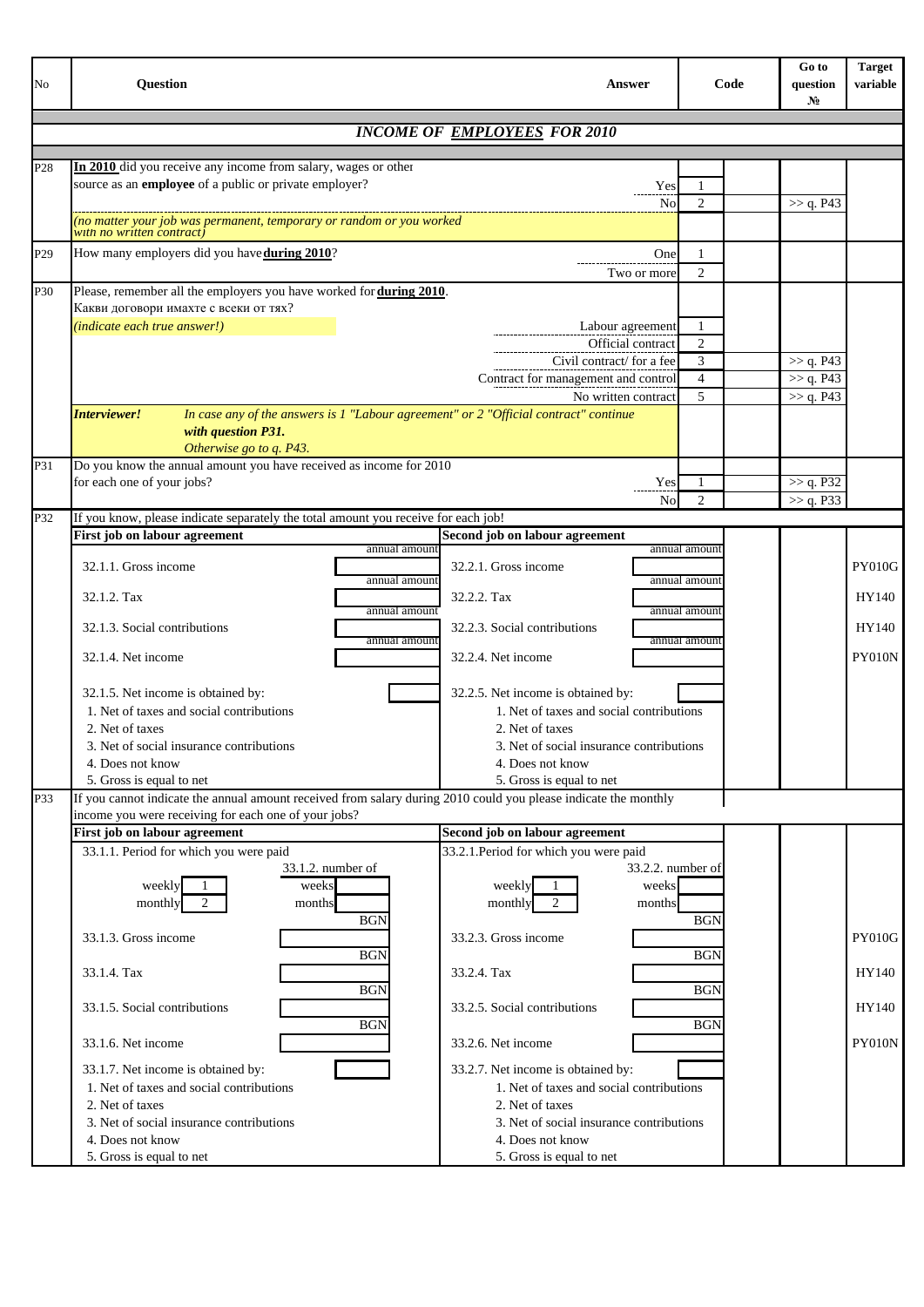| No              | <b>Question</b>                                                                                                                             | <b>Answer</b>                                                    | Code                | Go to<br>question<br>$N_2$ | <b>Target</b><br>variable |
|-----------------|---------------------------------------------------------------------------------------------------------------------------------------------|------------------------------------------------------------------|---------------------|----------------------------|---------------------------|
|                 |                                                                                                                                             | <b>INCOME OF EMPLOYEES FOR 2010</b>                              |                     |                            |                           |
|                 |                                                                                                                                             |                                                                  |                     |                            |                           |
| P28             | In 2010 did you receive any income from salary, wages or other                                                                              |                                                                  |                     |                            |                           |
|                 | source as an employee of a public or private employer?                                                                                      | Yes                                                              |                     |                            |                           |
|                 | no matter your job was permanent, temporary or random or you worked                                                                         | No                                                               | $\overline{2}$      | >> q. P43                  |                           |
|                 | with no written contract                                                                                                                    |                                                                  |                     |                            |                           |
| P <sub>29</sub> | How many employers did you have during 2010?                                                                                                | One                                                              | 1                   |                            |                           |
| P30             | Please, remember all the employers you have worked for during 2010.                                                                         | Two or more                                                      | $\overline{2}$      |                            |                           |
|                 | Какви договори имахте с всеки от тях?                                                                                                       |                                                                  |                     |                            |                           |
|                 | (indicate each true answer!)                                                                                                                | Labour agreement                                                 | 1                   |                            |                           |
|                 |                                                                                                                                             | Official contract                                                | $\overline{2}$      |                            |                           |
|                 |                                                                                                                                             | Civil contract/ for a fee<br>Contract for management and control | 3<br>$\overline{4}$ | >> q. P43<br>>> q. P43     |                           |
|                 |                                                                                                                                             | No written contract                                              | 5                   | >> q. P43                  |                           |
|                 | In case any of the answers is 1 "Labour agreement" or 2 "Official contract" continue<br>Interviewer!                                        |                                                                  |                     |                            |                           |
|                 | with question P31.                                                                                                                          |                                                                  |                     |                            |                           |
| P31             | Otherwise go to q. P43.<br>Do you know the annual amount you have received as income for 2010                                               |                                                                  |                     |                            |                           |
|                 | for each one of your jobs?                                                                                                                  | Yes                                                              | -1                  | >> q. P32                  |                           |
|                 |                                                                                                                                             | No                                                               | $\overline{2}$      | >> q. P33                  |                           |
| P32             | If you know, please indicate separately the total amount you receive for each job!                                                          |                                                                  |                     |                            |                           |
|                 | First job on labour agreement<br>annual amount                                                                                              | Second job on labour agreement                                   | annual amoun        |                            |                           |
|                 | 32.1.1. Gross income                                                                                                                        | 32.2.1. Gross income                                             |                     |                            | <b>PY010G</b>             |
|                 | annual amount<br>32.1.2. Tax                                                                                                                | 32.2.2. Tax                                                      | annual amount       |                            | HY140                     |
|                 | annual amount                                                                                                                               |                                                                  | annual amount       |                            |                           |
|                 | 32.1.3. Social contributions<br>annual amount                                                                                               | 32.2.3. Social contributions                                     | annual amount       |                            | HY140                     |
|                 | 32.1.4. Net income                                                                                                                          | 32.2.4. Net income                                               |                     |                            | PY010N                    |
|                 | 32.1.5. Net income is obtained by:                                                                                                          | 32.2.5. Net income is obtained by:                               |                     |                            |                           |
|                 | 1. Net of taxes and social contributions                                                                                                    | 1. Net of taxes and social contributions                         |                     |                            |                           |
|                 | 2. Net of taxes                                                                                                                             | 2. Net of taxes                                                  |                     |                            |                           |
|                 | 3. Net of social insurance contributions                                                                                                    | 3. Net of social insurance contributions                         |                     |                            |                           |
|                 | 4. Does not know                                                                                                                            | 4. Does not know                                                 |                     |                            |                           |
| P33             | 5. Gross is equal to net<br>If you cannot indicate the annual amount received from salary during 2010 could you please indicate the monthly | 5. Gross is equal to net                                         |                     |                            |                           |
|                 | income you were receiving for each one of your jobs?                                                                                        |                                                                  |                     |                            |                           |
|                 | First job on labour agreement                                                                                                               | Second job on labour agreement                                   |                     |                            |                           |
|                 | 33.1.1. Period for which you were paid<br>33.1.2. number of                                                                                 | 33.2.1. Period for which you were paid<br>33.2.2, number of      |                     |                            |                           |
|                 | weekly<br>weeks                                                                                                                             | weeks<br>weekly                                                  |                     |                            |                           |
|                 | monthly<br>months                                                                                                                           | months<br>monthly                                                |                     |                            |                           |
|                 | <b>BGN</b>                                                                                                                                  | 33.2.3. Gross income                                             | <b>BGN</b>          |                            |                           |
|                 | 33.1.3. Gross income<br><b>BGN</b>                                                                                                          |                                                                  | <b>BGN</b>          |                            | <b>PY010G</b>             |
|                 | 33.1.4. Tax                                                                                                                                 | 33.2.4. Tax                                                      |                     |                            | HY140                     |
|                 | <b>BGN</b><br>33.1.5. Social contributions                                                                                                  | 33.2.5. Social contributions                                     | <b>BGN</b>          |                            | HY140                     |
|                 | <b>BGN</b>                                                                                                                                  |                                                                  | <b>BGN</b>          |                            |                           |
|                 | 33.1.6. Net income                                                                                                                          | 33.2.6. Net income                                               |                     |                            | PY010N                    |
|                 | 33.1.7. Net income is obtained by:                                                                                                          | 33.2.7. Net income is obtained by:                               |                     |                            |                           |
|                 | 1. Net of taxes and social contributions<br>2. Net of taxes                                                                                 | 1. Net of taxes and social contributions<br>2. Net of taxes      |                     |                            |                           |
|                 | 3. Net of social insurance contributions                                                                                                    | 3. Net of social insurance contributions                         |                     |                            |                           |
|                 | 4. Does not know                                                                                                                            | 4. Does not know                                                 |                     |                            |                           |
|                 | 5. Gross is equal to net                                                                                                                    | 5. Gross is equal to net                                         |                     |                            |                           |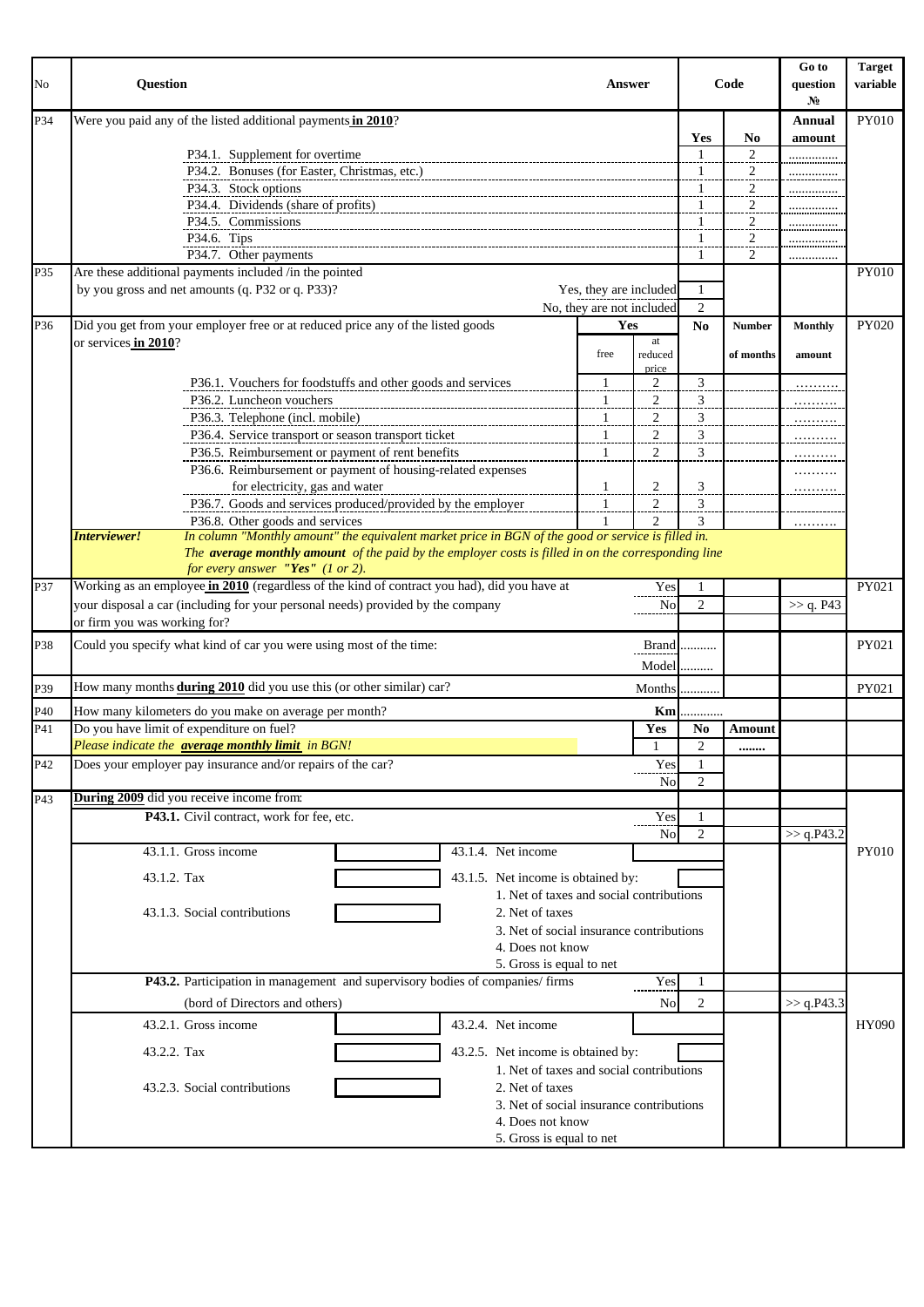| No  | <b>Question</b><br>Answer                                                           |                                                                                                                                         |  |  |                                          |              |      |                           | Code                 | Go to<br>question<br>No | <b>Target</b><br>variable |              |
|-----|-------------------------------------------------------------------------------------|-----------------------------------------------------------------------------------------------------------------------------------------|--|--|------------------------------------------|--------------|------|---------------------------|----------------------|-------------------------|---------------------------|--------------|
| P34 |                                                                                     | Were you paid any of the listed additional payments in 2010?                                                                            |  |  |                                          |              |      |                           |                      |                         | <b>Annual</b>             | <b>PY010</b> |
|     |                                                                                     |                                                                                                                                         |  |  |                                          |              |      |                           | Yes                  | No                      | amount                    |              |
|     |                                                                                     | P34.1. Supplement for overtime                                                                                                          |  |  |                                          |              |      |                           | $\mathbf{1}$         | 2                       |                           |              |
|     |                                                                                     | P34.2. Bonuses (for Easter, Christmas, etc.)                                                                                            |  |  |                                          |              |      |                           | $\mathbf{1}$         |                         |                           |              |
|     |                                                                                     | P34.3. Stock options                                                                                                                    |  |  |                                          |              |      |                           | 1                    | $\overline{a}$<br>2     |                           |              |
|     | P34.4. Dividends (share of profits)                                                 |                                                                                                                                         |  |  |                                          |              |      | 1                         | 2                    |                         |                           |              |
|     |                                                                                     | P34.5. Commissions                                                                                                                      |  |  |                                          |              |      |                           | 1                    | 2                       |                           |              |
|     |                                                                                     | P34.6. Tips                                                                                                                             |  |  |                                          |              |      |                           | $\mathbf{1}$         | $\overline{\mathbf{c}}$ |                           |              |
|     |                                                                                     | P34.7. Other payments                                                                                                                   |  |  |                                          |              |      |                           | -1                   | 2                       | .                         |              |
| P35 |                                                                                     | Are these additional payments included /in the pointed                                                                                  |  |  |                                          |              |      |                           |                      |                         |                           | PY010        |
|     |                                                                                     | by you gross and net amounts (q. P32 or q. P33)?                                                                                        |  |  |                                          |              |      | Yes, they are included    | 1                    |                         |                           |              |
|     |                                                                                     |                                                                                                                                         |  |  |                                          |              |      | No, they are not included | 2                    |                         |                           |              |
| P36 |                                                                                     | Did you get from your employer free or at reduced price any of the listed goods                                                         |  |  |                                          |              | Yes  |                           | No                   | <b>Number</b>           | <b>Monthly</b>            | PY020        |
|     | or services in 2010?                                                                |                                                                                                                                         |  |  |                                          |              |      | at                        |                      |                         |                           |              |
|     |                                                                                     |                                                                                                                                         |  |  |                                          |              | free | reduced                   |                      | of months               | amount                    |              |
|     |                                                                                     |                                                                                                                                         |  |  |                                          |              |      | price                     |                      |                         |                           |              |
|     |                                                                                     | P36.1. Vouchers for foodstuffs and other goods and services                                                                             |  |  |                                          |              | 1    | $\overline{c}$            | 3                    |                         |                           |              |
|     |                                                                                     | P36.2. Luncheon vouchers                                                                                                                |  |  |                                          | $\mathbf{1}$ |      | $\overline{2}$            | 3                    |                         | .                         |              |
|     |                                                                                     | P36.3. Telephone (incl. mobile)                                                                                                         |  |  |                                          |              | 1    | 2                         | 3                    |                         |                           |              |
|     |                                                                                     | P36.4. Service transport or season transport ticket                                                                                     |  |  |                                          |              | 1    | $\mathfrak{2}$            | 3                    |                         |                           |              |
|     |                                                                                     | P36.5. Reimbursement or payment of rent benefits                                                                                        |  |  |                                          | 1            |      | 2                         | 3                    |                         |                           |              |
|     |                                                                                     | P36.6. Reimbursement or payment of housing-related expenses                                                                             |  |  |                                          |              |      |                           |                      |                         |                           |              |
|     |                                                                                     | for electricity, gas and water                                                                                                          |  |  |                                          | 1            |      | 2                         | 3                    |                         | .                         |              |
|     |                                                                                     | P36.7. Goods and services produced/provided by the employer                                                                             |  |  |                                          |              | 1    | $\overline{2}$            | 3                    |                         |                           |              |
|     | Interviewer!                                                                        | P36.8. Other goods and services                                                                                                         |  |  |                                          | 1            |      | $\overline{c}$            | 3                    |                         | .                         |              |
|     |                                                                                     | In column "Monthly amount" the equivalent market price in BGN of the good or service is filled in.                                      |  |  |                                          |              |      |                           |                      |                         |                           |              |
|     |                                                                                     | The average monthly amount of the paid by the employer costs is filled in on the corresponding line<br>for every answer "Yes" (1 or 2). |  |  |                                          |              |      |                           |                      |                         |                           |              |
|     |                                                                                     | Working as an employee in 2010 (regardless of the kind of contract you had), did you have at                                            |  |  |                                          |              |      |                           |                      |                         |                           | PY021        |
| P37 |                                                                                     | your disposal a car (including for your personal needs) provided by the company                                                         |  |  |                                          |              |      | Yes                       | -1<br>$\overline{2}$ |                         |                           |              |
|     | or firm you was working for?                                                        |                                                                                                                                         |  |  |                                          |              |      | No                        |                      |                         | >> q. P43                 |              |
|     |                                                                                     |                                                                                                                                         |  |  |                                          |              |      |                           |                      |                         |                           |              |
| P38 |                                                                                     | Could you specify what kind of car you were using most of the time:                                                                     |  |  |                                          |              |      |                           | Brand                |                         |                           | PY021        |
|     |                                                                                     |                                                                                                                                         |  |  |                                          |              |      | $Model$                   |                      |                         |                           |              |
| P39 |                                                                                     | How many months <b>during 2010</b> did you use this (or other similar) car?                                                             |  |  |                                          |              |      | Months                    | .                    |                         |                           | PY021        |
|     |                                                                                     |                                                                                                                                         |  |  |                                          |              |      |                           |                      |                         |                           |              |
| P40 |                                                                                     | How many kilometers do you make on average per month?<br>Do you have limit of expenditure on fuel?                                      |  |  |                                          |              |      | Km                        |                      |                         |                           |              |
| P41 |                                                                                     | Please indicate the <b>average monthly limit</b> in BGN!                                                                                |  |  |                                          |              |      | Yes                       | N <sub>0</sub>       | Amount                  |                           |              |
|     |                                                                                     | Does your employer pay insurance and/or repairs of the car?                                                                             |  |  |                                          |              |      |                           | 2                    |                         |                           |              |
| P42 |                                                                                     |                                                                                                                                         |  |  |                                          |              |      | Yes                       | 1<br>$\overline{2}$  |                         |                           |              |
|     |                                                                                     | During 2009 did you receive income from:                                                                                                |  |  |                                          |              |      | No                        |                      |                         |                           |              |
| P43 |                                                                                     | P43.1. Civil contract, work for fee, etc.                                                                                               |  |  |                                          |              |      |                           |                      |                         |                           |              |
|     |                                                                                     |                                                                                                                                         |  |  |                                          |              |      | Yes<br><b>No</b>          | 1<br>$\overline{2}$  |                         |                           |              |
|     |                                                                                     | 43.1.1. Gross income                                                                                                                    |  |  | 43.1.4. Net income                       |              |      |                           |                      |                         | >> q.P43.2                | <b>PY010</b> |
|     |                                                                                     |                                                                                                                                         |  |  |                                          |              |      |                           |                      |                         |                           |              |
|     | 43.1.2. Tax                                                                         |                                                                                                                                         |  |  | 43.1.5. Net income is obtained by:       |              |      |                           |                      |                         |                           |              |
|     |                                                                                     |                                                                                                                                         |  |  | 1. Net of taxes and social contributions |              |      |                           |                      |                         |                           |              |
|     |                                                                                     | 43.1.3. Social contributions                                                                                                            |  |  | 2. Net of taxes                          |              |      |                           |                      |                         |                           |              |
|     |                                                                                     |                                                                                                                                         |  |  | 3. Net of social insurance contributions |              |      |                           |                      |                         |                           |              |
|     |                                                                                     |                                                                                                                                         |  |  | 4. Does not know                         |              |      |                           |                      |                         |                           |              |
|     | 5. Gross is equal to net                                                            |                                                                                                                                         |  |  |                                          |              |      |                           |                      |                         |                           |              |
|     | P43.2. Participation in management and supervisory bodies of companies/firms<br>Yes |                                                                                                                                         |  |  |                                          |              | -1   |                           |                      |                         |                           |              |
|     | (bord of Directors and others)<br>No                                                |                                                                                                                                         |  |  |                                          |              | 2    |                           | $>>$ q.P43.3         |                         |                           |              |
|     |                                                                                     |                                                                                                                                         |  |  |                                          |              |      |                           |                      |                         |                           |              |
|     |                                                                                     | 43.2.1. Gross income                                                                                                                    |  |  | 43.2.4. Net income                       |              |      |                           |                      |                         |                           | HY090        |
|     | 43.2.2. Tax                                                                         |                                                                                                                                         |  |  | 43.2.5. Net income is obtained by:       |              |      |                           |                      |                         |                           |              |
|     |                                                                                     |                                                                                                                                         |  |  | 1. Net of taxes and social contributions |              |      |                           |                      |                         |                           |              |
|     |                                                                                     | 43.2.3. Social contributions                                                                                                            |  |  | 2. Net of taxes                          |              |      |                           |                      |                         |                           |              |
|     |                                                                                     |                                                                                                                                         |  |  | 3. Net of social insurance contributions |              |      |                           |                      |                         |                           |              |
|     |                                                                                     |                                                                                                                                         |  |  | 4. Does not know                         |              |      |                           |                      |                         |                           |              |
|     |                                                                                     |                                                                                                                                         |  |  | 5. Gross is equal to net                 |              |      |                           |                      |                         |                           |              |
|     |                                                                                     |                                                                                                                                         |  |  |                                          |              |      |                           |                      |                         |                           |              |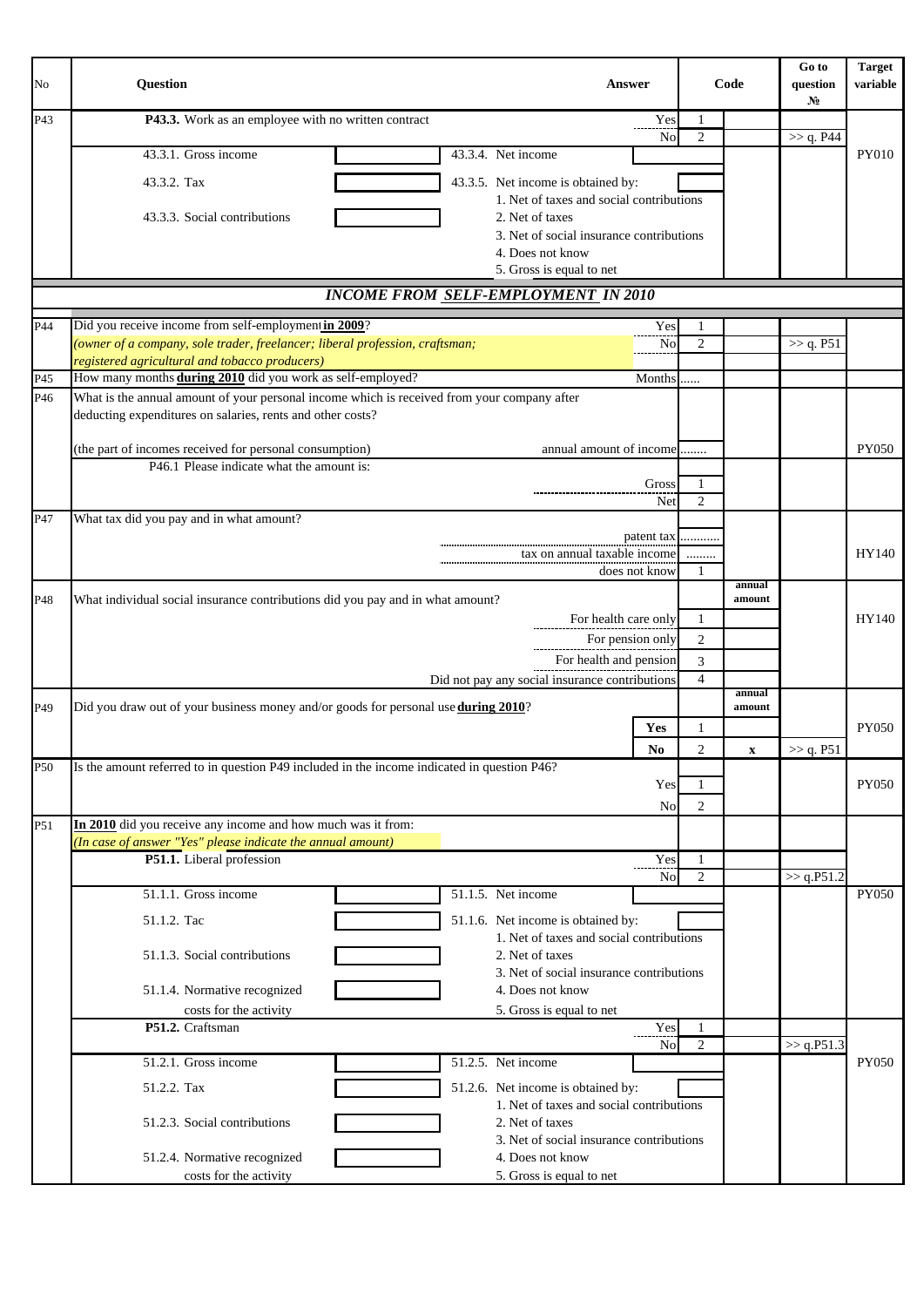| No              | <b>Question</b>                                                                                                                                           |                                                                                | Answer                 |                | Code             | Go to<br>question<br>$N_2$ | <b>Target</b><br>variable |
|-----------------|-----------------------------------------------------------------------------------------------------------------------------------------------------------|--------------------------------------------------------------------------------|------------------------|----------------|------------------|----------------------------|---------------------------|
| P43             | P43.3. Work as an employee with no written contract                                                                                                       |                                                                                | Yes                    | 1              |                  |                            |                           |
|                 | 43.3.1. Gross income                                                                                                                                      | 43.3.4. Net income                                                             | No                     | $\overline{2}$ |                  | >> q. P44                  | PY010                     |
|                 |                                                                                                                                                           |                                                                                |                        |                |                  |                            |                           |
|                 | 43.3.2. Tax                                                                                                                                               | 43.3.5. Net income is obtained by:<br>1. Net of taxes and social contributions |                        |                |                  |                            |                           |
|                 | 43.3.3. Social contributions                                                                                                                              | 2. Net of taxes                                                                |                        |                |                  |                            |                           |
|                 |                                                                                                                                                           | 3. Net of social insurance contributions                                       |                        |                |                  |                            |                           |
|                 |                                                                                                                                                           | 4. Does not know<br>5. Gross is equal to net                                   |                        |                |                  |                            |                           |
|                 | <b>INCOME FROM SELF-EMPLOYMENT IN 2010</b>                                                                                                                |                                                                                |                        |                |                  |                            |                           |
| P44             | Did you receive income from self-employment in 2009?                                                                                                      |                                                                                | Yes                    | -1             |                  |                            |                           |
|                 | (owner of a company, sole trader, freelancer; liberal profession, craftsman;                                                                              |                                                                                | No                     | $\overline{2}$ |                  | $\gg$ q. P51               |                           |
|                 | registered agricultural and tobacco producers)                                                                                                            |                                                                                |                        |                |                  |                            |                           |
| P45             | How many months during 2010 did you work as self-employed?                                                                                                |                                                                                | Months                 |                |                  |                            |                           |
| P <sub>46</sub> | What is the annual amount of your personal income which is received from your company after<br>deducting expenditures on salaries, rents and other costs? |                                                                                |                        |                |                  |                            |                           |
|                 |                                                                                                                                                           |                                                                                |                        |                |                  |                            |                           |
|                 | (the part of incomes received for personal consumption)                                                                                                   | annual amount of income                                                        |                        |                |                  |                            | <b>PY050</b>              |
|                 | P46.1 Please indicate what the amount is:                                                                                                                 |                                                                                | Gross                  | 1              |                  |                            |                           |
|                 |                                                                                                                                                           |                                                                                | Net                    | $\overline{2}$ |                  |                            |                           |
| P47             | What tax did you pay and in what amount?                                                                                                                  |                                                                                |                        |                |                  |                            |                           |
|                 |                                                                                                                                                           |                                                                                | patent tax             |                |                  |                            |                           |
|                 |                                                                                                                                                           | tax on annual taxable income                                                   | does not know          | <br>-1         |                  |                            | HY140                     |
|                 |                                                                                                                                                           |                                                                                |                        |                | annual           |                            |                           |
| P48             | What individual social insurance contributions did you pay and in what amount?                                                                            |                                                                                | For health care only   | 1              | amount           |                            | HY140                     |
|                 |                                                                                                                                                           | For pension only                                                               | $\mathfrak{2}$         |                |                  |                            |                           |
|                 |                                                                                                                                                           |                                                                                | For health and pension | 3              |                  |                            |                           |
|                 |                                                                                                                                                           | Did not pay any social insurance contributions                                 |                        | $\overline{4}$ |                  |                            |                           |
| P49             | Did you draw out of your business money and/or goods for personal use <b>during 2010</b> ?                                                                |                                                                                |                        |                | annual<br>amount |                            |                           |
|                 |                                                                                                                                                           |                                                                                | Yes                    | $\mathbf{1}$   |                  |                            | <b>PY050</b>              |
|                 |                                                                                                                                                           |                                                                                | No                     | $\overline{2}$ | $\mathbf x$      | >> q. P51                  |                           |
| P50             | Is the amount referred to in question P49 included in the income indicated in question P46?                                                               |                                                                                |                        |                |                  |                            |                           |
|                 |                                                                                                                                                           |                                                                                | Yes                    | -1             |                  |                            | <b>PY050</b>              |
|                 |                                                                                                                                                           |                                                                                | <b>No</b>              | $\overline{2}$ |                  |                            |                           |
| P51             | In 2010 did you receive any income and how much was it from:<br>(In case of answer "Yes" please indicate the annual amount)                               |                                                                                |                        |                |                  |                            |                           |
|                 | P51.1. Liberal profession                                                                                                                                 |                                                                                | Yes                    | -1             |                  |                            |                           |
|                 |                                                                                                                                                           |                                                                                | N <sub>o</sub>         | $\overline{2}$ |                  | >> q.P51.2                 |                           |
|                 | 51.1.1. Gross income                                                                                                                                      | 51.1.5. Net income                                                             |                        |                |                  |                            | <b>PY050</b>              |
|                 | 51.1.2. Tac                                                                                                                                               | 51.1.6. Net income is obtained by:                                             |                        |                |                  |                            |                           |
|                 | 51.1.3. Social contributions                                                                                                                              | 1. Net of taxes and social contributions<br>2. Net of taxes                    |                        |                |                  |                            |                           |
|                 |                                                                                                                                                           | 3. Net of social insurance contributions                                       |                        |                |                  |                            |                           |
|                 | 51.1.4. Normative recognized                                                                                                                              | 4. Does not know                                                               |                        |                |                  |                            |                           |
|                 | costs for the activity                                                                                                                                    | 5. Gross is equal to net                                                       |                        |                |                  |                            |                           |
|                 | P51.2. Craftsman                                                                                                                                          |                                                                                | Yes<br>No              | $\overline{2}$ |                  | >> q.P51.3                 |                           |
|                 | 51.2.1. Gross income                                                                                                                                      | 51.2.5. Net income                                                             |                        |                |                  |                            | <b>PY050</b>              |
|                 | 51.2.2. Tax                                                                                                                                               | 51.2.6. Net income is obtained by:                                             |                        |                |                  |                            |                           |
|                 |                                                                                                                                                           | 1. Net of taxes and social contributions                                       |                        |                |                  |                            |                           |
|                 | 51.2.3. Social contributions                                                                                                                              | 2. Net of taxes                                                                |                        |                |                  |                            |                           |
|                 |                                                                                                                                                           | 3. Net of social insurance contributions                                       |                        |                |                  |                            |                           |
|                 | 51.2.4. Normative recognized<br>costs for the activity                                                                                                    | 4. Does not know<br>5. Gross is equal to net                                   |                        |                |                  |                            |                           |
|                 |                                                                                                                                                           |                                                                                |                        |                |                  |                            |                           |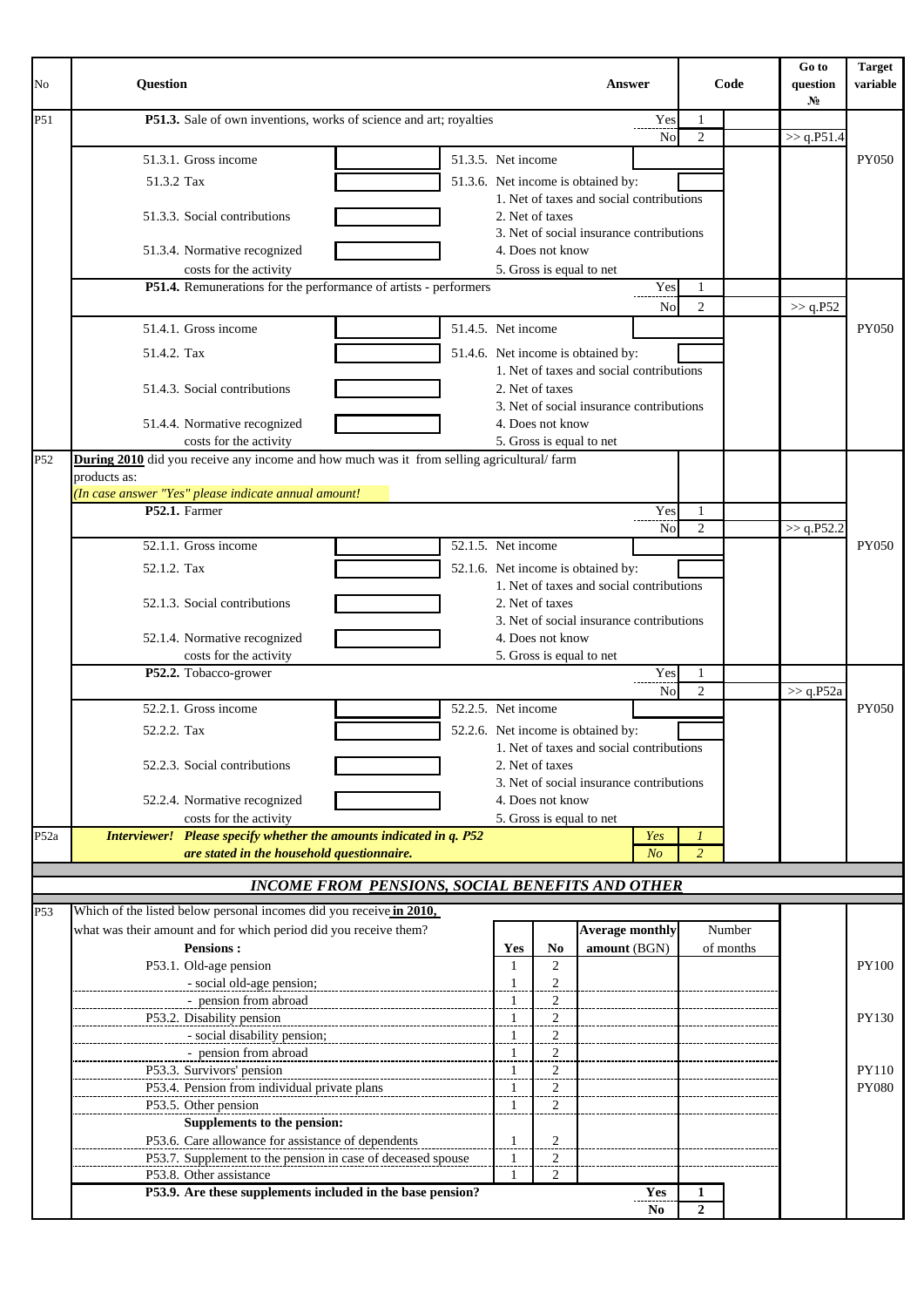| No   | <b>Ouestion</b>                                                                           |              |                                              | Answer                                                                         |                |                     | Code      | Go to<br>question<br>N <sub>2</sub> | <b>Target</b><br>variable |
|------|-------------------------------------------------------------------------------------------|--------------|----------------------------------------------|--------------------------------------------------------------------------------|----------------|---------------------|-----------|-------------------------------------|---------------------------|
| P51  | P51.3. Sale of own inventions, works of science and art; royalties                        |              |                                              |                                                                                | Yes<br>No      | 1<br>$\overline{2}$ |           | >> q.P51.4                          |                           |
|      | 51.3.5. Net income<br>51.3.1. Gross income                                                |              |                                              |                                                                                |                |                     |           |                                     | <b>PY050</b>              |
|      | 51.3.2 Tax                                                                                |              |                                              |                                                                                |                |                     |           |                                     |                           |
|      |                                                                                           |              |                                              | 51.3.6. Net income is obtained by:<br>1. Net of taxes and social contributions |                |                     |           |                                     |                           |
|      | 51.3.3. Social contributions                                                              |              | 2. Net of taxes                              |                                                                                |                |                     |           |                                     |                           |
|      |                                                                                           |              |                                              | 3. Net of social insurance contributions                                       |                |                     |           |                                     |                           |
|      | 51.3.4. Normative recognized                                                              |              | 4. Does not know                             |                                                                                |                |                     |           |                                     |                           |
|      | costs for the activity                                                                    |              | 5. Gross is equal to net                     |                                                                                |                |                     |           |                                     |                           |
|      | P51.4. Remunerations for the performance of artists - performers                          |              |                                              |                                                                                | Yes            | 1                   |           |                                     |                           |
|      |                                                                                           |              |                                              |                                                                                | No             | $\overline{2}$      |           | >> q.P52                            |                           |
|      | 51.4.5. Net income<br>51.4.1. Gross income                                                |              |                                              |                                                                                |                |                     |           |                                     | PY050                     |
|      | 51.4.2. Tax                                                                               |              |                                              | 51.4.6. Net income is obtained by:                                             |                |                     |           |                                     |                           |
|      |                                                                                           |              |                                              | 1. Net of taxes and social contributions                                       |                |                     |           |                                     |                           |
|      | 51.4.3. Social contributions                                                              |              | 2. Net of taxes                              |                                                                                |                |                     |           |                                     |                           |
|      |                                                                                           |              | 4. Does not know                             | 3. Net of social insurance contributions                                       |                |                     |           |                                     |                           |
|      | 51.4.4. Normative recognized<br>costs for the activity                                    |              | 5. Gross is equal to net                     |                                                                                |                |                     |           |                                     |                           |
| P52  | During 2010 did you receive any income and how much was it from selling agricultural/farm |              |                                              |                                                                                |                |                     |           |                                     |                           |
|      | products as:                                                                              |              |                                              |                                                                                |                |                     |           |                                     |                           |
|      | (In case answer "Yes" please indicate annual amount!                                      |              |                                              |                                                                                |                |                     |           |                                     |                           |
|      | P52.1. Farmer                                                                             |              |                                              |                                                                                | Yes            | 1                   |           |                                     |                           |
|      |                                                                                           |              |                                              |                                                                                | No             | $\overline{2}$      |           | >> q.P52.2                          |                           |
|      | 52.1.1. Gross income<br>52.1.5. Net income                                                |              |                                              |                                                                                |                |                     |           |                                     | <b>PY050</b>              |
|      | 52.1.2. Tax                                                                               |              |                                              | 52.1.6. Net income is obtained by:                                             |                |                     |           |                                     |                           |
|      |                                                                                           |              |                                              | 1. Net of taxes and social contributions                                       |                |                     |           |                                     |                           |
|      | 52.1.3. Social contributions                                                              |              | 2. Net of taxes                              |                                                                                |                |                     |           |                                     |                           |
|      | 52.1.4. Normative recognized                                                              |              | 4. Does not know                             | 3. Net of social insurance contributions                                       |                |                     |           |                                     |                           |
|      | costs for the activity                                                                    |              | 5. Gross is equal to net                     |                                                                                |                |                     |           |                                     |                           |
|      | P52.2. Tobacco-grower                                                                     |              |                                              |                                                                                | Yes            | 1                   |           |                                     |                           |
|      |                                                                                           |              |                                              |                                                                                | N <sub>o</sub> | $\overline{2}$      |           | >> q.P52a                           |                           |
|      | 52.2.1. Gross income<br>52.2.5. Net income                                                |              |                                              |                                                                                |                |                     |           |                                     | PY050                     |
|      | 52.2.2. Tax                                                                               |              |                                              | 52.2.6. Net income is obtained by:                                             |                |                     |           |                                     |                           |
|      |                                                                                           |              |                                              | 1. Net of taxes and social contributions                                       |                |                     |           |                                     |                           |
|      | 52.2.3. Social contributions                                                              |              | 2. Net of taxes                              |                                                                                |                |                     |           |                                     |                           |
|      |                                                                                           |              |                                              | 3. Net of social insurance contributions                                       |                |                     |           |                                     |                           |
|      | 52.2.4. Normative recognized<br>costs for the activity                                    |              | 4. Does not know<br>5. Gross is equal to net |                                                                                |                |                     |           |                                     |                           |
| P52a | Interviewer! Please specify whether the amounts indicated in q. P52                       |              |                                              |                                                                                | Yes            | $\boldsymbol{l}$    |           |                                     |                           |
|      | are stated in the household questionnaire.                                                |              |                                              |                                                                                | N <sub>o</sub> | $\overline{c}$      |           |                                     |                           |
|      |                                                                                           |              |                                              |                                                                                |                |                     |           |                                     |                           |
|      | <b>INCOME FROM PENSIONS, SOCIAL BENEFITS AND OTHER</b>                                    |              |                                              |                                                                                |                |                     |           |                                     |                           |
| P53  | Which of the listed below personal incomes did you receive in 2010,                       |              |                                              |                                                                                |                |                     |           |                                     |                           |
|      | what was their amount and for which period did you receive them?                          |              |                                              | <b>Average monthly</b>                                                         |                |                     | Number    |                                     |                           |
|      | <b>Pensions:</b>                                                                          | Yes          | No                                           | amount (BGN)                                                                   |                |                     | of months |                                     |                           |
|      | P53.1. Old-age pension                                                                    | 1            | 2                                            |                                                                                |                |                     |           |                                     | <b>PY100</b>              |
|      | - social old-age pension;                                                                 | $\mathbf{1}$ | $\overline{c}$                               |                                                                                |                |                     |           |                                     |                           |
|      | - pension from abroad<br>P53.2. Disability pension                                        | -1           | $\boldsymbol{2}$<br>$\overline{c}$           |                                                                                |                |                     |           |                                     | <b>PY130</b>              |
|      | - social disability pension;                                                              | -1           | $\overline{a}$                               |                                                                                |                |                     |           |                                     |                           |
|      | - pension from abroad                                                                     | -1           | 2                                            |                                                                                |                |                     |           |                                     |                           |
|      | P53.3. Survivors' pension                                                                 | -1           | $\overline{c}$                               |                                                                                |                |                     |           |                                     | PY110                     |
|      | P53.4. Pension from individual private plans                                              |              | $\overline{c}$                               |                                                                                |                |                     |           |                                     | <b>PY080</b>              |
|      | P53.5. Other pension                                                                      | -1           | 2                                            |                                                                                |                |                     |           |                                     |                           |
|      | Supplements to the pension:                                                               |              |                                              |                                                                                |                |                     |           |                                     |                           |
|      | P53.6. Care allowance for assistance of dependents                                        | -1           | $\overline{c}$                               |                                                                                |                |                     |           |                                     |                           |
|      | P53.7. Supplement to the pension in case of deceased spouse<br>P53.8. Other assistance    | -1           | $\overline{c}$<br>2                          |                                                                                |                |                     |           |                                     |                           |
|      | P53.9. Are these supplements included in the base pension?                                |              |                                              |                                                                                | Yes            | 1                   |           |                                     |                           |
|      |                                                                                           |              |                                              |                                                                                | No             | $\overline{2}$      |           |                                     |                           |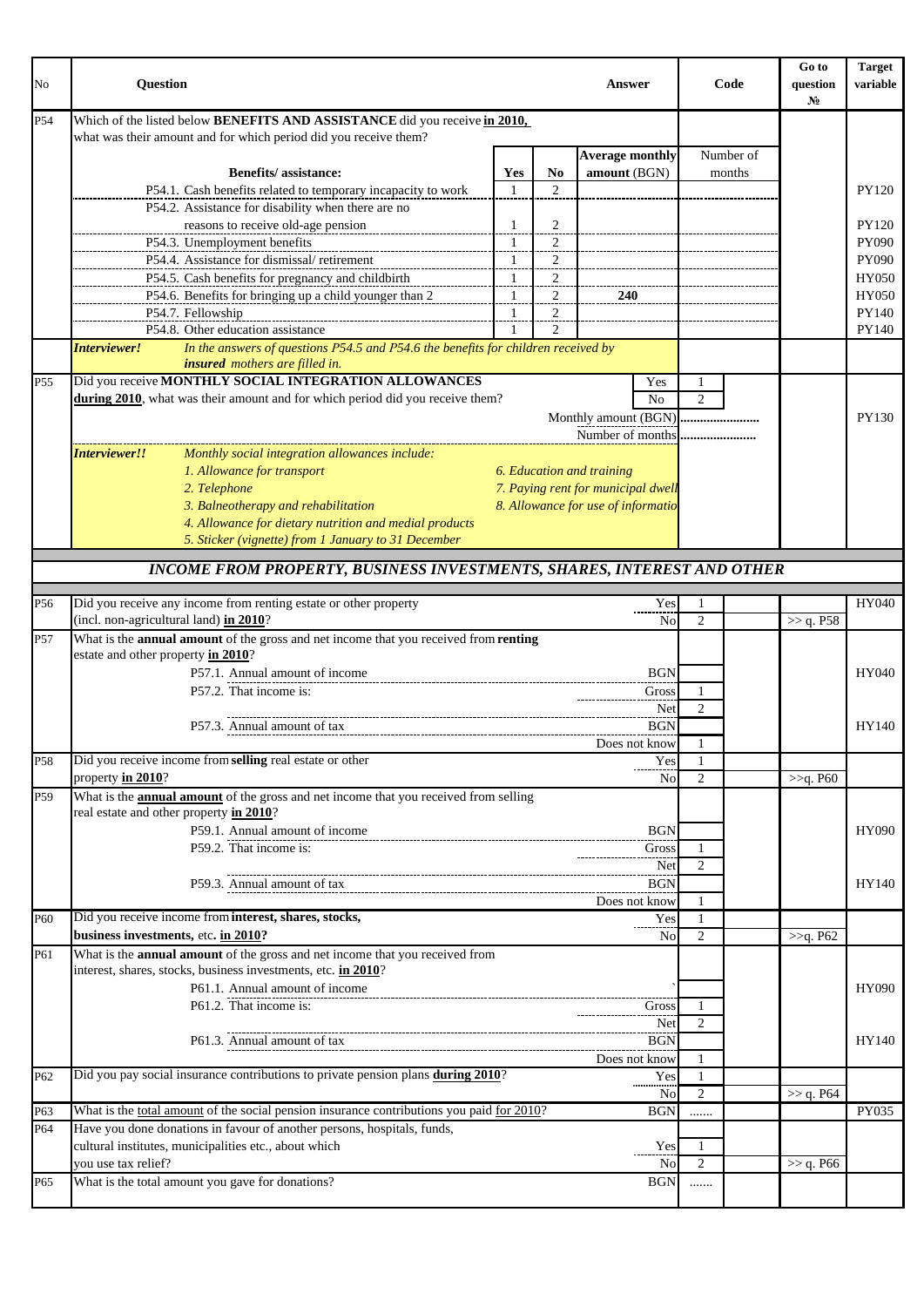| No              | Question                                                                                                                                              |                     |                                  | Answer                                                          |                           | Code      | Go to<br>question<br>$N_2$ | <b>Target</b><br>variable |
|-----------------|-------------------------------------------------------------------------------------------------------------------------------------------------------|---------------------|----------------------------------|-----------------------------------------------------------------|---------------------------|-----------|----------------------------|---------------------------|
| P54             | Which of the listed below <b>BENEFITS AND ASSISTANCE</b> did you receive in 2010,<br>what was their amount and for which period did you receive them? |                     |                                  |                                                                 |                           |           |                            |                           |
|                 |                                                                                                                                                       |                     |                                  | <b>Average monthly</b>                                          |                           | Number of |                            |                           |
|                 | <b>Benefits/assistance:</b><br>P54.1. Cash benefits related to temporary incapacity to work                                                           | Yes<br>$\mathbf{1}$ | No<br>$\mathfrak{D}$             | amount (BGN)                                                    |                           | months    |                            | PY120                     |
|                 | P54.2. Assistance for disability when there are no                                                                                                    |                     |                                  |                                                                 |                           |           |                            |                           |
|                 | reasons to receive old-age pension                                                                                                                    | 1                   | $\overline{\mathbf{c}}$          |                                                                 |                           |           |                            | PY120                     |
|                 | P54.3. Unemployment benefits                                                                                                                          | -1                  | 2                                |                                                                 |                           |           |                            | PY090                     |
|                 | P54.4. Assistance for dismissal/retirement                                                                                                            | 1                   | $\overline{c}$                   |                                                                 |                           |           |                            | PY090                     |
|                 | P54.5. Cash benefits for pregnancy and childbirth                                                                                                     | 1                   | $\overline{c}$                   |                                                                 |                           |           |                            | HY050                     |
|                 | P54.6. Benefits for bringing up a child younger than 2<br>P54.7. Fellowship                                                                           | 1<br>-1             | $\overline{a}$                   | 240                                                             |                           |           |                            | <b>HY050</b><br>PY140     |
|                 | P54.8. Other education assistance                                                                                                                     |                     | $\overline{a}$<br>$\overline{2}$ |                                                                 |                           |           |                            | PY140                     |
|                 | In the answers of questions P54.5 and P54.6 the benefits for children received by<br>Interviewer!<br>insured mothers are filled in.                   |                     |                                  |                                                                 |                           |           |                            |                           |
| P <sub>55</sub> | Did you receive MONTHLY SOCIAL INTEGRATION ALLOWANCES                                                                                                 |                     |                                  | Yes                                                             | $\mathbf{1}$              |           |                            |                           |
|                 | during 2010, what was their amount and for which period did you receive them?                                                                         |                     |                                  | No                                                              | $\overline{2}$            |           |                            |                           |
|                 |                                                                                                                                                       |                     |                                  | Monthly amount (BGN)                                            |                           |           |                            | <b>PY130</b>              |
|                 |                                                                                                                                                       |                     |                                  | Number of months                                                |                           |           |                            |                           |
|                 | Interviewer!!<br>Monthly social integration allowances include:                                                                                       |                     |                                  |                                                                 |                           |           |                            |                           |
|                 | 1. Allowance for transport<br>2. Telephone                                                                                                            |                     |                                  | 6. Education and training<br>7. Paying rent for municipal dwell |                           |           |                            |                           |
|                 | 3. Balneotherapy and rehabilitation                                                                                                                   |                     |                                  | 8. Allowance for use of informatio                              |                           |           |                            |                           |
|                 | 4. Allowance for dietary nutrition and medial products                                                                                                |                     |                                  |                                                                 |                           |           |                            |                           |
|                 | 5. Sticker (vignette) from 1 January to 31 December                                                                                                   |                     |                                  |                                                                 |                           |           |                            |                           |
|                 | <b>INCOME FROM PROPERTY, BUSINESS INVESTMENTS, SHARES, INTEREST AND OTHER</b>                                                                         |                     |                                  |                                                                 |                           |           |                            |                           |
| P56             | Did you receive any income from renting estate or other property                                                                                      |                     |                                  | Yes                                                             | -1                        |           |                            | HY040                     |
|                 | (incl. non-agricultural land) in 2010?                                                                                                                |                     |                                  | N <sub>0</sub>                                                  | $\overline{c}$            |           | >> q. P58                  |                           |
| P57             | What is the annual amount of the gross and net income that you received from renting<br>estate and other property in 2010?                            |                     |                                  |                                                                 |                           |           |                            |                           |
|                 | P57.1. Annual amount of income                                                                                                                        |                     |                                  | <b>BGN</b>                                                      |                           |           |                            | HY040                     |
|                 | P57.2. That income is:                                                                                                                                |                     |                                  | Gross                                                           | 1                         |           |                            |                           |
|                 |                                                                                                                                                       |                     |                                  | Net                                                             | $\overline{2}$            |           |                            |                           |
|                 | P57.3. Annual amount of tax                                                                                                                           |                     |                                  | <b>BGN</b>                                                      |                           |           |                            | HY140                     |
|                 |                                                                                                                                                       |                     |                                  | Does not know                                                   | $\mathbf{1}$              |           |                            |                           |
| P58             | Did you receive income from selling real estate or other<br>property in 2010?                                                                         |                     |                                  | Yes<br>No                                                       | $\perp$<br>$\overline{c}$ |           | >>q. P60                   |                           |
| P59             | What is the <b>annual amount</b> of the gross and net income that you received from selling<br>real estate and other property in 2010?                |                     |                                  |                                                                 |                           |           |                            |                           |
|                 | P59.1. Annual amount of income                                                                                                                        |                     |                                  | <b>BGN</b>                                                      |                           |           |                            | <b>HY090</b>              |
|                 | P59.2. That income is:                                                                                                                                |                     |                                  | Gross                                                           | 1                         |           |                            |                           |
|                 |                                                                                                                                                       |                     |                                  | Net                                                             | 2                         |           |                            |                           |
|                 | P59.3. Annual amount of tax                                                                                                                           |                     |                                  | <b>BGN</b>                                                      |                           |           |                            | HY140                     |
| P60             | Did you receive income from interest, shares, stocks,                                                                                                 |                     |                                  | Does not know<br>Yes                                            | $\mathbf{1}$<br>-1        |           |                            |                           |
|                 | business investments, etc. in 2010?                                                                                                                   |                     |                                  | No                                                              | $\overline{2}$            |           | >>q. P62                   |                           |
| P61             | What is the <b>annual amount</b> of the gross and net income that you received from                                                                   |                     |                                  |                                                                 |                           |           |                            |                           |
|                 | interest, shares, stocks, business investments, etc. in 2010?                                                                                         |                     |                                  |                                                                 |                           |           |                            |                           |
|                 | P61.1. Annual amount of income                                                                                                                        |                     |                                  |                                                                 |                           |           |                            | <b>HY090</b>              |
|                 | P61.2. That income is:                                                                                                                                |                     |                                  | Gross<br>Net                                                    | 1<br>2                    |           |                            |                           |
|                 | P61.3. Annual amount of tax                                                                                                                           |                     |                                  | <b>BGN</b>                                                      |                           |           |                            | HY140                     |
|                 |                                                                                                                                                       |                     |                                  | Does not know                                                   | 1                         |           |                            |                           |
| P62             | Did you pay social insurance contributions to private pension plans during 2010?                                                                      |                     |                                  | Yes                                                             | -1                        |           |                            |                           |
|                 |                                                                                                                                                       |                     |                                  | No                                                              | $\overline{2}$            |           | >> q. P64                  |                           |
| P63             | What is the total amount of the social pension insurance contributions you paid for 2010?                                                             |                     |                                  | <b>BGN</b>                                                      |                           |           |                            | PY035                     |
| P64             | Have you done donations in favour of another persons, hospitals, funds,<br>cultural institutes, municipalities etc., about which                      |                     |                                  | Yes                                                             | 1                         |           |                            |                           |
|                 | vou use tax relief?                                                                                                                                   |                     |                                  | No                                                              | $\overline{2}$            |           | >> q. P66                  |                           |
| P65             | What is the total amount you gave for donations?                                                                                                      |                     |                                  | <b>BGN</b>                                                      |                           |           |                            |                           |
|                 |                                                                                                                                                       |                     |                                  |                                                                 |                           |           |                            |                           |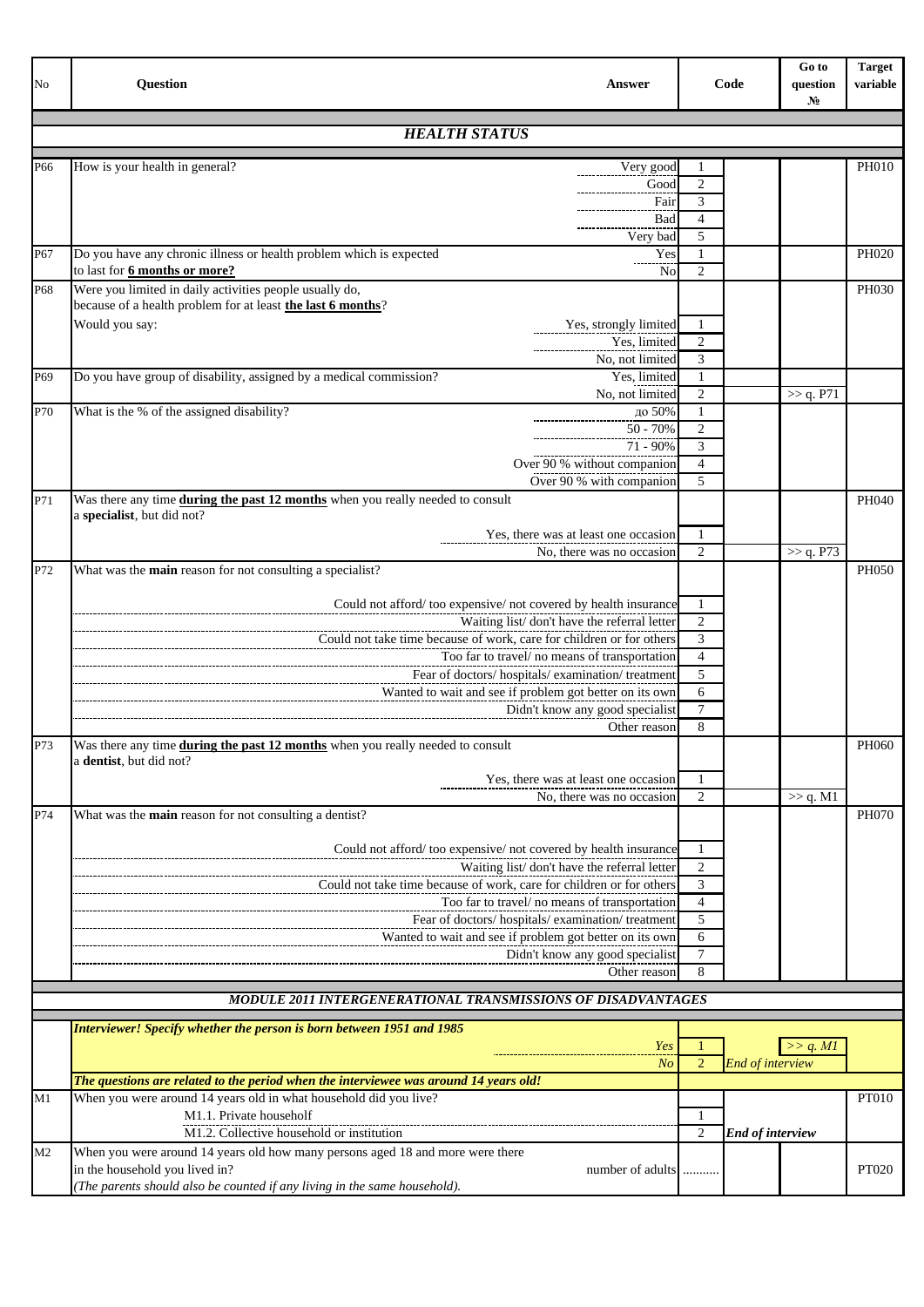| No  | <b>Question</b><br><b>Answer</b>                                                                                       |                     | Code                    | Go to<br>question<br>No | <b>Target</b><br>variable |
|-----|------------------------------------------------------------------------------------------------------------------------|---------------------|-------------------------|-------------------------|---------------------------|
|     | <b>HEALTH STATUS</b>                                                                                                   |                     |                         |                         |                           |
| P66 | How is your health in general?<br>Very good                                                                            | 1                   |                         |                         | <b>PH010</b>              |
|     | Good                                                                                                                   | $\overline{2}$      |                         |                         |                           |
|     | Fair                                                                                                                   | 3                   |                         |                         |                           |
|     | Bad                                                                                                                    | 4                   |                         |                         |                           |
|     | Very bad                                                                                                               | 5                   |                         |                         |                           |
| P67 | Do you have any chronic illness or health problem which is expected<br>Yes                                             |                     |                         |                         | PH020                     |
|     | to last for 6 months or more?<br>No                                                                                    | $\overline{2}$      |                         |                         |                           |
| P68 | Were you limited in daily activities people usually do,<br>because of a health problem for at least the last 6 months? |                     |                         |                         | PH030                     |
|     | Would you say:<br>Yes, strongly limited                                                                                | 1                   |                         |                         |                           |
|     | Yes, limited                                                                                                           | $\overline{2}$      |                         |                         |                           |
|     | No, not limited                                                                                                        | 3                   |                         |                         |                           |
| P69 | Do you have group of disability, assigned by a medical commission?<br>Yes, limited                                     | 1                   |                         |                         |                           |
|     | No, not limited                                                                                                        | $\overline{2}$      |                         | >> q. P71               |                           |
| P70 | What is the % of the assigned disability?<br>до 50%                                                                    | 1                   |                         |                         |                           |
|     | $50 - 70%$                                                                                                             | $\overline{2}$      |                         |                         |                           |
|     | $71 - 90\%$                                                                                                            | 3                   |                         |                         |                           |
|     | Over 90 % without companion                                                                                            | $\overline{4}$      |                         |                         |                           |
|     | Over 90 % with companion                                                                                               | 5                   |                         |                         |                           |
| P71 | Was there any time during the past 12 months when you really needed to consult<br>a specialist, but did not?           |                     |                         |                         | PH040                     |
|     | Yes, there was at least one occasion                                                                                   | 1                   |                         |                         |                           |
|     | No, there was no occasion                                                                                              | $\overline{2}$      |                         | >> q. P73               |                           |
| P72 | What was the main reason for not consulting a specialist?                                                              |                     |                         |                         | PH050                     |
|     | Could not afford/too expensive/not covered by health insurance                                                         | $\mathbf{1}$        |                         |                         |                           |
|     | Waiting list/don't have the referral letter                                                                            | $\overline{2}$      |                         |                         |                           |
|     | Could not take time because of work, care for children or for others                                                   | 3                   |                         |                         |                           |
|     | Too far to travel/ no means of transportation                                                                          | $\overline{4}$      |                         |                         |                           |
|     | Fear of doctors/ hospitals/ examination/ treatment                                                                     | 5                   |                         |                         |                           |
|     | Wanted to wait and see if problem got better on its own                                                                | 6                   |                         |                         |                           |
|     | Didn't know any good specialist                                                                                        | $\tau$              |                         |                         |                           |
|     | Other reason                                                                                                           | 8                   |                         |                         |                           |
| P73 | Was there any time during the past 12 months when you really needed to consult                                         |                     |                         |                         | PH060                     |
|     | a dentist, but did not?                                                                                                |                     |                         |                         |                           |
|     | Yes, there was at least one occasion                                                                                   | 1                   |                         |                         |                           |
|     | No, there was no occasion                                                                                              | 2                   |                         | $\gg$ q. M1             |                           |
| P74 | What was the main reason for not consulting a dentist?                                                                 |                     |                         |                         | PH070                     |
|     |                                                                                                                        |                     |                         |                         |                           |
|     | Could not afford/too expensive/not covered by health insurance                                                         | -1                  |                         |                         |                           |
|     | Waiting list/don't have the referral letter<br>Could not take time because of work, care for children or for others    | 2                   |                         |                         |                           |
|     |                                                                                                                        | 3<br>$\overline{4}$ |                         |                         |                           |
|     | Too far to travel/ no means of transportation<br>Fear of doctors/ hospitals/ examination/ treatment                    | 5                   |                         |                         |                           |
|     | Wanted to wait and see if problem got better on its own                                                                | 6                   |                         |                         |                           |
|     | Didn't know any good specialist                                                                                        | 7                   |                         |                         |                           |
|     | Other reason                                                                                                           | 8                   |                         |                         |                           |
|     |                                                                                                                        |                     |                         |                         |                           |
|     | MODULE 2011 INTERGENERATIONAL TRANSMISSIONS OF DISADVANTAGES                                                           |                     |                         |                         |                           |
|     | Interviewer! Specify whether the person is born between 1951 and 1985                                                  |                     |                         |                         |                           |
|     | Yes                                                                                                                    |                     |                         | >> q. M1                |                           |
|     | No                                                                                                                     | $\overline{2}$      | End of interview        |                         |                           |
|     | The questions are related to the period when the interviewee was around 14 years old!                                  |                     |                         |                         |                           |
| M1  | When you were around 14 years old in what household did you live?                                                      |                     |                         |                         | PT010                     |
|     | M1.1. Private householf                                                                                                | 1                   |                         |                         |                           |
|     | M1.2. Collective household or institution                                                                              | $\overline{2}$      | <b>End of interview</b> |                         |                           |
| M2  | When you were around 14 years old how many persons aged 18 and more were there                                         |                     |                         |                         |                           |
|     | in the household you lived in?<br>number of adults                                                                     | .                   |                         |                         | <b>PT020</b>              |
|     | (The parents should also be counted if any living in the same household).                                              |                     |                         |                         |                           |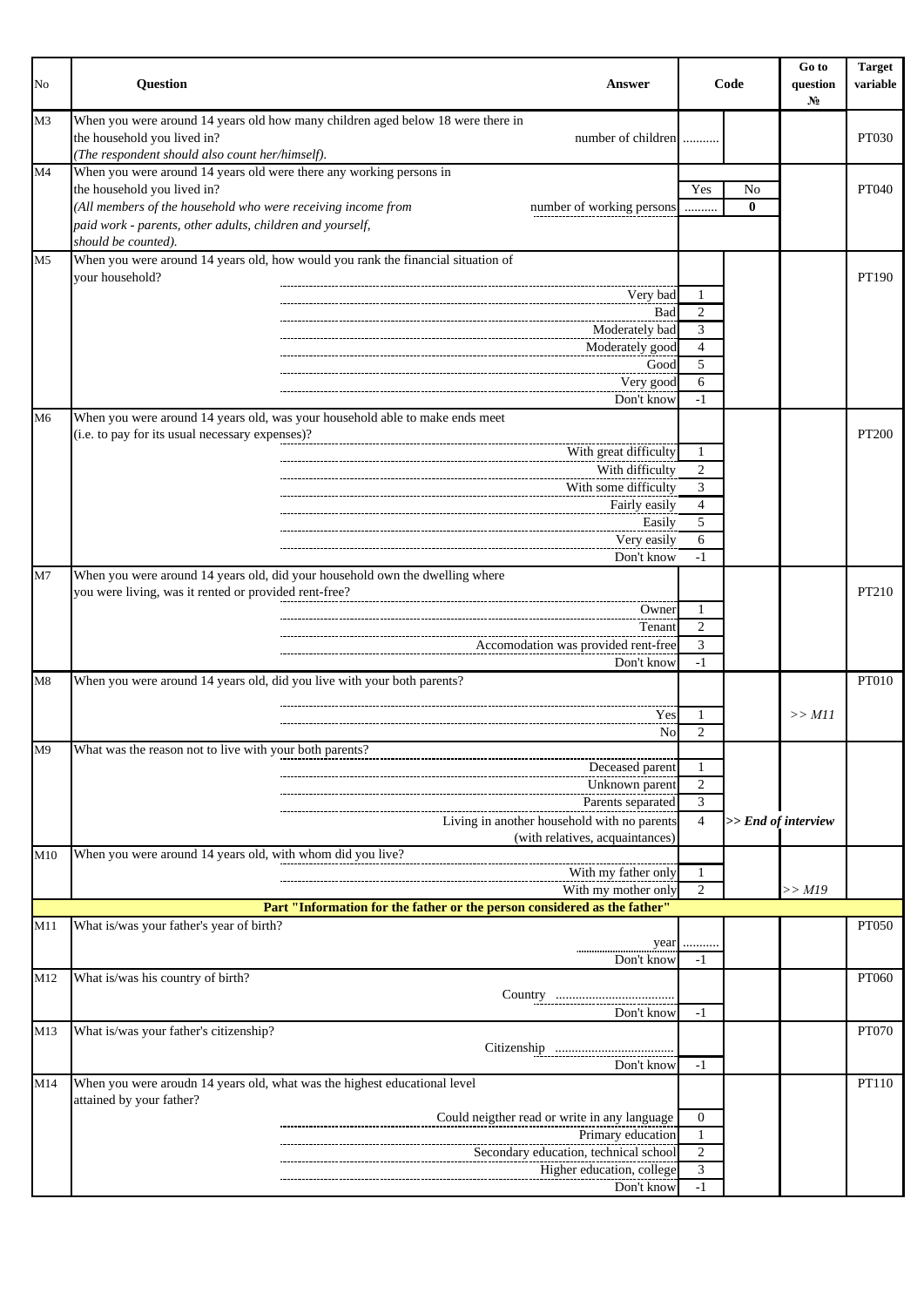| No             | <b>Question</b><br>Answer                                                                                                                                                                                                                                                           |                                                  | Code           | Go to<br>question<br>$N_2$ | <b>Target</b><br>variable |
|----------------|-------------------------------------------------------------------------------------------------------------------------------------------------------------------------------------------------------------------------------------------------------------------------------------|--------------------------------------------------|----------------|----------------------------|---------------------------|
| M3             | When you were around 14 years old how many children aged below 18 were there in<br>the household you lived in?<br>number of children<br>(The respondent should also count her/himself).                                                                                             |                                                  |                |                            | PT030                     |
| M4             | When you were around 14 years old were there any working persons in<br>the household you lived in?<br>(All members of the household who were receiving income from<br>number of working persons<br>paid work - parents, other adults, children and yourself,<br>should be counted). | Yes<br>.                                         | No<br>$\bf{0}$ |                            | PT040                     |
| M <sub>5</sub> | When you were around 14 years old, how would you rank the financial situation of<br>vour household?                                                                                                                                                                                 |                                                  |                |                            | PT190                     |
|                | Very bad<br>Bad<br>Moderately bad                                                                                                                                                                                                                                                   | 1<br>$\overline{2}$<br>3                         |                |                            |                           |
|                | Moderately good<br>Good<br>Very good<br>Don't know                                                                                                                                                                                                                                  | $\overline{4}$<br>5<br>6<br>$-1$                 |                |                            |                           |
| M6             | When you were around 14 years old, was your household able to make ends meet<br>(i.e. to pay for its usual necessary expenses)?                                                                                                                                                     |                                                  |                |                            | <b>PT200</b>              |
|                | With great difficulty<br>With difficulty<br>With some difficulty<br>Fairly easily<br>Easily                                                                                                                                                                                         | 1<br>2<br>3<br>$\overline{4}$<br>5               |                |                            |                           |
|                | Very easily<br>Don't know                                                                                                                                                                                                                                                           | 6<br>$-1$                                        |                |                            |                           |
| M7             | When you were around 14 years old, did your household own the dwelling where<br>you were living, was it rented or provided rent-free?<br>Owner<br>Tenant<br>------------------------------------                                                                                    | -1<br>$\overline{2}$                             |                |                            | PT210                     |
|                | Don't know                                                                                                                                                                                                                                                                          | 3<br>$-1$                                        |                |                            |                           |
| M8             | When you were around 14 years old, did you live with your both parents?<br>Yes                                                                                                                                                                                                      | $\mathbf{1}$                                     |                | >> M11                     | PT010                     |
| M <sub>9</sub> | No<br>What was the reason not to live with your both parents?<br>Deceased parent<br>Unknown parent<br>Parents separated<br>Living in another household with no parents<br>(with relatives, acquaintances)                                                                           | $\overline{2}$<br>1<br>2<br>3<br>$\overline{4}$  |                | $>>$ End of interview      |                           |
| M10            | When you were around 14 years old, with whom did you live?<br>With my father only<br>With my mother only                                                                                                                                                                            | 1<br>$\overline{2}$                              |                | >> M19                     |                           |
|                | Part "Information for the father or the person considered as the father"                                                                                                                                                                                                            |                                                  |                |                            |                           |
| M11            | What is/was your father's year of birth?<br>year<br>Don't know                                                                                                                                                                                                                      | <br>$-1$                                         |                |                            | <b>PT050</b>              |
| M12            | What is/was his country of birth?<br>Country<br>Don't know                                                                                                                                                                                                                          |                                                  |                |                            | PT060                     |
| M13            | What is/was your father's citizenship?<br>Don't know                                                                                                                                                                                                                                | $-1$<br>$-1$                                     |                |                            | PT070                     |
| M14            | When you were aroudn 14 years old, what was the highest educational level<br>attained by your father?<br>Could neigther read or write in any language<br>Primary education<br>Secondary education, technical school<br>Higher education, college<br>Don't know                      | $\mathbf{0}$<br>1<br>$\overline{2}$<br>3<br>$-1$ |                |                            | PT110                     |